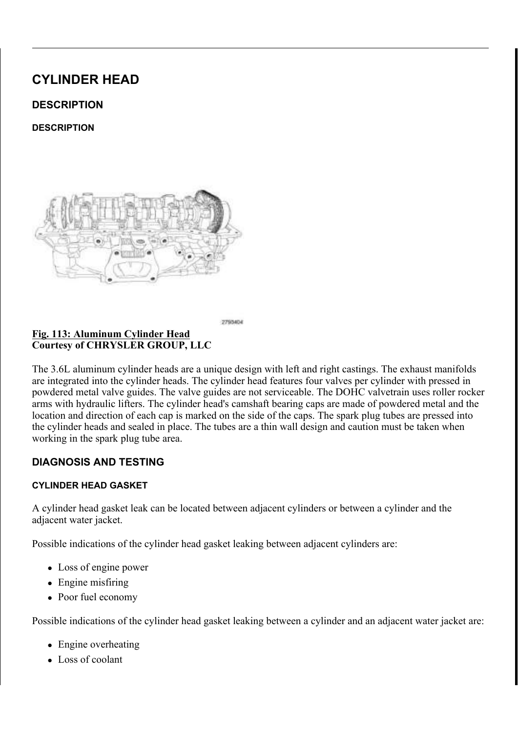# CYLINDER HEAD

## **DESCRIPTION**

**DESCRIPTION** 



2793404

#### Fig. 113: Aluminum Cylinder Head Courtesy of CHRYSLER GROUP, LLC

The 3.6L aluminum cylinder heads are a unique design with left and right castings. The exhaust manifolds are integrated into the cylinder heads. The cylinder head features four valves per cylinder with pressed in powdered metal valve guides. The valve guides are not serviceable. The DOHC valvetrain uses roller rocker arms with hydraulic lifters. The cylinder head's camshaft bearing caps are made of powdered metal and the location and direction of each cap is marked on the side of the caps. The spark plug tubes are pressed into the cylinder heads and sealed in place. The tubes are a thin wall design and caution must be taken when working in the spark plug tube area.

## DIAGNOSIS AND TESTING

### CYLINDER HEAD GASKET

A cylinder head gasket leak can be located between adjacent cylinders or between a cylinder and the adjacent water jacket.

Possible indications of the cylinder head gasket leaking between adjacent cylinders are:

- Loss of engine power
- $\bullet$  Engine misfiring
- Poor fuel economy

Possible indications of the cylinder head gasket leaking between a cylinder and an adjacent water jacket are:

- $\bullet$  Engine overheating
- $\bullet$  Loss of coolant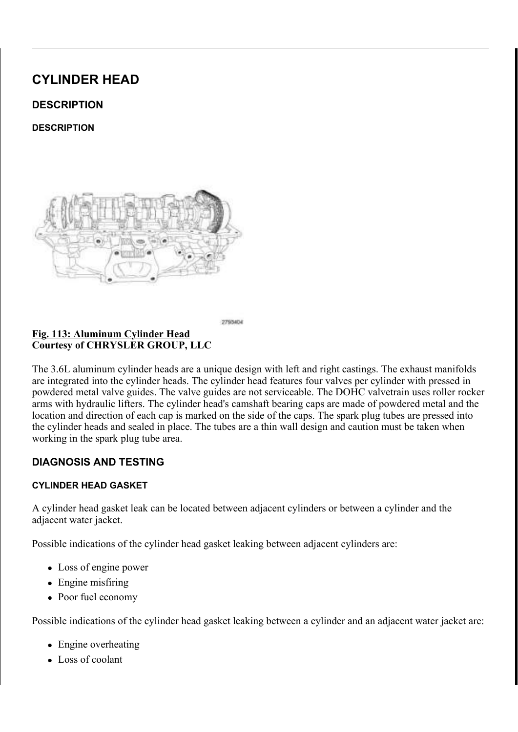- Excessive steam (white smoke) emitting from exhaust
- Coolant foaming

#### CYLINDER-TO-CYLINDER LEAKAGE TEST

To determine if an engine cylinder head gasket is leaking between adjacent cylinders, follow the procedures in Cylinder Compression Pressure Test. Refer to CYLINDER COMPRESSION PRESSURE LEAKAGE. An engine cylinder head gasket leaking between adjacent cylinders will result in approximately a 50 - 70% reduction in compression pressure.

#### CYLINDER-TO-WATER JACKET LEAKAGE TEST

## WARNING: USE EXTREME CAUTION WHEN THE ENGINE IS OPERATING WITH COOLANT PRESSURE CAP REMOVED.

#### VISUAL TEST METHOD

With the engine cool, remove the coolant pressure cap. Start the engine and allow it to warm up until thermostat opens.

If a large combustion/compression pressure leak exists, bubbles will be visible in the coolant.

#### COOLING SYSTEM TESTER METHOD



Fig. 114: Cooling System Pressure Tester - 7700-A Courtesy of CHRYSLER GROUP, LLC

## WARNING: WITH COOLING SYSTEM TESTER IN PLACE, PRESSURE WILL BUILD UP FAST. EXCESSIVE PRESSURE BUILT UP, BY CONTINUOUS ENGINE OPERATION, MUST BE RELEASED TO A SAFE PRESSURE POINT. NEVER PERMIT PRESSURE TO EXCEED 138 kPa (20 psi).

Install Cooling System Tester (special tool #7700-A, Tester, Cooling System) or equivalent to pressure cap neck. Start the engine and observe the tester's pressure gauge. If gauge pulsates with every power stroke of a cylinder a combustion pressure leak is evident.

#### CHEMICAL TEST METHOD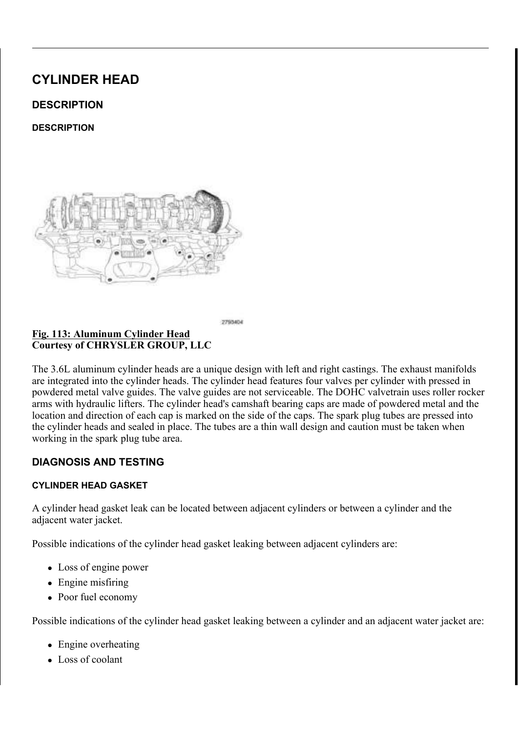

#### Fig. 115: Bloc-Chek Kit C-3685-A Courtesy of CHRYSLER GROUP, LLC

Combustion leaks into the cooling system can also be checked by using Bloc-Chek Kit (special tool #C-3685-A, Bloc-Chek Kit) or equivalent. Perform test following the procedures supplied with the tool kit.

## HYDRAULIC LASH ADJUSTER

A tappet-like noise may be produced from several items. Check the following items.

- 1. Engine oil level too high or too low. This may cause aerated oil to enter the adjusters and cause them to be spongy.
- 2. Insufficient running time after rebuilding cylinder head. Low speed running up to 1 hour may be required.
- 3. Turn engine off and let set for a few minutes before restarting. Repeat this several times after engine has reached normal operating temperature.
- 4. Low oil pressure.
- 5. The oil passage in cylinder head gasket or the oil passage to the cylinder head is plugged with debris.
- 6. Air ingested into oil due to broken or cracked oil pump pick up.
- 7. Worn valve guides.
- 8. Rocker arm ears contacting valve spring retainer.
- 9. Rocker arm loose, adjuster stuck or at maximum extension and still leaves lash in the system.
- 10. Oil leak or excessive cam bore wear in cylinder head.
- 11. Faulty lash adjuster.
- a. Check lash adjusters for "sponginess" while installed in cylinder head and cam on camshaft at base circle. Depress part of rocker arm over adjuster. Normal adjusters should feel firm when pressed quickly. When pressed very slowly, lash adjusters should collapse.
- b. Remove suspected lash adjusters, and replace.
- c. Before installation, make sure adjusters are full of oil. This can be verified by little plunger travel when lash adjuster is depressed quickly.

## REMOVAL

### LEFT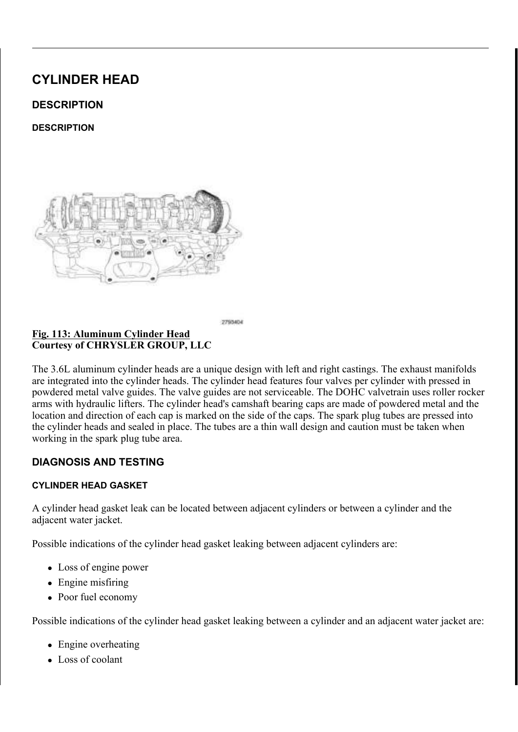

Courtesy of CHRYSLER GROUP, LLC

CAUTION: The magnetic timing wheels (1) must not come in contact with magnets (pickup tools, trays, etc.) or any other strong magnetic field. This will destroy the timing wheels ability to correctly relay camshaft position to the camshaft position sensor.

### Fig. 117: Engine Cover Courtesy of CHRYSLER GROUP, LLC

- 1. Perform the fuel pressure release procedure. Refer to **FUEL DELIVERY**, GAS, STANDARD PROCEDURE .
- 2. Disconnect and isolate the negative battery cable.
- 3. Remove the engine cover (1).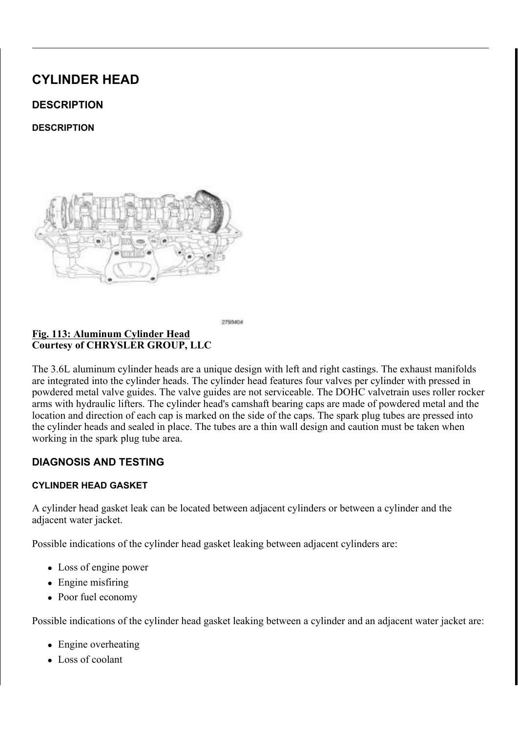## Fig. 118: Air Inlet Hose, Air Temperature (IAT) Sensor Connector & Clamps Courtesy of CHRYSLER GROUP, LLC

4. Remove the air inlet hose (3) and the air cleaner body. Refer to **BODY, AIR CLEANER**, REMOVAL.

### Fig. 119: Mounting Bracket, Bolts, Electrical Connector, Vacuum Pump, Locking Tab & Quick-Connect Type End Courtesy of CHRYSLER GROUP, LLC

5. Remove the electric vacuum pump (4) and mounting bracket (1). Refer to **PUMP, ELECTRIC** VACUUM, REMOVAL .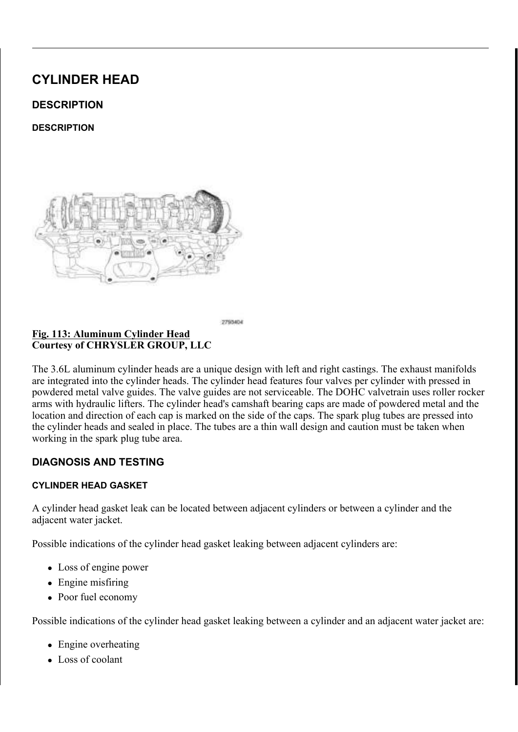## Fig. 120: Heater Core Return Tube, Nut & Bolt Courtesy of CHRYSLER GROUP, LLC

## NOTE: Power steering pump not shown in illustration.

- 6. Raise and support the vehicle. Refer to **HOISTING, STANDARD PROCEDURE**.
- 7. If equipped, remove the front skid plate and front suspension skid plate. Refer to UNDER BODY PROTECTION .
- 8. Drain the cooling system. Refer to STANDARD PROCEDURE .
- 9. Drain the engine oil. Refer to Engine/Lubrication/OIL Standard Procedure.
- 10. Remove the nut (1) and bolt (4) from the support brackets of the heater core return tube (3).
- 11. Remove the A/C compressor mounting stud (2).

## Fig. 121: Heater Core Return Hose, Heater Core Return Tube & Nut Courtesy of CHRYSLER GROUP, LLC

- 12. Lower the vehicle.
- 13. Remove the nut (2) from the support bracket of the heater core return tube (3) and reposition the tube.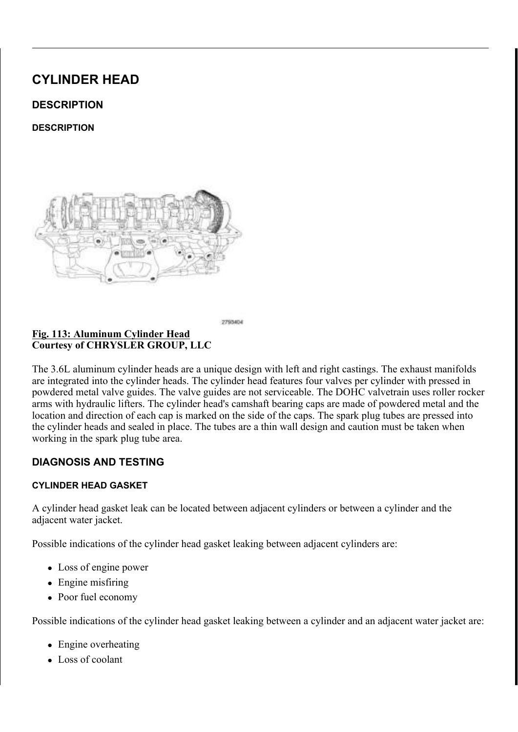## Fig. 122: Vapor Purge Tube & Fuel Purge Solenoid Courtesy of CHRYSLER GROUP, LLC

14. Remove the vapor purge tube (1) from the fuel purge solenoid (2). Refer to **FITTING, QUICK** CONNECT, STANDARD PROCEDURE.

#### Fig. 123: Upper Intake Manifold & Bolts Courtesy of CHRYSLER GROUP, LLC

15. Remove the upper and lower intake manifolds (2) and insulator. Refer to **MANIFOLD, INTAKE**, REMOVAL.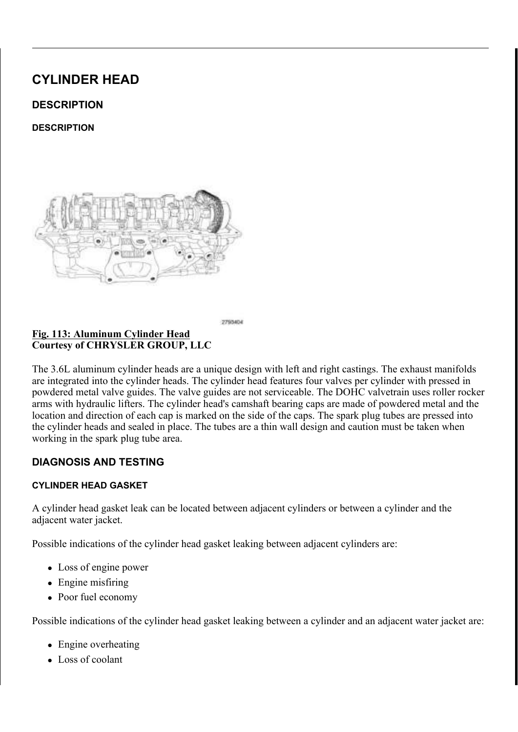### Fig. 124: Transmission Breather Hose, Make-Up Air Tube & Clips Courtesy of CHRYSLER GROUP, LLC

16. Disengage the clips (1), remove the make-up air tube (3) from the left cylinder head cover and reposition the transmission breather hose (2).

## Fig. 125: Right Upstream Oxygen Electrical Sensor Connector, Down Pipe Flanges & Bolts Courtesy of CHRYSLER GROUP, LLC

### NOTE: Right catalytic converter shown in illustration, left catalytic converter similar.

- 17. Disconnect the left upstream oxygen sensor connector (4) from the main wire harness.
- 18. Loosen the lower catalytic converter flange bolts (3).
- 19. Remove the upper catalytic converter flange bolts (1) and reposition the catalytic converter (2).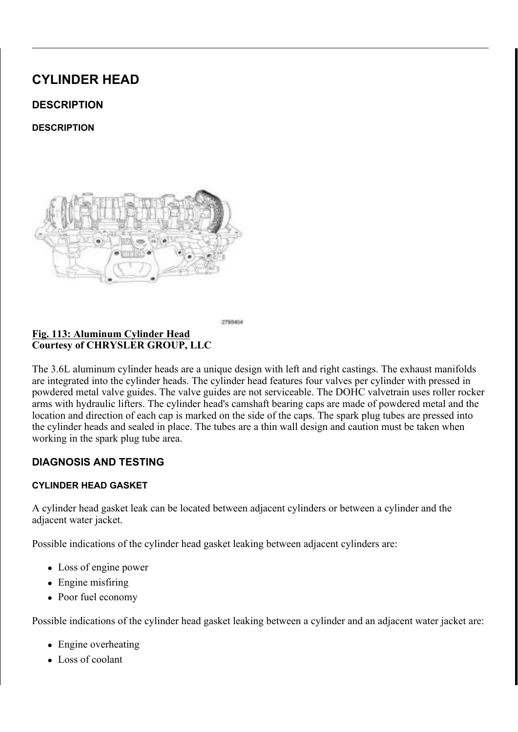### Fig. 126: Drive Belt Tensioners & Accessory Drive Belt Routing Courtesy of CHRYSLER GROUP, LLC

20. Remove the accessory drive belt (4). Refer to **BELT, SERPENTINE, REMOVAL**.

#### Fig. 127: A/C Compressor Electrical Connector & Wire Harness Retainer Courtesy of CHRYSLER GROUP, LLC

21. Disconnect the A/C compressor electrical connector (1) and disengage the wire harness retainer (2) from the A/C compressor discharge line.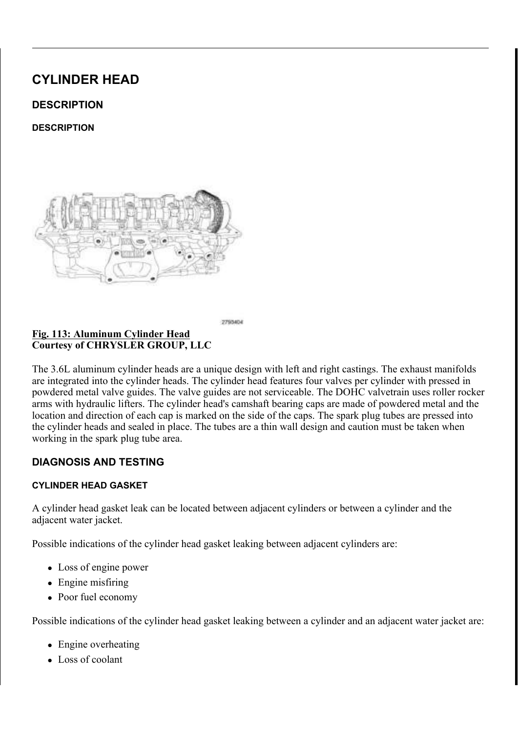#### Fig. 128: A/C Compressor, Nut, Stud & Three Bolts Courtesy of CHRYSLER GROUP, LLC

22. Remove the remaining three bolts (1) and reposition the A/C compressor (2).

#### Fig. 129: ECT Sensor Connector, CMP Sensor & Main Wire Harness Retainers Courtesy of CHRYSLER GROUP, LLC

23. Disconnect the Engine Coolant Temperature (ECT) sensor electrical connector (3).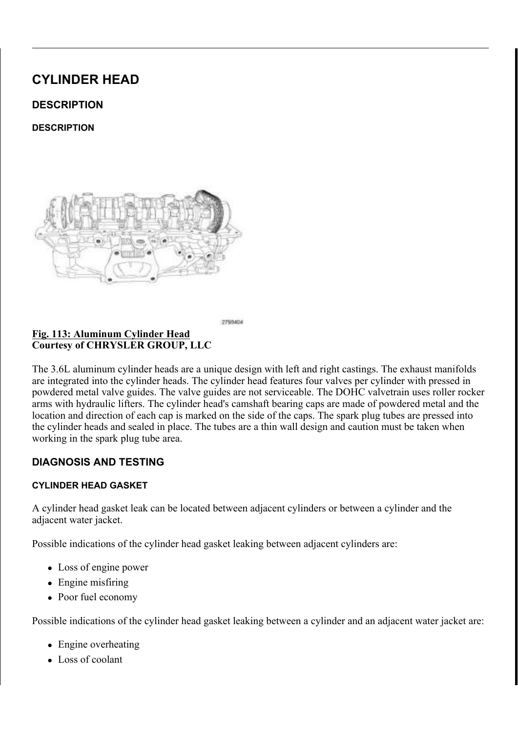### Fig. 130: Injection/Ignition Electrical Connector & Engine Oil Pressure/Temperature Sensor Electrical Connector Courtesy of CHRYSLER GROUP, LLC

- 24. Disconnect the ignition coil capacitor electrical connector.
- 25. Disengage the injection/ignition harness connector (1) and the engine oil pressure/temperature harness connector (3) from the retainer bracket (2) on the rear of the left cylinder head.

#### Fig. 131: Starter Wire Harness Retainers, Main Wire Harness Retainer & Manifold Support Bracket Retainers Courtesy of CHRYSLER GROUP, LLC

- 26. Disengage two starter wire harness retainers (1) from the upper intake manifold support brackets.
- 27. Disengage one main wire harness retainer (3) from the left cylinder head cover and two retainers (2) from the upper intake manifold support brackets.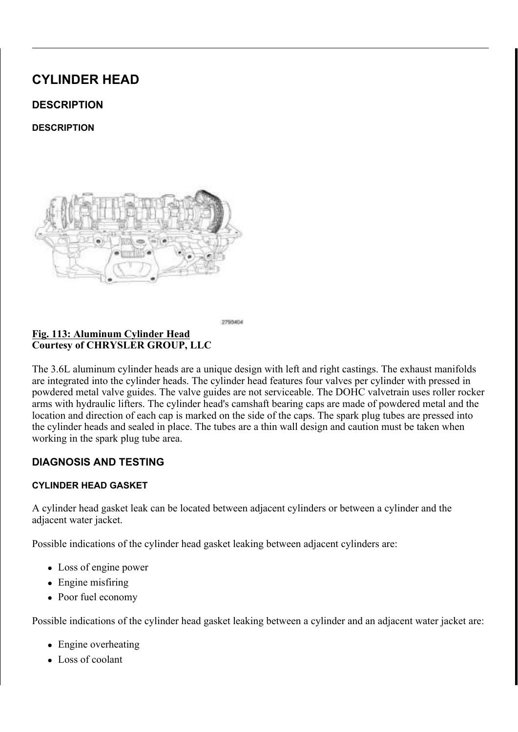## Fig. 132: Left Intake Manifold Support Brackets & Retaining Bolts Courtesy of CHRYSLER GROUP, LLC

28. Remove the bolts (2) and remove the LH upper intake manifold support brackets (1).

### Fig. 133: Piston Extension & RH Cam Chain Tensioner Courtesy of CHRYSLER GROUP, LLC

- 29. Remove the spark plugs. Refer to **SPARK PLUG, REMOVAL**.
- 30. Remove the cylinder head covers, lower and upper oil pans, crankshaft vibration damper and engine timing cover. Refer to COVER(S), ENGINE TIMING, REMOVAL.

## NOTE: Take this opportunity to measure timing chain wear. Refer to VALVE TIMING, STANDARD PROCEDURE.

31. Lower the vehicle.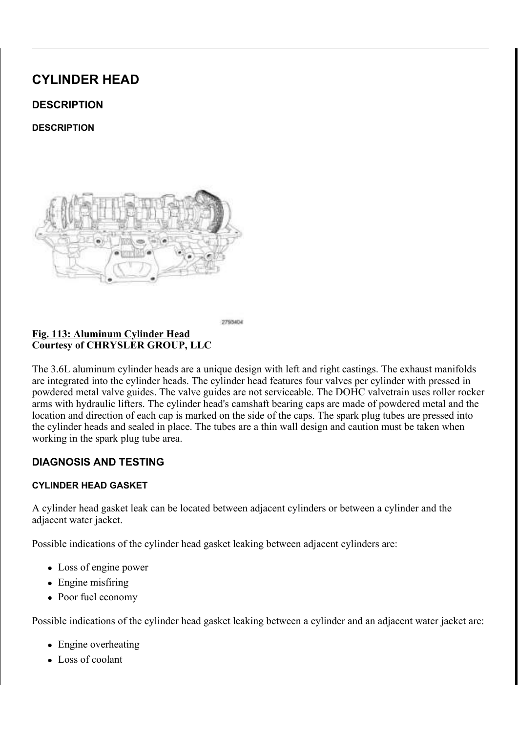## Fig. 134: Rotating Crankshaft Clockwise To Position No. 1 Piston At TDC On Exhaust Stroke Courtesy of CHRYSLER GROUP, LLC

## CAUTION: When aligning timing marks, always rotate engine by turning the crankshaft. Failure to do so will result in valve and/or piston damage.

32. Rotate the crankshaft CW to place the number one piston at TDC on the exhaust stroke by aligning the dimple (4) on the crankshaft with the block/bearing cap junction (5). The left side cam phaser arrows (2) should point toward each other and be parallel to the valve cover sealing surface (3). The right side cam phaser arrows (7) should point away from each other and the scribe lines (9) should be parallel to the valve cover sealing surface (8).

#### CAUTION: Always reinstall timing chains so that they maintain the same direction of rotation. Inverting a previously run chain on a previously run sprocket will result in excessive wear to both the chain and sprocket.

33. Mark the direction of rotation on the timing chain using a paint pen or equivalent to aid in reassembly.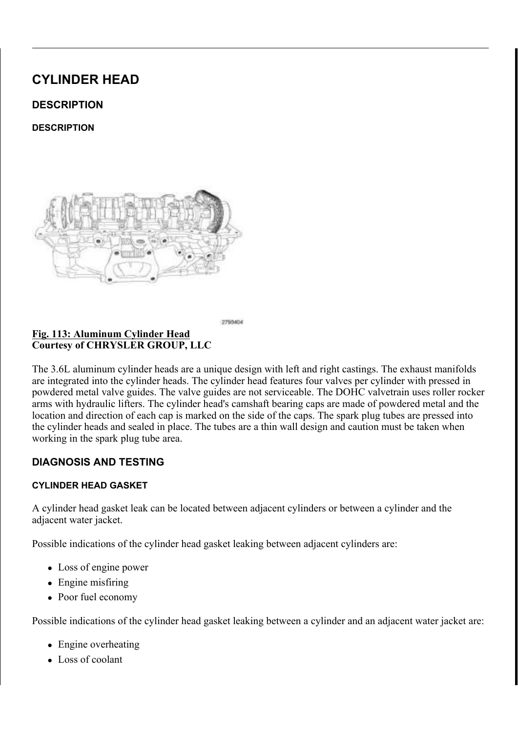

Fig. 135: Resetting Left Cam Chain Tensioner By Lifting Pawl, Pushing Back Piston & Installing Tensioner Pin Courtesy of CHRYSLER GROUP, LLC

- CAUTION: When the timing chains are removed and the cylinder heads are still installed, DO NOT rotate the camshafts or crankshaft without first locating the proper crankshaft position. Failure to do so will result in valve and/or piston damage.
- 34. Reset the LH cam chain tensioner by lifting the pawl (1), pushing back the piston (2) and installing Tensioner Pin (special tool #8514, Pins, Tensioner) (3). Refer to VALVE TIMING, STANDARD PROCEDURE.

Fig. 136: Phaser Timing Marks, Oil Control Valves & LH Camshaft Phaser Lock Courtesy of CHRYSLER GROUP, LLC

NOTE: Minor rotation of a camshaft (a few degrees) may be required to install the camshaft phaser lock.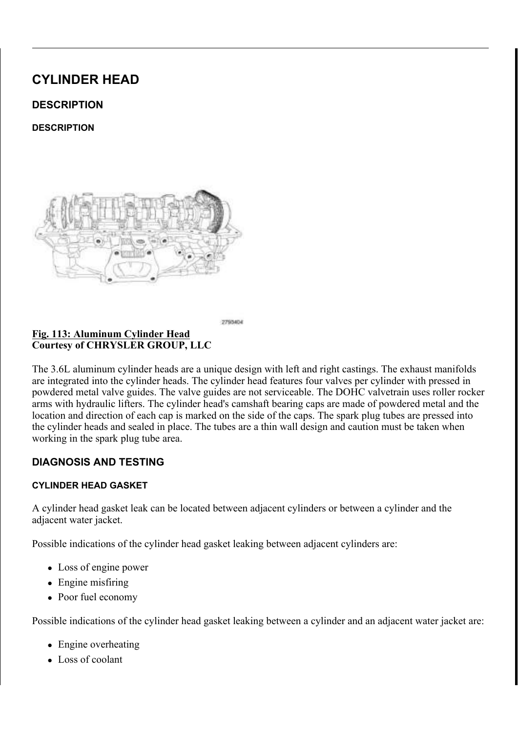- 35. Install the LH Camshaft Phaser Lock (special tool #10202, Locks, Camshaft/Phaser) (4).
- 36. Loosen both the intake oil control valve (6) and exhaust oil control valve (2).
- 37. Remove the LH Camshaft Phaser Lock (special tool #10202, Locks, Camshaft/Phaser) (4).
- 38. Remove the oil control valve (2) from the left side exhaust cam phaser and pull the phaser off of the camshaft.
- 39. Remove the oil control valve (6) from the left side intake cam phaser and pull the phaser off of the camshaft.

### Fig. 137: Left Cam Chain Tensioner, Arm, Guide & Bolts Courtesy of CHRYSLER GROUP, LLC

- 40. Remove the LH cam chain tensioner arm (1).
- 41. Remove two T30 bolts (6) and the LH cam chain tensioner (5).
- 42. Remove two T30 bolts (4) and the LH cam chain guide (2).



2692295 Fig. 138: Cylinder Head Retaining Bolt Removal Sequence - Left Courtesy of CHRYSLER GROUP, LLC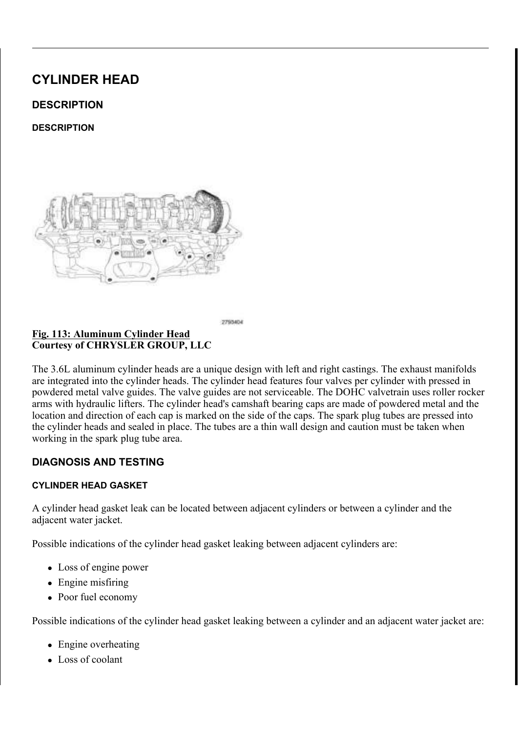43. Remove the left camshafts. Refer to CAMSHAFT, ENGINE, REMOVAL.

## NOTE: If the rocker arms are to be reused, identify their positions so that they can be reassembled into their original locations.

44. Remove the rocker arms. Refer to ROCKER ARM, VALVE, REMOVAL.

## NOTE: If the hydraulic lifters are to be reused, identify their positions so that they can be reassembled into their original locations.

- 45. If required, remove the hydraulic lifters. Refer to LIFTER(S), HYDRAULIC, REMOVAL.
- 46. Using the sequence shown in illustration, remove the cylinder head retaining bolts.

### Fig. 139: Head Gasket & Locating Dowels Courtesy of CHRYSLER GROUP, LLC

NOTE: Right head gasket shown in illustration, left head gasket similar.

## WARNING: The multi-layered steel head gaskets have very sharp edges that could cause personal injury if not handled carefully.

- NOTE: The head gasket (1) crimps the locating dowels (2) and the dowels may pull out of the engine block when the head gasket is removed.
- 47. Remove the cylinder head and gasket (1). Discard the gasket.
	- CAUTION: Do not lay the cylinder head on its gasket sealing surface, due to the design of the cylinder head gasket, any distortion to the cylinder head sealing surface may prevent the gasket from properly sealing resulting in leaks.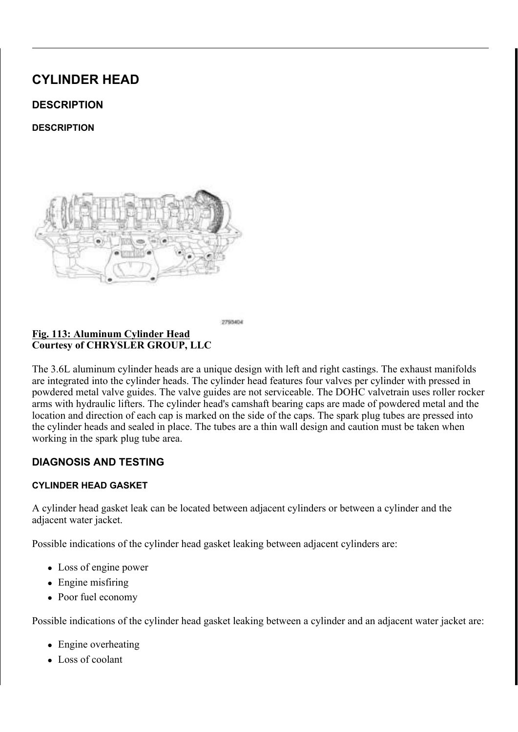## Fig. 140: ECT Sensor, Ignition Coil Capacitor, Engine Wire Harness Retainer Bracket & Bolts Courtesy of CHRYSLER GROUP, LLC

- 48. If required, remove the Engine Coolant Temperature (ECT) sensor (4).
- 49. If required, remove the bolt (2) and the ignition coil capacitor (1).
- 50. If required, remove the bolt (3) and the engine wire harness retainer bracket (5).

RIGHT

Fig. 141: Magnetic Timing Wheels Courtesy of CHRYSLER GROUP, LLC

> CAUTION: The magnetic timing wheels (1) must not come in contact with magnets (pickup tools, trays, etc.) or any other strong magnetic field. This will destroy the timing wheels ability to correctly relay camshaft position to the camshaft position sensor.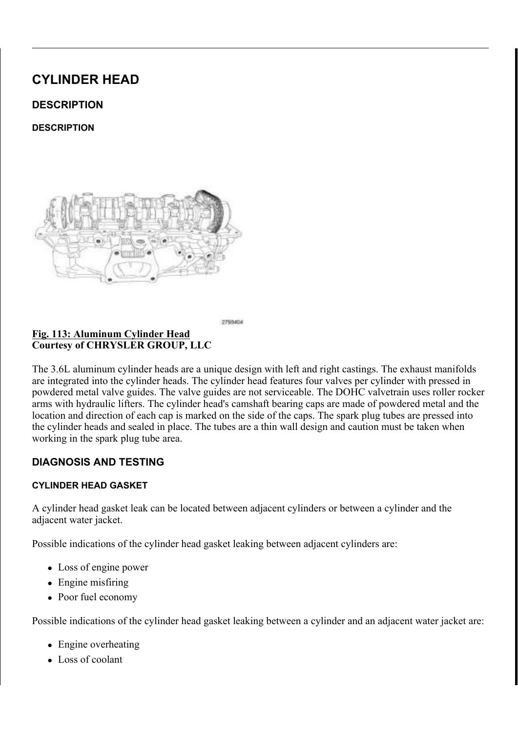ILJ (QJLQH &RYHU &RXUWHV\RI &+5<6/(5 \*5283 //&

3 HUIRUP WKH IXHO SUHVV WUWER UH (0,19) D5V-H SSUGR FG-FGS X USHS ' 5 HI 352& ('85)

'LVFRQQHFW DQG LVRODWH WKH QHJDWLYH EDWWHU\ FDE **5HPRYH WKH HQJLQH FRYHU** 

<u>) LJ \$LU, QOHW + RVH \$LURHP&SRHQUONNFXWUR</u>HU, \$& OBRQV<br>& RXUWHV\RI& + 5 < 6 / (5 \* 5283 //&

'LVFRQQHFW WKH HOHFWUQDDHOW FSTLQQ7HFFPVSSRIWDWXURP,\\$V7KH| /RRVHQ WKH FODPS DW WKH WKURWWOH ERG\ /RRVHQ WKH FODPS DW WKH DLU FOHDQHU ERG\ 5HPRYH WKH DLU LQOHW KRVH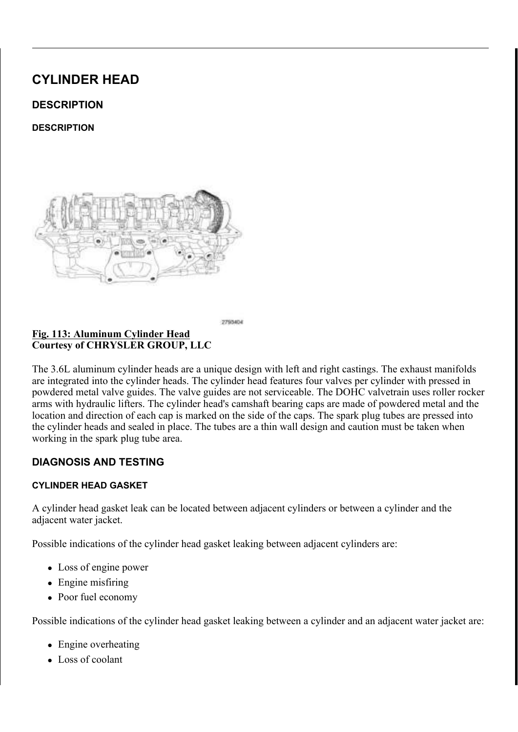5HPRYH WKH 3&9 KRVH IURP WKH 3&9 YDOYH

5 D L V H D Q G V X S S R U W + 2W, K F H, N \* H K6L7F30 H \$ 55 H 3 15 H 2 L & (V18F6 (

/RZHU WKH YHKLFOH

 $3527(87, 21)$ 

, I HTXLSSHG UHPRYH WKQHWIWKRQ/SUHVQNVLLGRGSOKBONW(GSISKOQDG-WINDR5

'UDLQ WKH HQJLQQHLQRHOYXEHULHFUD6WWMERQQGD,UG 3URFHGXUH

3&9 + R V H 3&9 9 D O Y H

'UDLQ WKH FRROLQJ\$VI\`\$WH3P52&HI'I8H5U WR

&RXUWHV\RI &+5<6/(5 \*5283 //&

5 HPRYH WKH HOHFWULF YDFEXUXDPFSNXHPWS 38 06369 QH/UP&RMXSRQ & WLQJ 9\$&880 5(029\$/

& R X U W H V \ R | & + 5 < 6 / (5 \* 5 2 8 3  $1/8$ 

OR X Q W L Q J % U D F N H W F%N/FRQUW Y D F Q & H P W 3 W L PFD O R& FRN Q Q <u>) L J \_</u> &RQQHFW 7\SH (QG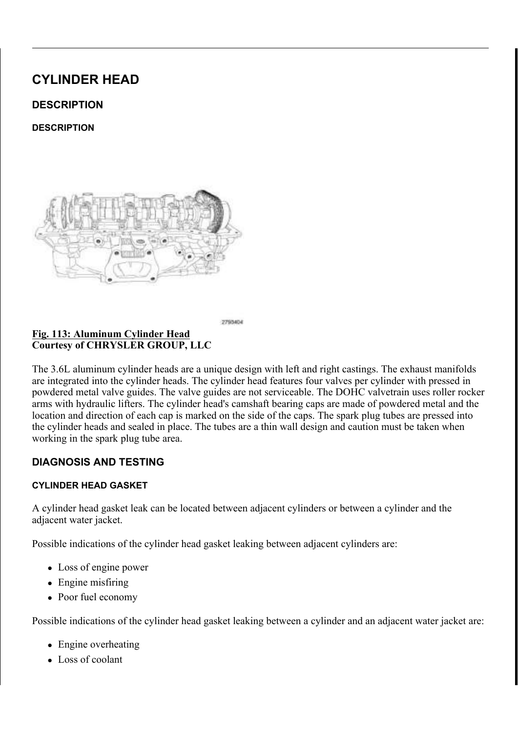<u>) LJ 8SSHU, QWDNH</u> 0DQLIROG %ROWV<br>& RXUWHV\RI & +5<6/(5 \*5283 //&

5 HPRYH WKH XSSHU DQG ODROZGHULQLQXWODDWGHRPUD2GSLHILPHOLOGWAR  $5(029$  \$/

<u>) LJ 5 LJKW 8 SVWUHDP 2 [\JHQQ(HOFHNFRWULFRDZOQ 63HLGSV</u>HR)LO BAR<br>& RXUWHV\RI& + 5 < 6 / (5 \* 5 2 8 3 / / &

'LVFRQQHFW WKH ULJKW XBNFWWRUHDP RUNDPHOWKHOPVORLOQ FZRQQG /RRVHQ WKH ORZHU FDWDO\WLF FRQYHUWHU IODQJH ERO 5 HPRYH WKH XSSHU FDWDO \WDDG FRUGHSHRUYW WURIOD DNOKUHH FE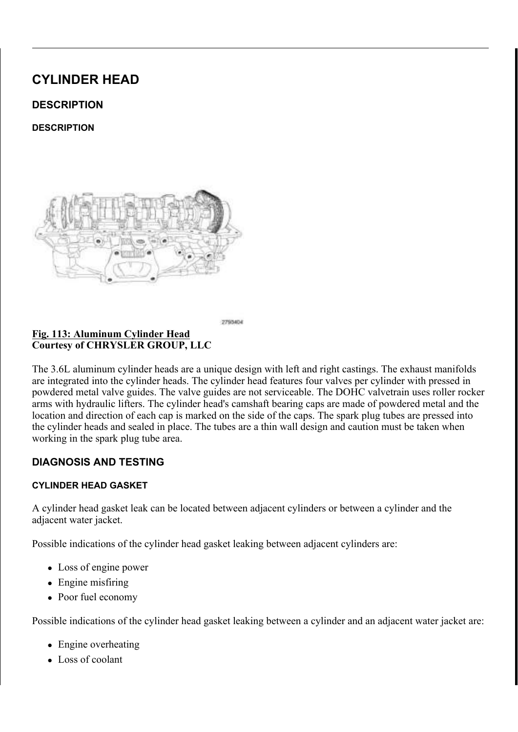<u>)LJ'VLYH%HOW7HQVLRQHOUW5R</u>\$XFWFLHQVJRU\'ULYH%H &RXUWHV\RI&+5<6/(5\*5283//&

5 HPRYH WKH DFFHVVRU\%GLUTLYGH(5E3H(O7W) 1 (56GENISHSU WR 5 H P R Y H W K H J H Q H U(D W5F\$ 0 2 5 55(8 2 19 \$) W R

)LJ2LO/HYHO,QGLFDWRU 5HWDLQLQJ%ROW &RXUWHV\RI&+5<6/(5\*5283//&

5HPRYH WKH EROW DQGFDMRRUYH WKH RLO OHYHOLQG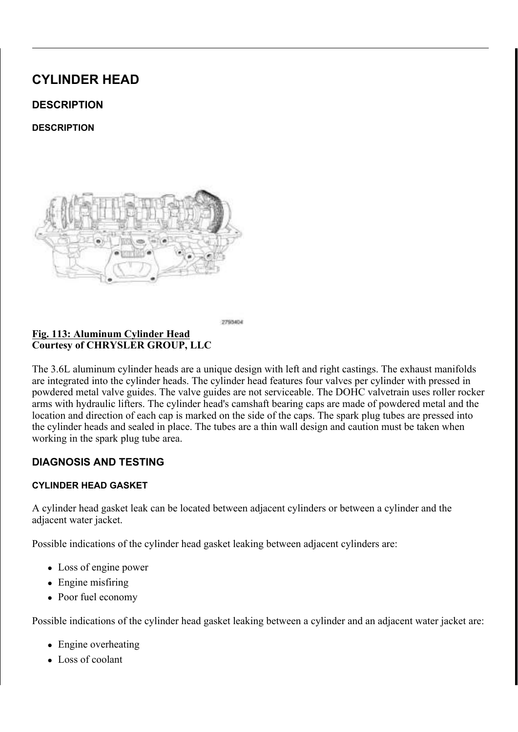5HPRYH WKH EROW DQXGEWKH KHDWHU FRUH VXSSO\ W

<u>)LJ 8SSHU,QWDNH0DQLIRXOGG)XOSA</u>SVRHUQVHU&VDFNHW6W<br>&RXUWHV\RI&+5<6/(5 \*5283 //&

'LVFRQQHFW WKH LJQLWORFOR@ROHOFWBBDFLWRU HOHFWULF 5 HPR YH WKH VWX GEROW DNDHQ FEDLOLH PRROYGH WAKSHS RISI SWHEULDOF W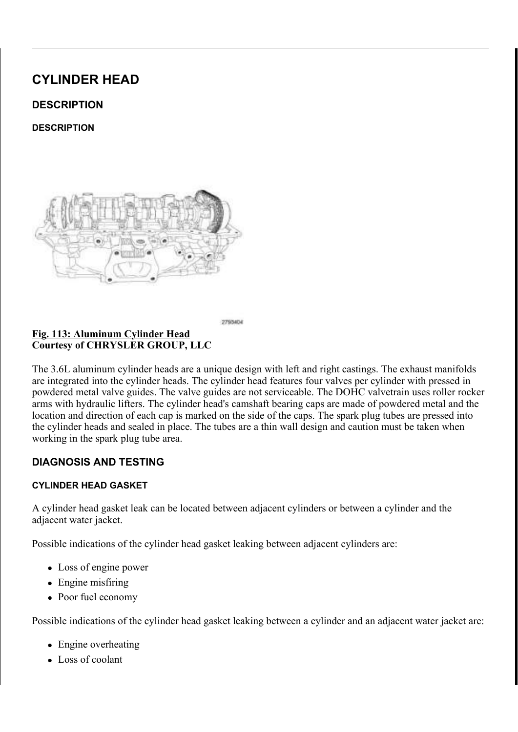<u>) LJSTER WDWLQJ&UDQNVKDIWR&ORSEN ZWLRVOH \$7VR 78'R&V2L</u>QUIL(RKORSEN ZWLANDIVITEI & +5<6/(5 \*5283 //&

**/RZHU WKH YHKLFOH** 

- 7 DNH WKLV RSSRUWXQLW\WR DHD VSXHUHHUWVLIRL9O\$J'S  $127($  $7,0,1*$  67\$1'\$5' 352& ('85)
- 5 HPRYH WKH VSD L6NS \$550 X38 \* 55H DH2L9 \$WR 5 HPRYH WKH F\OLQGHU KHDROLOF FSYDHOW FOURDZOHN NIDAIGW XYSLSEHUU WLPLQJ FRYBU9(5H6HU(1WR1(7,0,1\* 5(029\$/
- ) LJ 3LVWRQ ([WHQVLRQ 5+ & DP & KDLQ 7HQVLRQHU<br>& RXUWHV\RI & +5<6/(5 \*5283 //&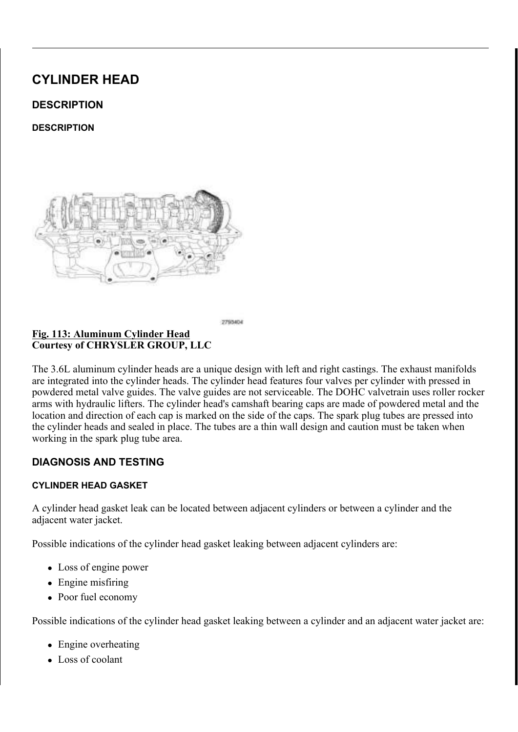#### & \$87,21 : KHQ DOLJQLQJ WLPLQJ PDULNQ/H ED ZNO ANU QULROVL FUDQNVKDIW ) DLOXUH WR GRQVGR EZUOSOLW WARQIO GDPDJH

5 R W D W H W K H F U D Q N V K D I W S& L V WW R GS OD DNF F1 ' & W K HQ ONWAPHE HHUK PD QX WKH GLPSOH RQ WKH FUDDQQNJV KFD SWMZXLQNFKW LWRKQH EOR7FKNHEO DUURZV VKRXOG SRLOW WIRØDHOG MERFKVKRHWKBDYE-OGREYHH ULJKW VLGH FDP SKDVHU DUWERZ VHDFKVERWYKOHOU SOROLOO WYKOHZ DYN SDUDOOHO WR WKH YDOYH FRYHU VHDOLQJ VXUIDFH

& \$87.21 \$QZD\V UHLQVWDOO WLPLRODILROKOOLLOOV WIREHWAKDI GLUHFWLRQ RIURWDWLRQ, QYKHOLLWQLKQQ D SUH SUHYLRXVO\ UXQ VSURFNHW ZLODOU UWHRV **EQWKLO** FKDLQ DQG VSURFNHW

O D U N W K H G L U H F W L R O R IOU R W LOW LOR OS DRICO W K S H W LRELL OB JO XF LKN

 $L$   $J$ 5HVHWWLQJ5LJKW & DPK&LAQDIL%QD7FHNQ7/HLQRQLHRUQ%HU33ALV 7HQVLRQHU 3LQ &RXUWHV\RI &+5<6/(5 \*5283 //&

8 \$ 8 7 . 2 1 : KHQ WKH WLPLQJ FKDLQV DOHQUGHPUR KHOGONG VWLOO LQVWDOOHG '2 127 URWNWWHOWWKHZLFWDKP ILUVW ORFDWLQJ WKH SURSHUXFUUHDWIRVOKPINWRS UHVXOW LQ YDOYH DQG RU SLVWRQ GDPDJH

5 H V H W W K H 5 + F D P F K D L Q WHK CH V W FRO CHOLY SYSK W W R G DDFONG VSHFLDO WRRO 3LQV 7HQVLRQHU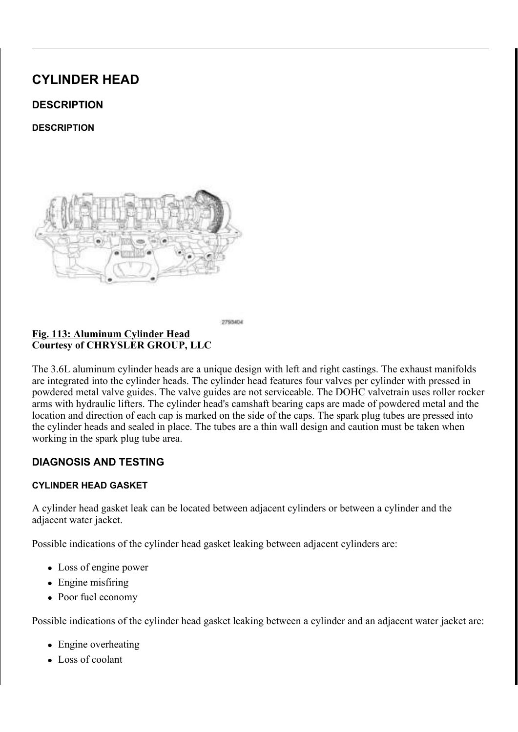3KDVHU 7LPLQJ 0DUNV PL&ODREKROWN WR3OK DIDYGHVURFN5 ) L J & R X U W H V \ R I & + 5 < 6 / (5 \* 5 2 8 3 / / &

 $127($ OLQRU URWDWLRQ RID FDPVKDEINWUBTIXHZUGHGJWLRH WKH FDPVKDIW SKDVHU ORFN

.QVWDOO WKH 5+ &DPVKDIOW 3KDVHPUFARAFN&DAPSAHAFDLIDNO3WKBRH / RRVHQ ERWK WKH LQWDNH HROLXOV FWRRQLWOU RRO WIDLORYOH YDODYOHG 5 H P R Y H W K H 5 + & D P V K D I W 3 K D V H U R R NF W & DS P V K D D W W 3 K D V H U R R NF W & SHPRYH WKH RLO FRQWURDGYHDDQYWDNHIUFI**RP WKD**IVUHUUKHRINQIG **FDPVKDIW** 

5 HPRYH WKH RLO FRQWURDGYHDHONKHDXVWUFRDPPWSKKHDWHLUWKDRAGIG **FDPVKDIW** 

<u>) LJ 5 LJKW & DP & KDLQ 7 HQVL</u>RQHU \$UP \* XLGH<br>& RXUWHV\RI & +5<6/(5 \* 5283 //&  $%$  RO

5HPRYH WKH 5+ FDP FKDLQ WHQVLRQHU DUP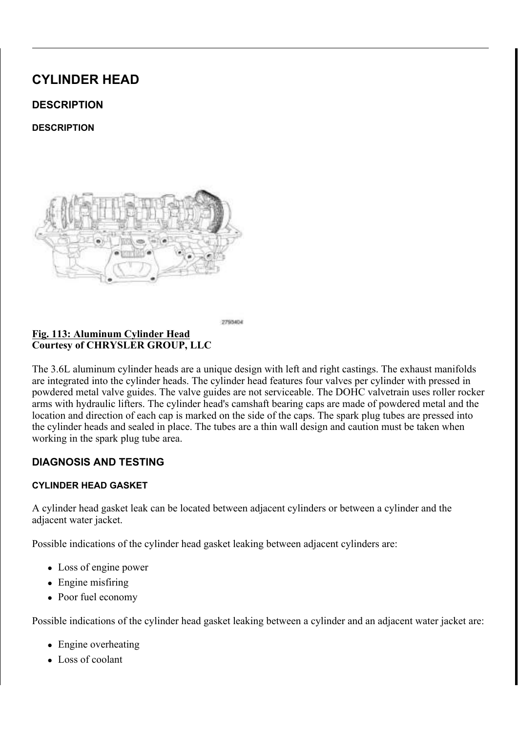## 5HPRYH WZR 7 EROWV QIQUGRQWHCH 5+ FDP FKDLQ WH 5HPRYH WKUHH 7 EROWV JXLCGIOG WKH 5+ FDP FKDLO

#### \_) L J &\OLQGHU +HDG 5HWDLQEGE5JL96KRWOW 5HPRYDO 6HTX & R X U W H V \ R | & + 5 < 6 / (5 \* 5 2 8 3 / / &

5 HPRYH WKH ULJKW & FSIDNEY \$KDOTIW(VI \*. 51 HIHSU0 249R\$)

- I WKH URFNHU DUPV DUH WARHELH SURHVKLWHIGROLVG HYQE 127( FDQ EH UHDVVHPEOHG LQWR WKHLU RULJLQDO O
- 5 H P R Y H W K H U R F N 5H 208. DEU B 5 0 5 9H 3 H B U W 5 R 0 2 9 \$ /
- 127( ,I WKH K\GUDXOLF OLIWHUQVVDLUVHWWKRHLEUHSURHVXLWHLGR WKH\ FDQ EH UHDVVHPEOHG LQWR WKHLU RULJLO

,IUHTXLUHG UHPRYH WKWHRKK (GSUGOXOJEF5\$D&L/1,W&HU5I,VO259H\$J/HU 8 V L Q J W K H V H T X H Q F H V K R XW K HL OF \LOOLOOXGY-MW UKDHYDLGROUH WHDPLROYL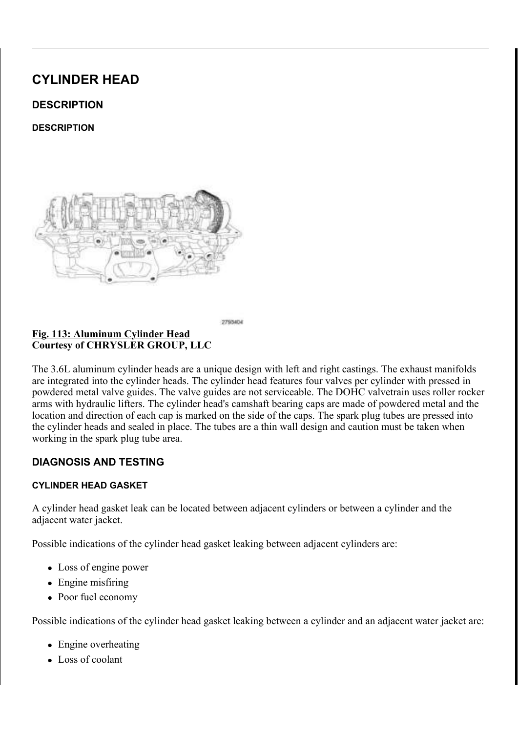+HDG \*DVNHW /RFDWLQJ 'RZHOV 8 R X U W H V \ R I & + 5 < 6 / (5 \* 5 2 8 3 / / &

> : \$51, 1 \* 7 KH P X O W L O D \ H U H G V W H H O K H D G HU D J H W K D FRXOG FDXVH SHUVRQDO LQMXU\ LI QRW KDQ

127( 7KH KHDG JDVNHWFULPSV WKOHQORNFKOMWLGORLZKGOE SXOO RXW RI WKH HQJLQH EORFN DHARRYMNGH KHD

SHPRYH WKH F\OLQGHU KHDQVDNOHOWJDVNHW 'LVFDUG WKH

& \$87,21 'R QRW OD\ WKH F\OLQGHVH KABDOGJRVOX ULWDVFHD WKH GHVLJQ RI WKH F\OLQGHU KRQGWJRDWNKHHW F\OLQGHU KHDG VHDOLQJ VXUIDFHI PDP SUHYH SURSHUO\ VHDOLQJ UHVXOWLQJ LQ OHDNV

.JQLWLRQ &RLO &DSDFLWRU %ROW  $R$ RXUWHV\RI  $8+5<6$ /(5 \*5283 //8

I UHTXLUHG UHPRYH WQHFEEROWDSDEDWSRWKH LJQLWLR

 $8/($1.1*$ 

& \$87.21 : KHQ FOHDQLQJ F\OLQGHURKFHNDV6XDUQDGFFINOL'QQH2NZ D PHWDO VFUDSHU EHFDXVH WKH VMENDOFGHV8FFNXC 21/< D ZRRGHQ RU SODVWLF VFUDSHU

0XOWL/D\HU6WHHO00/6 KHDEGUDDWANKHWWHHUTHAOLOUHQ

7R HOVXUH HOJLOH JDVNHWSDVHDNOLORO PSXURWSHEUH WSXHUJIDREUHRBGH DOXPLQXP HQJLQH FRPSRQHQOWQQDHQUGKPHADOGAVILDQYNHHMUVVWHHO F

 $8/(51.1*)$ 

 $127($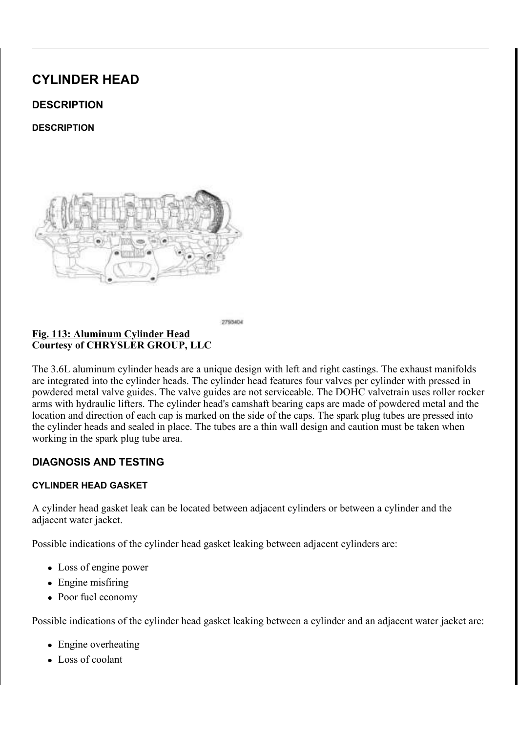$, 167$  \$ / / \$ 7, 21

- $29DOYHV$
- <sup>2</sup> 9DOYH \*XLGHV
- z 9DOYH 6HDWV
- $26$ SULQJV
- $29DOYH7DSSHWV$
- z & D P V K D I W V
- 6SHFLILFDWLRQV

& KHFN F\OLQGHU KHDG ZDUSDDUQHGZILHWHKOHDUV WOUXDJILHUKW HGJHI & \OLQGHU KHDG PXVW EH5HOBWQWZWEQ@AKSLHOFLWSLFIBMURDQWLRQ 9 HULI\ W K D W W K H Y D O Y HUW DESPSUHHWV DRORGY HAV KUDHWH WO K HOL KWOKYHH QVSHFW FDPVKDIW EHDULQJ MRXUQDOV IRU VFRULQJ. 5 HPRYH FDUER QDQG YDUQLWDXO OFH SJRXLLGWHW IZURWPKLDQ WUHGOHL BR .QVSHFW WKH IROORZLQJWFKKPHSROQUHHQZYLWVBIQOG WSHAQURILNQWFBIDWU

& R X U W H V \ R | & + 5 < 6 / (5 \* 5 2 8 3 / / &

& KHFNLQJ & \OLQGHU + HDG ) OD WQHVV ) L J

 $.163(87.21)$ 

 $, 163(87, 21)$ 

& \$87,21 1 RQ FRPSUHVVLEOH GHEULVR WYSF7149 DYVHDROLDQV1 DUH QRW UHPRYHG IURP EROW KROHFVDF DVQ OF D WR FUDFN ZKHO WLJKWHOLOJ WKH EROWV

5 HPR YH DOO JD V N H W P D W H EI O DR OF N U ROP JE O O HOM WORGN HOUGH WAS DIGHT RECT %H FDUHIXO QRW WR JRXJHGRWH/DFOUDOWJFKXWJKDHFBOXPLQXP & OHDQ DOO HQJLQH RLO SDVVDJHV

& OHD Q RXW WKH F\OLQ GHLOLMK HEDOGRET ROW KROHV LQ WKH H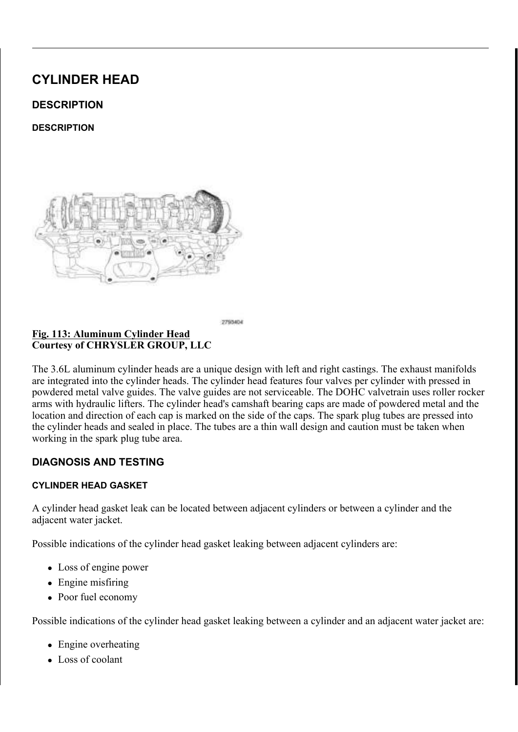<u>) L J 0D J Q H W L F</u> 7 L P L Q J : K H H O V<br>& R X U W H V \ R I & + 5 < 6 / (5 \* 5 2 8 3 / / &

& \$87,21 7 KH PDJQHWLF WLPLQJ ZKHHOFVRQWEDXFWWVZQLRWK P SLFNXS WRROV WUD\V HWF RHUWDQ\IRHWOKGHU7KLW GHVWUR\ WKH WLPLQJ ZKHHOV DEDLPOVLAWDIW PSRENU WKH FDPVKDIW SRVLWLRQ VHQVRU

<u>) LJ (& 7 6 H Q V R U, J Q L W L R Q H& R LLOH & DSJDOFHLWWR 5JH W QD L</u>IQ H U % L<br>& R X U W H V \ R I & + 5 < 6 / (5 \* 5 2 8 3 / / &

I UHPRYHG LQVWDOO WKHH (Q&JILQMH&GRARROUDQWD7GHGPSWHLUJEXW) **OEV** 

,IUHPRYHG LQVWDOO WKEZLLWNQLDW0LREQRFORWLO FDWSLDIRLWWHPQUHI(

.I UHPRYHG LQVWDOO W KOHIUH GE WIDOFHN HZWUH KZDLWOKH DYV WHEWRDO LQ OEV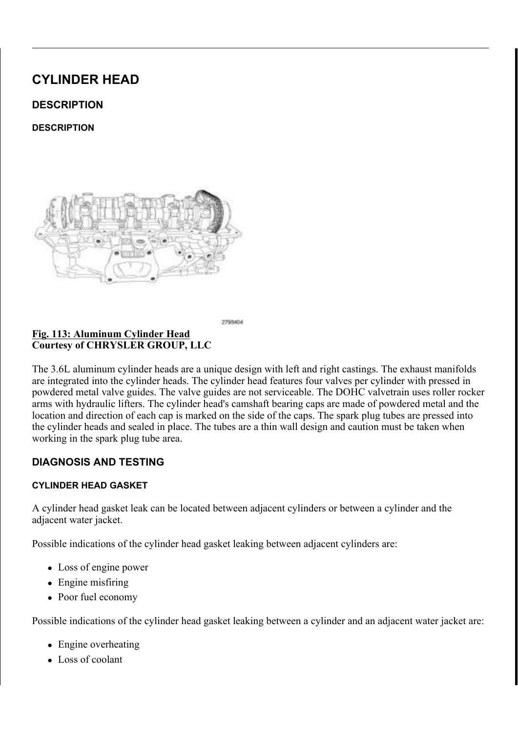& KHFNLQJ & \OLQGHU QHDGI HYFRNQ QY JRU 6 WUHWFKL 8RXUWHV\RI & +5<6/(5 \*5283 //

&\$87,21 7KH F\OLQGHU KHDG EROWDY WBUTWKLHJKSWYKWHO SURFHGXUH 7KH EROWV PXVW EH HIDVPKQHG WKUHDGV DUH QHFNHG GRZQ WKH EROWV PXV

7\SLFDO F\OLQGHU KHDG ERRQW VKRZQ LQ LOOXV  $127($ 

& KHFN F\OLQGHU KHDG ERDOWFDIGH RUHFWWLODLEJ WARHOGELMAAKDH WKUHDGV GRQRW FRQWDFEWH WYKHOWFFEHOGH WKH EROW PX

) L J + H D G \* D V N H W / R F D W L Q J 'R Z H O V<br>& R X U W H V \ R I & + 5 < 6 / (5 \* 5 2 8 3 / / &

 $127($ 5 L J K W K H D G J D V N H W V K R Z OK HL DO GLODD V KN W W D V W P R OO I

& \$87.21 : KHQ FOHDQLQJ F\OLQGHURKFHND\CXDUQDGFFINOLOQ XVH D PHWDO VFUDSHU EHFDXVH WWKRHUV XWRIXIQ 8VH 21/< D ZRRGHQ RU SODVWLF VFUDSHU

& OHDQ DQG SUHSDUH WKHNKLBIVFNHOWQVGHHDUOKLED GVO QULQUIQOFFEHDVRRI 6WDQGDUG 3URFHGXUH

& \$87,21 1RQ FRPSUHVVLEOH GHEULVR WYSF7149 DYVHDROLDQVF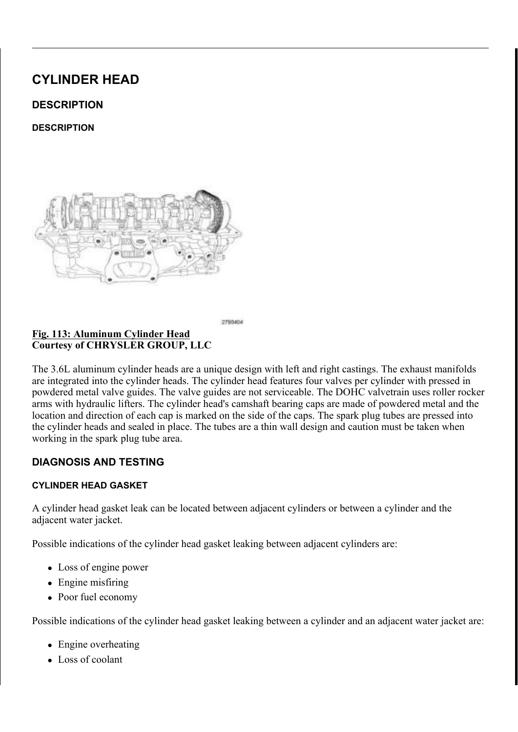#### DUH QRW UHPRYHG IURP EROW KROHFVDFUNQ CFD WR FUDFN ZKHQ WLJKWHQLQJ WKH EROWV

& OHD Q RXW WKH F\OLQ GHLOCH HEDOGRENROW KROHV LQ WKH H

:\$51,1\* 7KH PXOWL OD\HUHG VWHHO KHDGHUDJMNMHWKD FRXOG FDXVH SHUVRQDO LQMXU\ LI QRW KDQ

& \$87,21 7KH F\OLQGHU KHDG JDVN JHNNOWE O LHE BU W ZVHLHOOM OHIW DOG ULJKW F\OLOGHU KHDGV DOCHOUSH IRU ULJKW DQG / IRU OHIW

3 R V L W L R Q W K H Q H Z F \ O L @ @ HF D W H D G G HR Z HN @ W W K H Q W K H

&\OLQGHU +HDG 5HWDHLQXHQQFP&HNPOW 7LJKWHQLQJ 6  $\perp$  L J & R X U W H V \ R | & + 5 < 6 / (5 \* 5 2 8 3 / / &

3 R V L W L R Q W K H F \ O L Q G H UN K HO D NG HR VQ XWURH WWKKHH FR DOLLOGGGHHUU EKOH ORFDWLQJ GRZHOV

127 (R QRW DSSO\ DQ\ DGGLWLRUQDG\RLO WR WKH ER

QVWDOO WKH HLJKW KHDG EROWV ILQJHU WLJKW, 7 L J K W H Q W K H F \ O L Q G H U WKHRDZGQ ELROO WOVOLXOV WW WKIBHWLHRTOX SHIOROKHOO DQJOH PHWKRG 7LJKWHQ DUFFRHGADOOXWER WKH IROORZLQJ

| $\overline{z}$ 6 W H S $\overline{S}$ 0 O W R |  | 1 PIW OEV |  |
|-----------------------------------------------|--|-----------|--|
| z 6 W H S S O S W R                           |  | 1 PIW OEV |  |

- \$00'R QRWX NOH D WRUTXH ZUHQFK IRU WKLV \  $26$  W H S
- SOO'R Q FR WX NI QH D WRUTXH ZUHQ FK IRU WKLV V  $26$  W H S
- $26$  W H S / R R V H Q D O O I D V W H Q K R B Z Q L Q QU HOY GH X W W URD WILH TOX
- \$00 WR 1 P IW OEV z 6 W H S
- \$00 WR 1 P IW OEV  $26$  W H S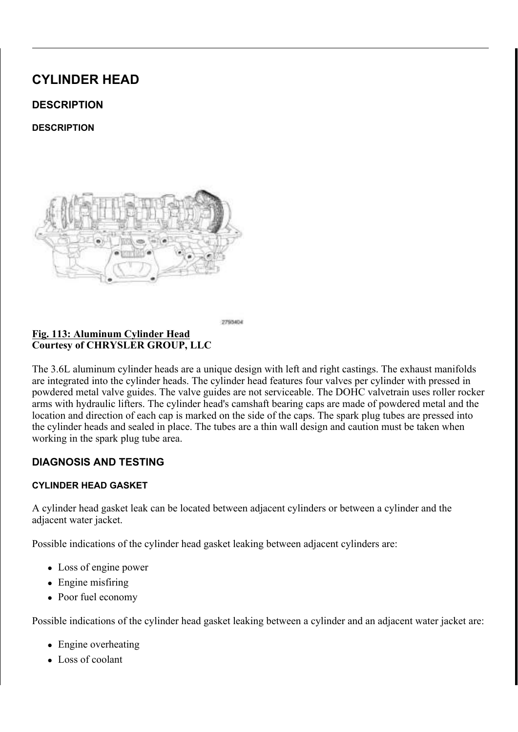z 6 WHS \$00'R QfR WX NI QH D WRUTXH ZUHQ FK IRU WKLV \  $26$  W H S SOO'R QRWXNQH D WRUTXH ZUHQFK IRU WKLV V

#### 3RVLWLRQLQJ & DPVKDIWO\$OOLJQPHQW +ROHV 9HUW <u>) L</u> J &RXUWHV\RI &+5<6/(5 \*5283 //&

- I WKH KIGUDXOLF OLIWHUVVDHUPHE OE HILWONSHUPHIXOV WHG  $127($ RULJLQDO ORFDWLRQV
- .IUHPRYHG LQVWDOO WMKRI7K15G6UDX+QL5F\$180/L&WH1U6V7 \$5/HSI7H1211
- I WKH URFNHU DUPV DUH EHLWEKHUPH KOMOR WHIBING  $127($ ORFDWLRQV

, QVWDOO WKH URFNHU D&U\$POV6 Đ\$QG F(DIP, VIK, DJIW6V7 \$5/H\$17H DJIWR 5 R W D W H W K H F D P V K D I W V & H D W Q L J G & P E N G SWR K R YO H R Q L Q Y H W K V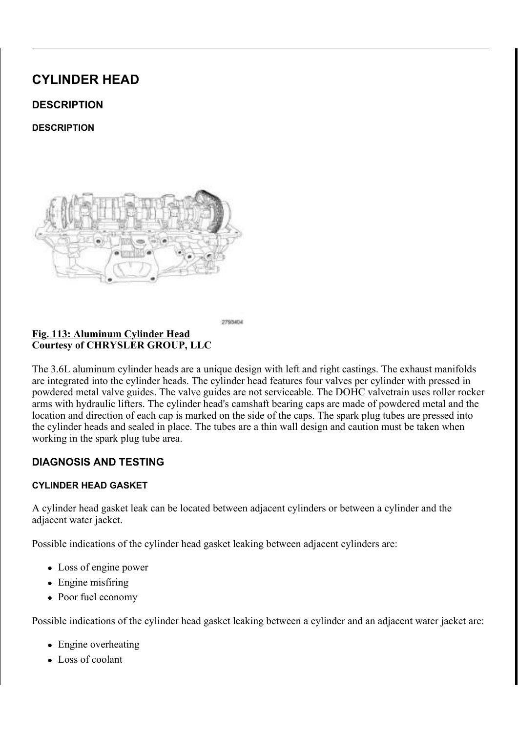.QVWDOO WKH /+ FDP FKDNLQ JX7LLGJHKWHOZLWWKKHWZREERROOWW **OEV** 

. Q V W D O O W K H / + F D P F K DD L Q GN H L Q K H B GG H Z L W K WH Z R W K RM OF W V WR. 1 P LO OEV

5 H V H W W K H / + F D P F K D L Q W KW HH GS VD ZROQ H U S X VE K LOQUIVE D GEN W K 7 H Q V L R Q H U 3 L Q V S H F L D O W R R G H 19HSU 9 W L ROW. 1 7 H GO A SLAR SQ H U  $3528('85)$ 

.QVWDOO WKH /+ WHQVLRQHU DUP

, GOHU 6SURFNHW 3ODWHG / LQN \$UURZ  $LJ$ & R X U W H V \ R | & + 5 < 6 / (5 \* 5 2 8 3 / / &

3 U H V V W K H / + L Q W D N H F DDPP SK D M H U Q Q W B O WOK B Q LGQ W D Q NG F YDOYH

&\$87.21 \$OZD\V UHLQVWDOO WLPLRODLEXWOOLLQQVWIKRHWWDO GLUHFWLRQ RIURWDWLRQ, QYKHOLLWQLKQQ D SUH SUHYLRXVO\ UXQ VSURFNHW ZLODOU UNHRVXEQ WKLO FKDLQ DQG VSURFNHW

'UDSH WKH OHIW VLGH FDFFDFFKLOSUKOD VRHYUHUD QWOKHRQ4W RO WWWOWHNKHHIGH LV DOLJQHG ZLWHKFWIRHFISDDOW HG OLQN  $D$  UUR  $Z$ R Q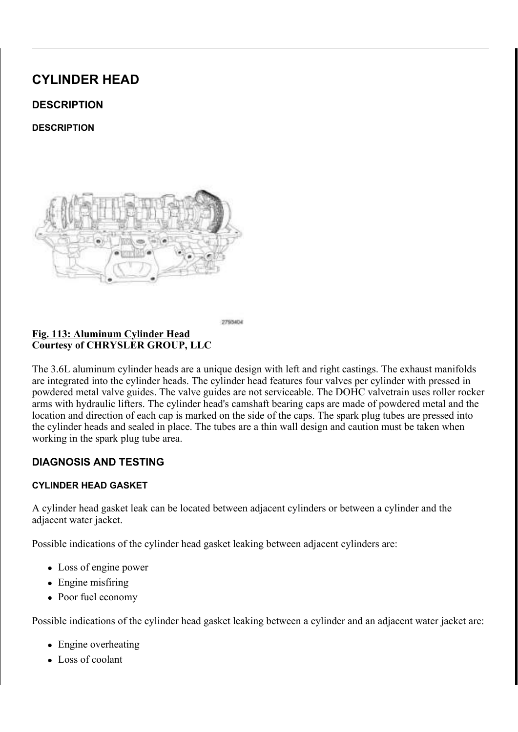<u>)LJ 3KDVHU 7LPLQJ 0DUNV -2L&ODRUKNOWWR3O</u>KDDOODHWRFN<br>&RXUWHV\RI&+5<6/(5 \*5283 //& <u>) L J \_ \_ \_</u>

: KLOH PDLQWDLQLQJ WKLYFKDDQLQJQDPLPRQXQYGUVRKXHWH[KWDKXHVFWDB WKDW WKH SODWHG OLQN NP DLON DDUN QH G Z & RAVKL WK RIQSY KREW WKDW WKH DUURZV SRLQSWDWDROZODHUG WHRFWKRHWYKDHOUYDHQFGR 3 U H V V W K H H J K D X V W F D P S KLOQWHW UD B Q WDRQ GU KKHD QH GK W K Y KWW FHDQ

OLQRU URWDWLRQ RI D FDPVKDEINWUBTTXHIZUGHGJWWRH 127( WKH FDPVKDIW SKDVHU RU SKDVHU ORFN

, QVWDOO WKH /+ & DPVKDIQW 3KDVHBIF/NRVFN&DVPSVHKFDDVD 3WKPDRVH WKH RLO FRQWURO YDOYHVW ODEQYG WR 1 P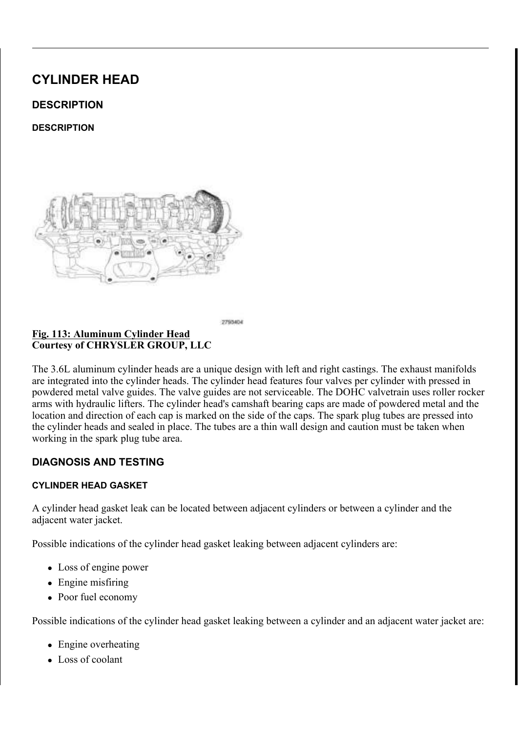## <u>5RWDWLQJ&UDQNVKDIWR&ORSENLAWARWAR7WR3'R&V</u>2QWL(RKO & R X U W H V \ R | & + 5 < 6 / (5 \* 5 2 8 3 / / &

5 H P R Y H W K H / + & D P V K D I W 3 K D V H U R R R N & B R F K D O WW3R ROO H 5 HPRYH WKH 7 HOVLROHU 30 LVO 7 YHSOHVELLEDOOH W RROIURP WSKH / 5 R W D W H W K H F U D Q N V K D I W V & V W F Z SR B B SZOK HH WO H W UK HH Y G D F X SAO LH DOLJQHG WKH ZLWK WKH EORFN EHDULQJ FDS MXQFWLRQ : KLOH PDLQWDLQLQJ WKLHVDDLOURI20VPHRODWW KYHHLUDLHIVW WRDDQWHKGWFKD HDFK RWKHU DQG DUH SDULDQQO WAXOU MDFRHWKHD YOOGD WHK PERY WHKH DUURZV SRLQW DZD\IUR**H ƏDƏK**WK**BUHDSGUWDKHOWL** VXUIDFH

#### <u>&KDLQ 3LQV ([KDXVW &UDNPLQOKJDV&HUUFLOLHDQDONNLOOD</u> <u>) L</u> J &RXUWHV\RI &+5<6/(5 \*5283 //&

7 K H U H V K R X O G E H F K D LKOD SS V QV V F D PESHKMDZ I HI HI QV W W K EI QHIHO H FDP SKDVHU FLUFOH PDUNLQJ

I WKH HQJLQH WLPLQJ LSWRRHNG KBUUHFW UHSHDW WKLV , QVWDOO WKH HQJLQH WDLWFLQQQ FGFOM-HSLHUF LAOSOSNHNUKDQWG YOLFEZU KHDG FRYHU&V2955H6HU(W\*R1(7.0.1\* .167\$//\$7.21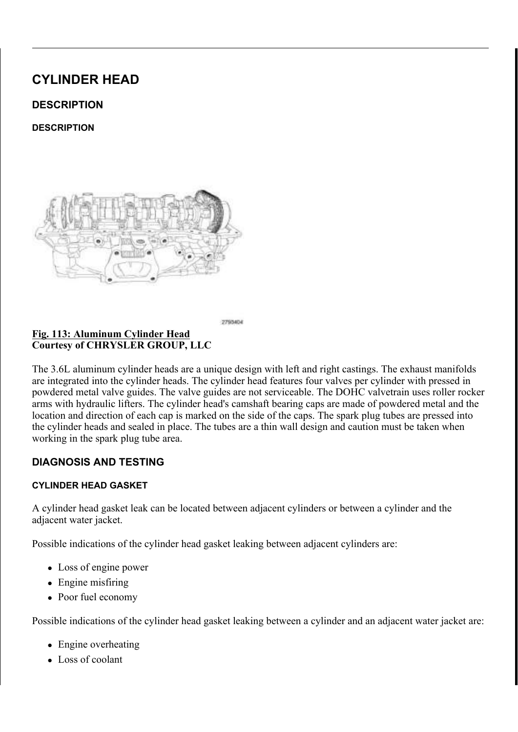& R X U W H V \ R | & + 5 < 6 / (5 \* 5 2 8 3 / / &

.QVWDOO WKH /+ XSSHU LFONWHDWNH PD @RRRVOHGO\VLXGS\SWPDDYOOEWD

 $LJ$ <u> 6 W D U W H U : L U H + D U Q H V+VD B BQ W VD V. C51 HIUWD LOOD HLOQ : LOUD FQ L</u> % UDFNHW 5HWDLQHUV &RXUWHV\ RI &+5<6/(5 \*5283 //&

(QJDJH WZR VWDUWHU ZLWWHK DISSEHUVL QUWWDHO PLOULIROWSK) (QJDJH RQH PDLQ ZLUH KDOUHQIMW FI\OLHQWGDHLQQHKUHDG YAWRYWAKKHHHD XSSHU LQWDNH PDQLIROG VXSSRUW EUDFNHWV

,QMHFWLRQ,JQLWLRQQ(JQLHQNFHW2JLLOFD31OH&VRVQXQUHHF1WHRPLSH  $) L J$ (OHFWULFDO & ROQHFWRU & R X U W H V \ R | & + 5 < 6 / (5 \* 5 2 8 3  $1/8$ 

, QVWDOO WKH VSDUN SOXJJW OTEJYK6W3HSGEIHABUR8WR 1 P  $167$ // $7, 21$ 

& RQQHFW WKH LJQLWLRQ FFFLWORED SDFLWRU HOHFWULF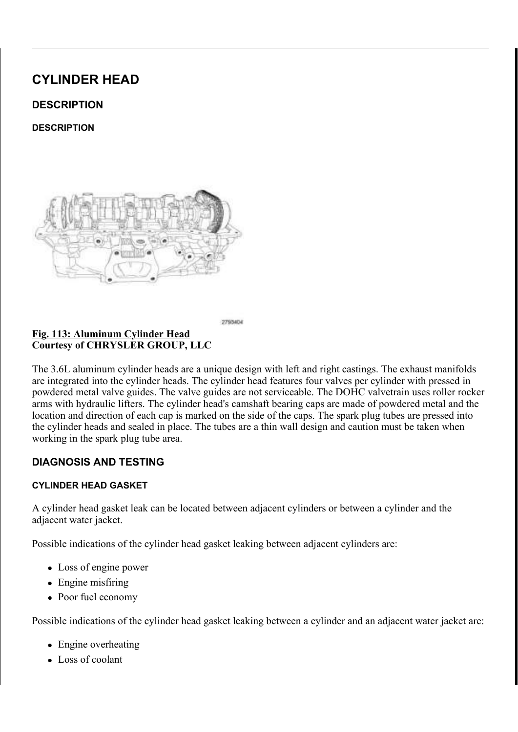## (QJDJH WKH LQMHFWLRQ LJQDLQWGLRWOKHKDHLQQJHLQM RRQQSHLFHWWR/I)<br>FRQQHFWRU WR WKH UHDNUDRLIQWHNJHEOIBFWNHFWOLQGRHQUWKKHHDI

# <u>) LJ (& 7 6 H Q V R U & R Q Q H F W R U U&HO 3 D6UHOQHVVRV</u>U 5 HOV1DDLIQQ:HLU V<br>& R X U W H V \ R I & + 5 < 6 / (5 \* 5 2 8 3 / / &

& RQQHFW WKH (QJLQH & RROVIRQU WHO HHIF SWHULLIFY OXOL SHAFWIRC

, Q V W D O O W K H \$ & F R P S U H V W R WK W H Z U H W FK W W RK U H 1H PE R O W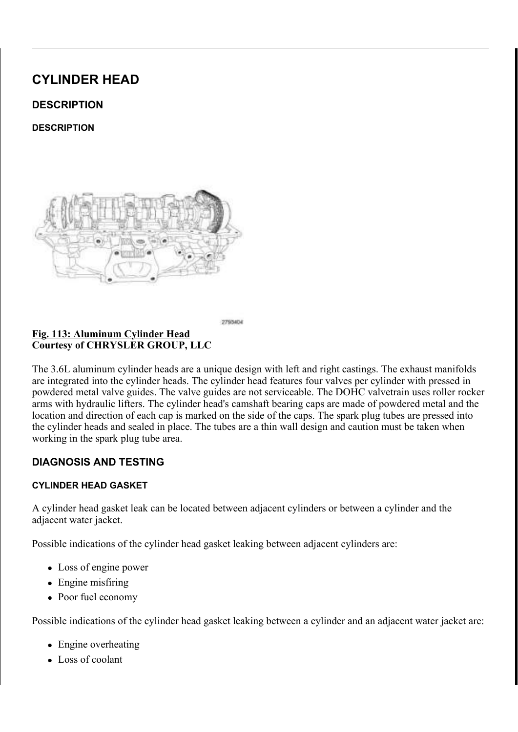) LJ \$ & & R P S U H V V R U (O H F W U D D D O V& R Q HQ W D W Q R HU I L U H<br>& R X U W H V \ R I & + 5 < 6 / (5 \* 5 2 8 3 / / &

, QVWDOO WKH DFFHVVRAUY7GU6L(378H(E7H, ON , 167\$1H/ISH7U2WR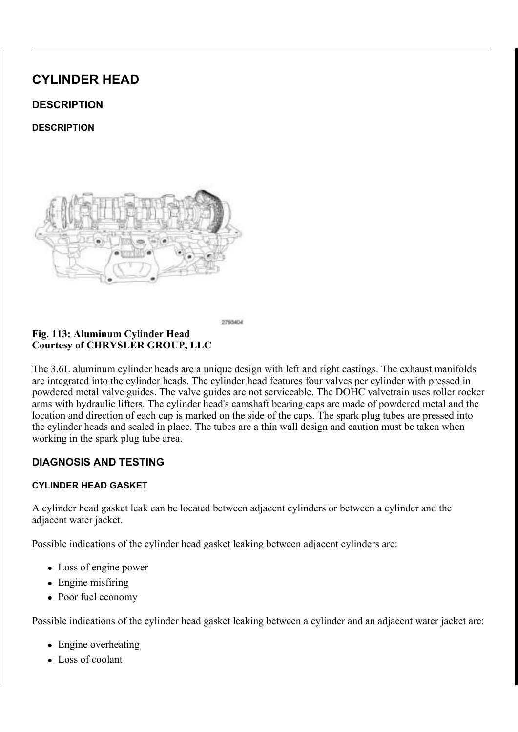, Q V W D O O W K H P D N H X S LIQUALH W X KEHID G F W YR HW KDHQ CGHHIVQ JED\LOH WUDQVPLVVLRQ EUHDWKHU KRVH

 $\underbrace{\begin{array}{c} 1 \perp J & \cdots & 7 \perp D \text{ Q} \lor P \text{ L} \lor \lor \text{ L} \text{ R} \text{ Q} & \text{\%} \text{ B} \text{ B} \text{ D} \text{S} \text{W} \text{ M} \text{ H} \text{7} \text{N} \text{ E} \text{ R} \lor \text{H} \text{8} \text{ Q} \text{ D} \text{S} \text{W} \text{H} \text{H} \text{R} & \text{A} \text{ R} \text{Y} \text{H} \text{R} \text{ Q} \text{Q} \text{I} \text{Q} \text{S} \text$ 

, Q V W D O O W K H X S S H U F DWWD O \ WDLOFGF RW Q Y KHW HW QH UD ON OD KQ J EIREOR & RQQHFW WKH OHIW XSVWUJHDPWRRIWHKQH PPDQQRZUUFRRQKODHUROM

, QVWDOO WKH OHIW FDHWB**OUWLLFDDROQYLHQUWWHDLOHGROOHRYERNOM** 

5 L J K W F D W D O \ W L F F R Q Y H U WQ H WD HVIK WR Z Q WL DO L W Q R V  $127($ VLPLODU

<u>) LJ 5 LJKW 8 SVWUHDP 2 [\JHQQ(HOFHWFRWULFRDZOQ 63HLGSV</u>HR)LO BAR<br>& RXUWHV\RI& + 5 < 6 / (5 \* 5 2 8 3 / / &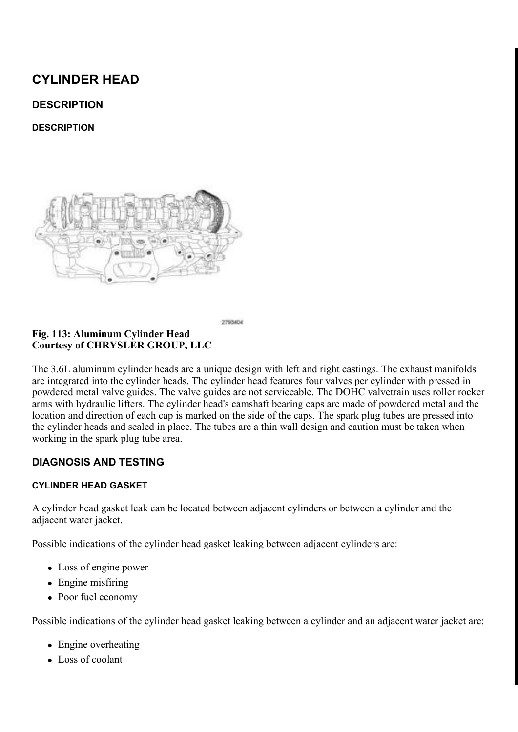) LJ 8SSHU , QWDNH 0DQLIRXOHOQ F&HROW 7LJKWHQLQJ 6HT & RXUWHV\RI & +5<6/(5 \*5283 //&

, QVWDOO WKH XSSHU DQGHORSERR N2L'QW1D7N\$H(PD1G8LESRAS\$G3, Y215 H

) LJ 9DSRU 3XUJH 7XEH ) XHO 3XUJH 6ROHQRLG<br>&RXUWHV\RI & +5<6/(5 \*5283 //&

, QVWDOO WKH YDSRU SXJUHJYARWOXHEQHRLG<u>),WYR, 16MHKIHHI8U</u>,XSMMB SXU<br><u>&211(&7 67\$1'\$5' 352&(</u>'85(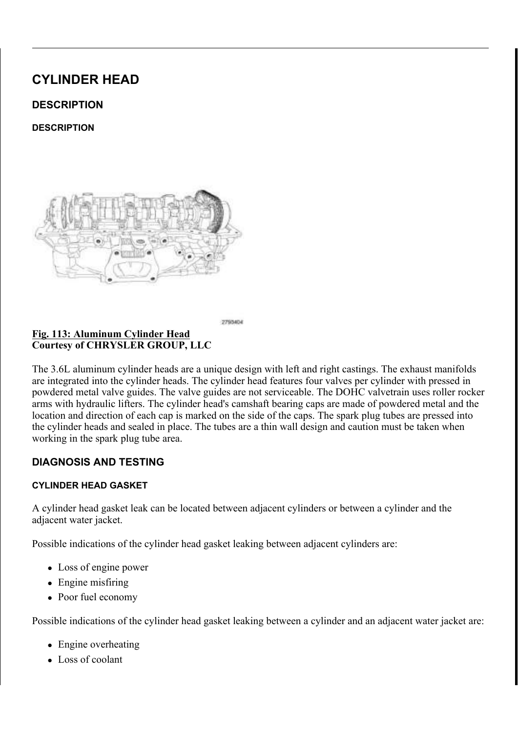<u>+HDWHU & RUH 5HWXUQU+QR17XHEH</u>HD1WMWU & RUH 5HWX <u> ) L J + H D W H U & R U H 5 H W X U W + U</u><br>& R X U W H V \ R I & + 5 < 6 / (5 \* 5 2 8 3 / / &

, Q V W D O O W K H Q X W WRK W K W K W HV X SF SRU HW HU B W D K HU K K HU W K H LQ OEV

) L J + H D W H U & R U H 5 H W X U Q 7 X E H 1 X W % R O W<br>& R X U W H V \ R I & + 5 < 6 / (5 \* 5 2 8 3 / / &

 $127($ 3RZHU VWHHULQJ SXPS QRW VKRZQ LQ LOOXVWU

5 D L V H D Q G V X S S R U W 2W K 7H, N \*H K6L7 FG O H \$ 5 5 H 3 F 2H & (W 8 FS (

, QVWDOO WKH \$&FRPSUHWWLRIKLWPHRQXQWWRLQJ1VPNXGIWDOOEGV ,QVWDOO WKH QXW DE QUIGIFENT-LOWW RIWK HWK HVK HDWXHSIOS FRWRATUH 1 P LQ OEV

, I HTXLSSHG LQVWDOORWQWAH VIXURSQHWQ**VNRG SS1OIDGSV1682DGGVGHIU**5 3527(&7,21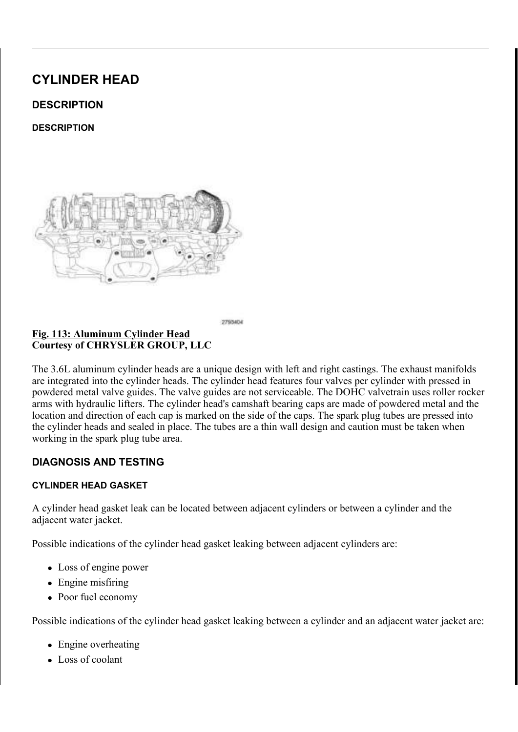$L_{\rm L}$ <u>OR X Q W L Q J % U D F N H W F%W/RROUW Y9 D FOX B P W3UX LPFSD OF R&FFNQLOQ</u> &RQQHFW\_7\SH (QG<br>&RXUWHV\ RI &+5<6/(5 \*5283  $1/8$ 

/RZHU WKH YHKLFOH

, QVWDOO WKH HOHFWULF JY LE EXOXFIN HSWY PASSO 35 HOLGALO ARSPENSE QWLQ 9\$&880,167\$//\$7,21

<u>) LJ \$LU, QOHW +RVH \$LURHP&SRHQUORNFXWUR</u>HU, \$&TOBRQV<br>&RXUWHV\RI&+5<6/(5 \*5283 //&

, QVWDOO WKH DLU LQOHHUW EKRRGAH <u>%581HDLQ\$CANGKWH\$D</u>LEU FOHDQ  $.167$$ //\$7,21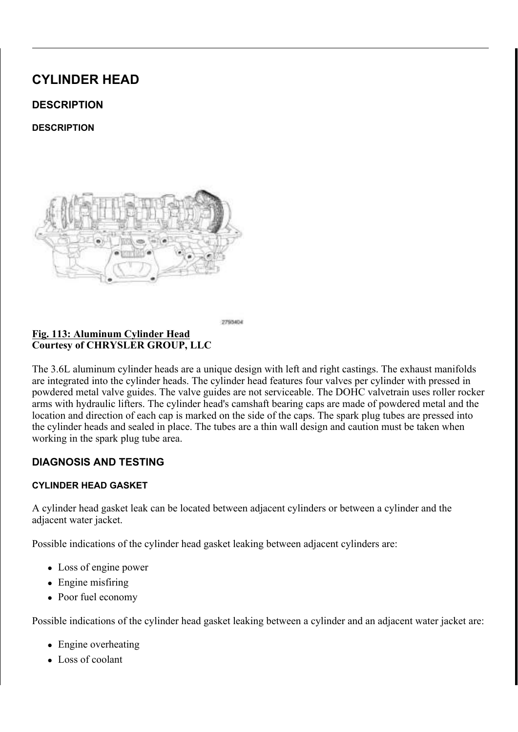<u>) L J</u> (QJLQH &RYHU & R X U W H V \ R | & + 5 < 6 / (5 \* 5 2 8 3 / / &

.IUHPRYHG LQVWDOOHWQKIHQRHLDUIDLONNTHDUVBQZGLWLKOWOKAMAKASHOR 5 H I H UQWIRQ H / X E U L F D6WILROQG D, U G 3 U R F H G X U H

) LOO WKH FRROLQ03\$VY\$\$VH3P528LH'I8H5U WR

QVWDOO WKH HQJLQH FRYHU

& RQQHFW WKH QHJDWLYHX EVDWW FRVHU \ PFDE QLEQ DQUEGVW LJKWHQ 5 X Q W K H H Q J L Q H X Q W L O LWMH B BHD FIB M W LIQHR USPHOHOF RISTHRURGO W LOC OHYHO 67-191 H'935 W R 5 2 & ('85 (

7KH & DP & UDQN 9DULDWLRQ 5HO HBUQI BURFIGGXXULHQJ  $127($ VFDQ WRRO DQ\WLPH WKHUH KDV EPHDHQHDWLRH BDSLRUZHI V\VWHP IRU HIDPSOH IO\ZKHHO GDRUYHFWUDQNQYKDDWP VHQVRUV RU FRPSRQHQWV

 $5.*+7$ 

#### ODJQHWLF 7LPLQJ :KHHOV <u>) L J</u> & R X U W H V \ R | & + 5 < 6 / (5 \* 5 2 8 3 / / &

& \$87,21 7 KH PDJQHWLF WLPLQJ ZKHHOFVRQWEDXFWWVZQLRWK P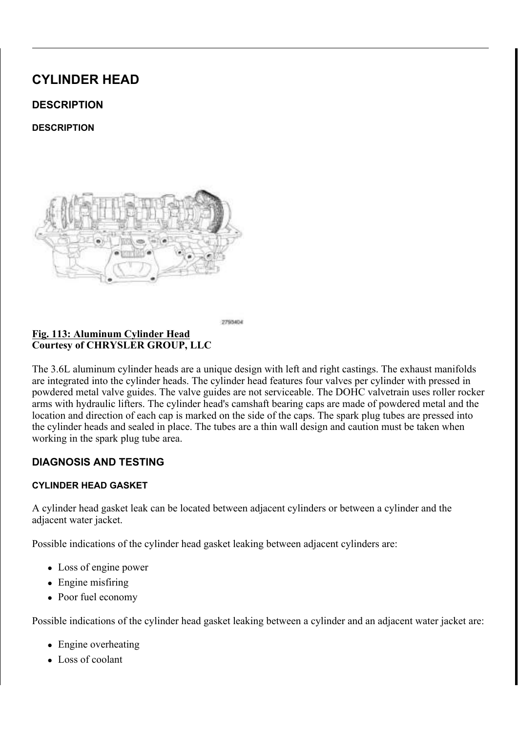## SLFNXS WRROV WUD\V HWF RHUWDQ\IRHWOKGHU7KLW GHVWUR\ WKH WLPLQJ ZKHHOV DEDLPOVLAWDIW PSRENU WKH FDPVKDIW SRVLWLRQ VHQVRU

JQLWLRQ &RLO &DSDFLWRU %ROW <u>) L</u> J &RXUWHV\RI &+5<6/(5 \*5283 //&

I UHPRYHG LQVWDOO WKEZLLWNQLDWORDRFORWLO FDWSLDRNWWHRQUHO

<u>&KHFNLQJ&\OLQGHU+QHDGH^FFNQWY</u>)RU6WUHWFKL 

&\$87,21 7KH F\OLQGHU KHDG EROWDY WRUTW.HJKSW.XHOHD SURFHGXUH 7KH EROWV PXVW EH HIDVPKQHG WKUHDGV DUH QHFNHG GRZQ WKH EROWV PXV

127( 7\SLFDO F\OLQGHU KHDG ERQQW VKRZQ LQ LOOXV

& KHFN F\OLQGHU KHDG ERDOWFDIGH RUHFWWLODLEJ WARHOGELMAAKDH WKUHDGV GRQRW FRQWDFEWH W**KHOWFFDHOGH WKH EROWPX**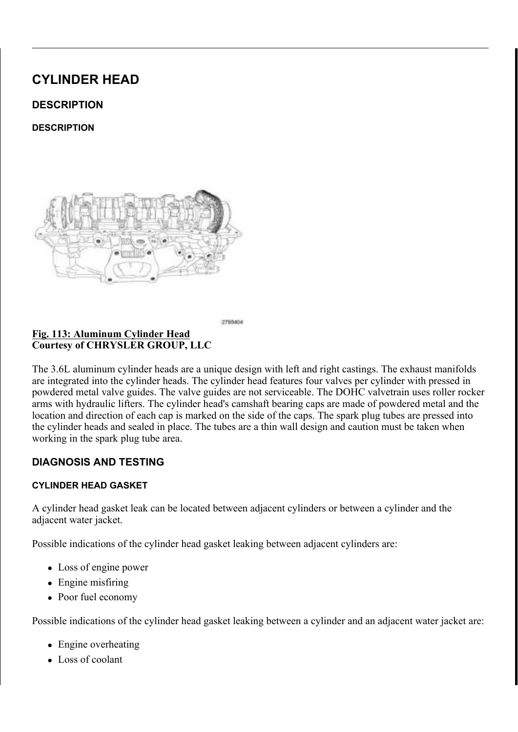+HDG \*DVNHW /RFDWLQJ 'RZHOV ) L J & R X U W H V \ R | & + 5 < 6 / (5 \* 5 2 8 3 / / &

> & \$87.21 : KHQ FOHDQLQJ F\OLQGHURKFHND C6XDUQDEF FINOLO XVH D PHWDO VFUDSHU EHFDXVH WWKRHUV XWRIXIQ 8VH 21/< D ZRRGHQ RU SODVWLF VFUDSHU

& OHDQ DQG SUHSDUH WKHNKLBIVFNADWQVGHHDUOKLEDGVOQUQU**QFEH**OVRRI 6WDQGDUG 3URFHGXUH

& \$87,21 1 RQ FRPSUHVVLEOH GHEULVR WYSF7149 DYVHDROLDQV1 DUH QRW UHPRYHG IURP EROW KROHFVDF DAVOLOFD WR FUDFN ZKHQ WLJKWHQLQJ WKH EROWV

& OHDQ RXW WKH F\OLQGHLQDHKHEDOGRENROW KROHV LQ WKH H

:\$51.1\* 7KH PXOWL OD\HUHG VWHHO KHDGHUDJJHNHWKD FRXOG FDXVH SHUVRQDO LQMXU\ LI QRW KDQ

&\$87,21 7KH F\OLQGHU KHDG JDVNJHNNOVEOHHER0NPWZHLHOQN OHIW DQG ULJKW F\OLQGHU KHDGV DZQQWOUSH IRU ULJKW DQG / IRU OHIW

3 R V L W L R Q W K H Q H Z F \ O L COURHE D W LHOD LG HD Z/HNOHW R Q W K H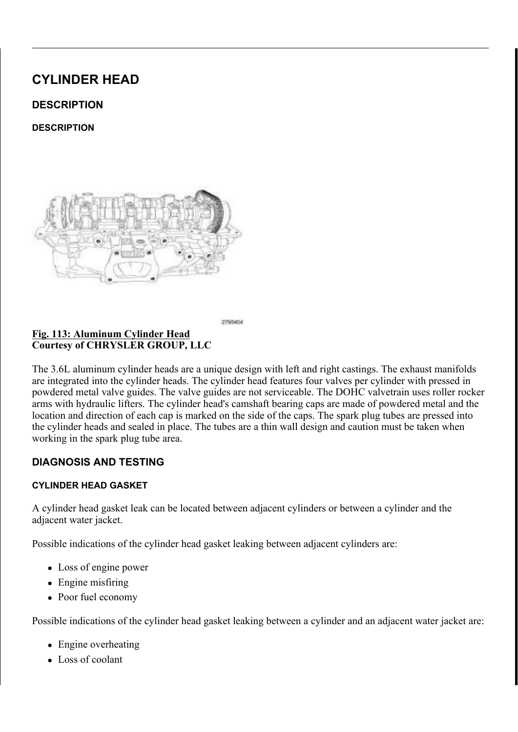$LJ$ <u>&\OLQGHU +HDG 5HWDHLQXHQQGF%L</u>RKQWW 7LJKWHQLQJ 6 & R X U W H V \ R | & + 5 < 6 / (5 \* 5 2 8 3 / / &

3 R V L W L R Q W K H F \ O L Q G H UN K H D NG HR Q XWURH WWKKHH FROQLOOGGHHUU EKCH ORFDWLQJ GRZHOV

'R QRW DSSO\ DQ\ DGGLWLRQDG\RLO WR WKH ER  $127($ 

, QVWDOO WKH HLJKW KHDG EROWV ILQJHU WLJKW 7 L J K W H Q W K H F \ O L Q G H U KK R Z Q E Q Q W O X Q W W K DHV N R Q X SHEO XEMBO DQJOH PHWKRG 7LJKWHQ DUFFRUGALOOXWER WKH IROORZLQJ

| 26WHS      | \$00 WR 1 P IW OEV                                 |
|------------|----------------------------------------------------|
| $26$ W H S | \$00 WR 1 P IW OEV                                 |
| $26$ W H S | \$00'R QfRWX NOH D WRUTXH ZUHQFK IRU WKLV \        |
| $26$ W H S | \$00'R QfRWX NIQH D WRUTXH ZUHQFK IRU WKLV \       |
| 26WHS      | /RRVHQ DOO IDVWHQXHRNZ/QLQQULHOYGHXJWWHCROWNLHRTOX |
| $26$ W H S | \$00 WR 1 P IW OEV                                 |
| $26$ W H S | \$00 WR 1 P IW OEV                                 |
| $26$ W H S | \$00'R QfRWX NIQH D WRUTXH ZUHQFK IRU WKLV \       |
| 5.6WHS     | SOO'R OFRWYM WH D WRIITYH ZIIHO EK IRII WK         |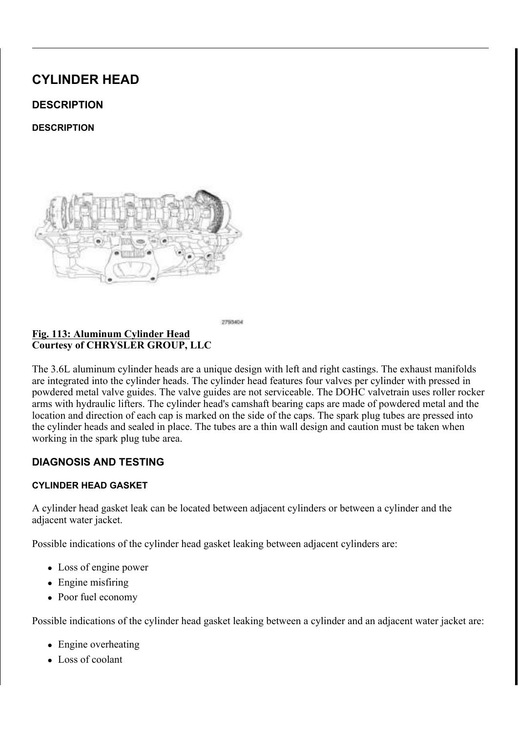$\angle$  L J 3RVLWLRQLQJ&DPVKDIWO\$OOLJQPHQW +ROHV 9HUW & R X U W H V \ R | & + 5 < 6 / (5 \* 5 2 8 3 / / &

- I WKH K\GUDXOLF OLIWHUVVDHUPHE@EHHLWQWSHUPHIXQYWHG.  $127($ RUIJIODO ORFDWIROV
- I UHPRYHG LQVWDOO WWARHI7KY5G6UDX+GxL5F\$60/LBWH1U6V7S5/HSI7H121.
- $127($ I WKH URFNHU DUPV DUH EHLWOKHUPH KWAMOR WIKIBINY, ORFDWLRQV
- .QVWDOO WKH URFNHU D&U\$POVG-D\$QQG F(DIP,VIKLDIWGV7 \$5/H\$17H12J1WR
	- &\$87,21 'R QRW URWDWH WKH FDPVKHDJLUVHVHVPRUH WKD LQGHSHQGHQWO\RIWKH FUDQNQKWDDIFWW \$FRQXOH RFFXU UHVXOWLQJ LQ SRVVLEOH KDOWYH CGHDHPGE EH URWDWHG PRUH WKDQ D IHZ GVHWENENVDZDU IURP WKH F\OLQGHU KHDGV E\ URWDWLQJ WKI FRXQWHUFORFNZLVH WR D SRVLWFHROWHU E2HQIF WKH FDPVKDIWV DUH UHWXUQHGSWRRLWWALHRLQU W URWDWH WKH FUDQNVKDIW FORFWKL2DUWHWWRRWLRH GHDG FHQWHU

9 HULI\ W K D W W K H F D P V K DWIWRVQ DOULH W KHAM DDOWL JAG SPERENC OR RKARLOH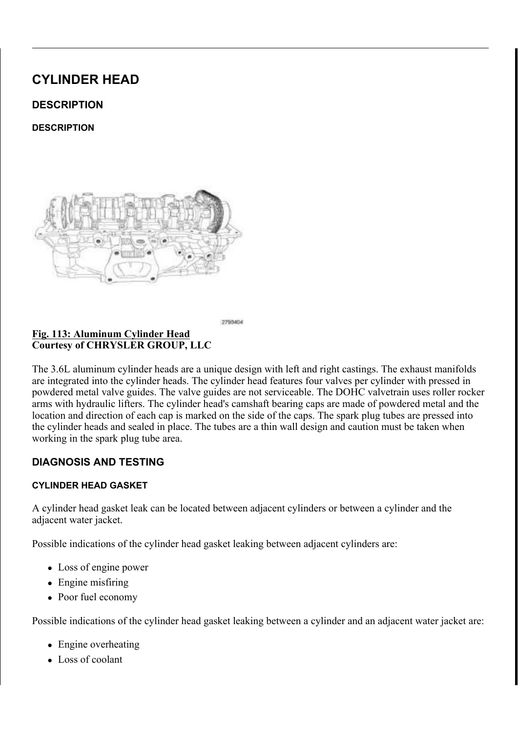&\$87.21 \$OZD\V UHLQVWDOO WLPLRODLRUNDOLLQQVWIRRHWWDO GLUHFWLRQ RIURWDWLRQ, QYKHOLLWQLRQQ D SUH

3 U H V V W K H 5 + H J K D X V W F D P DSPK/DK/DHIW R, Q W RY DYOKOH DHOI KS DKXDVOW YDOYH

&RXUWHV\RI &+5<6/(5 \*5283 //&

GOHU 6SURFNHW 'LPSOH 3ODWHG /LQN

.QVWDOO WKH 5+ WHQVLRQHU DUP

3LQ VSHFLDO WRRO 3LQV 7HQVLRQHU

W<sub>R</sub> 1 PLQ OEV 5 H V H W W K H 5 + F D P F K D L Q EWD H NQ WLKRHQ HWLH Q V LER OSH-XUV KSLLOV JW R Q

**OEV** .QVWDOO WKH 5+ FDP FKDDLQQHWEHOORVFLNRQLHWJK W2MRRBWRKOMWMJQ

, Q V W D O O W K H 5 + F D P F K DOLVQV J X L G 7HL J K WZHL Q W KW KW HK U7 H HOE ER POW

5 L J K W & D P & K D L Q 7 H Q V L R Q H U \$ U P \* X L G H % R O V <u>) L J</u> & R X U W H V \ R | & + 5 < 6 / (5 \* 5 2 8 3 / / &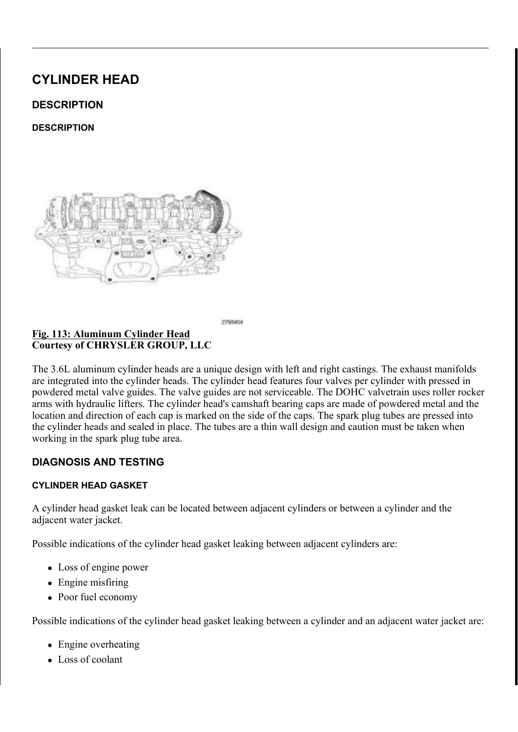## SUHYLRXVO\ UXQ VSURFNHW ZLODOU UWHRV KEQ WKLO FKDLQ DQG VSURFNHW

'UDSH WKH ULJKW VLGH FDVPNFFKDDPLQSKRDYVHHLUWDKOHG5R+QHNNFKDDWNKH WKH GLPSOH LV DOLJQRQ ZVLKVHKFVDRHFKSDIDQWHG OLON

) LJ 3 K D V H U 7 L P L Q J 0 D U N V  $\ell$  L&OD PR K NOW WR SOK D DYEN U H V R F N 5  $R$ RXUWHV\RI  $8+5<6$ /(5 \*5283 //8

: KLOH PDLQWDLQLQJ WKLYFKDDQLQJQDPLPRQXQYGUVRKXHWH [KWDKXHVFMDB WKDW WKH SODWHG OLQNMPDQH PDOUNQHG Z&RWKLWKRQSWDKW VR WKDW WKH DUURZV SQRGGWWEDZADF\UILLERHPOHLDOFHKVRWKDHUUH<br>FRYHU VHDOLQJ VXUIDFH VHOIURHOVWRWWTMHLQLOWDINNHFIBPASKLU RLO FRQWURO YDOYH

OLQRU URWDWLRQ RID FDPVKDEINWUBTIXHIZUGHGJWHRH  $127($ WKH FDPVKDIW SKDVHU RU SKDVHU ORFN

, Q V W D O O W K H 5 + & D P V K D IOW 3 K D V HIRLF NRVF N& DVPSVHKFDLIDNO 3WK B R H WKH RLO FROWURO YDOYHVW ODEOVG WR  $1$  P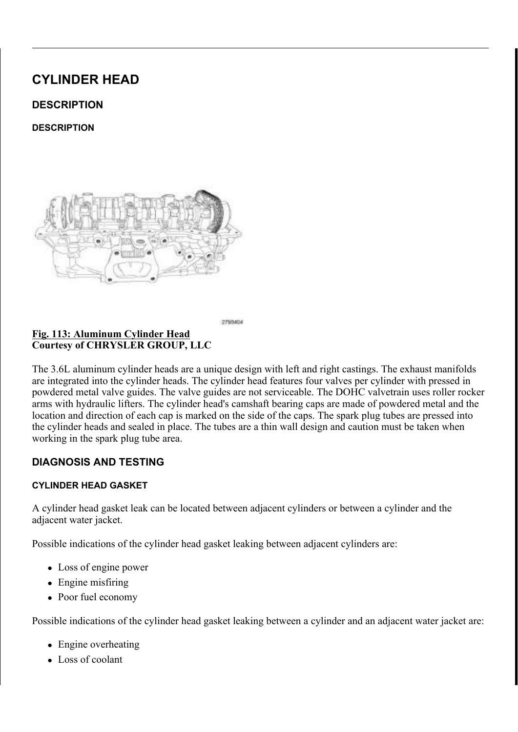<u>) LJSTER WDWLQJ&UDQNVKDIWR&ORSEN ZWLRVOH \$7VR 78'R&V2L</u>QWL(RKO<br>&RXUWHV\RI&+5<6/(5 \*5283 //&

5 H P R Y H W K H 5 + & D P V K D I W 3 K D V H U R R NF W & B R Y K D D W W 3 K D W K R O H 5 HPRYH WKH 7 HQVLRQHU SQLVQ 7VHSQHVFLLFDQQHW RROIURP WSKH 5 5 R W D W H W K H F U D Q N V K D I W V & V WWEZES E R B SZOKHHNQ HWUKHHY R DPXSNOLH DOLJQHG WKH ZLWK WKH EORFN EHDULQJ FDS MXQFWLRQ :KLOH PDLQWDLQLQJ WKLHVDDUOLRIQVPHRQQWWKYHHLUDLHIWWKDDOWHGWFKD HDFK RWKHU DQG DUH SDULLQQO O HAQU MD FEH WKH DY QD GD WH KB FAY WHKH SRLQW DZD\IURH BDQKSWKBUHDQGUWDKOHOUWL DUURZV VXUIDFH

<u>&KDLQ 3LQV ([KDXVW &UDNPLQQKJDV&HUUFLOUHDQDONNLOODJ</u> &RXUWHV\RI &+5<6/(5 \*5283 //&

7KHUH VKRXOG EH FKDLQ SSWQR/DP SEKHDW ZHUH WQUW BI ENGIHOLI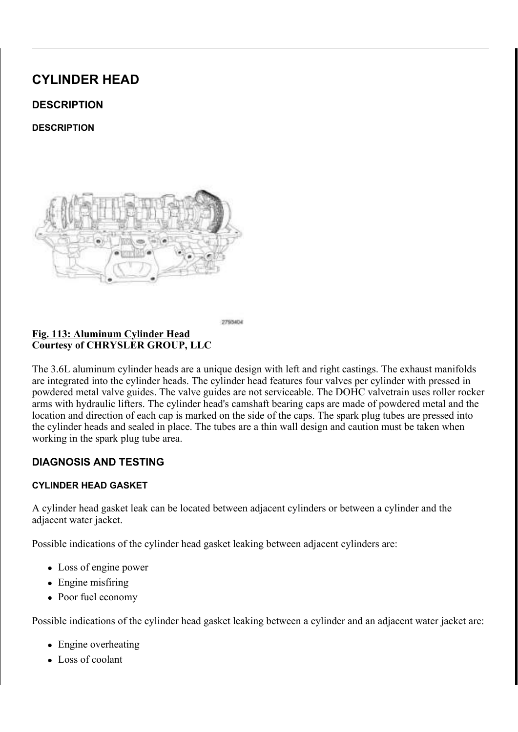### FDP SKDVHU FLUFOH PDUNLQJ

I WKH HQJLQH WLPLQJ LSWRORHNG KRUUHFW UHSHDW WKLV , QVWDOO WKH HQJLQH WDLWPLQQQ FGROM-HSUHUF UXOSOSNHVUKDQWG YOUREZU KHDG FRYHU& 29 55H 5H U (W\*R1 (7,0,1\*,167\$//\$7,21

#### <u>)LJ 8SSHU ,QWDNH 0DQLIRXOGG 6)XDSA</u>SVRHUQWH & WDFNHW<br>& RXUWHV\RI & +5<6/(5 \*5283 //&  $L$ 6 W

,QVWDOO WKH VSDUN SOXJJW OTEJYKEW3HSHGIHABUR8WR 1 P  $.167$$ //\$7.21

& RQQHFW WKH LJQLWLRQQFORHLFOWFRDUSD FLWRU HOHFWULFDO , QVWDOO WKH XSSHU LQWWDNHZPLDWQALIMRKOHG WWXSSERENOWEUDFKN

+ HD W HU & R U H 6 X S S O \ 75XHEVM D6LXQSLSQRU W R % O WD F N H W  $\sqrt{8 R X U W H V}$  RI  $\sqrt{8 + 5 \cdot 6}$  (5 \* 5283 // 8

.QVWDOO WKH KHDWHU FRRIEHWXSSWOLJMKXWEHNOHGZWLRWK RIQPHI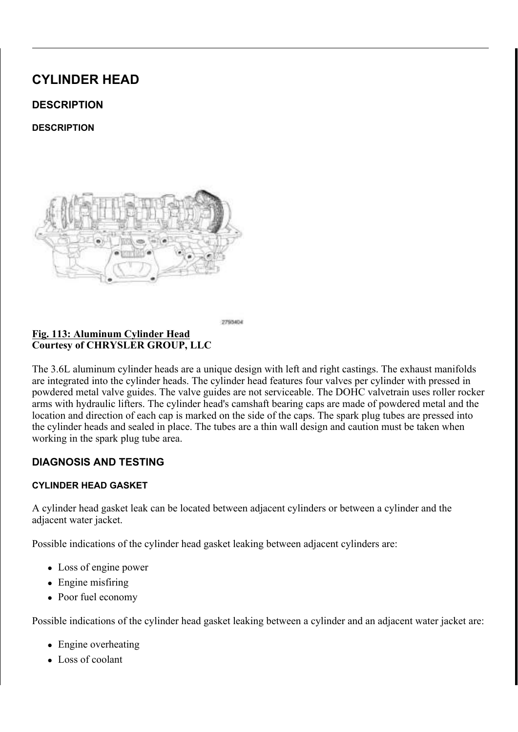) LJ 2LO / HYHO , QGLFDWRU 5HWDLQLQJ %ROW<br>& RXUWHV\RI & +5<6/(5 \*5283 //&

, QVWDOO WKH RLO OHYHWOLUQ WHEQOHWGRU 1 PZLWKLQEROEVV

, QVWDOO WKH JHO (HUDGWESU , 1675 HYBILU, 2MR , QVWDOO WKH DFFHVVRAUY7GU6L(378H(E7H, ON , 167\$HVI\$H7U2WR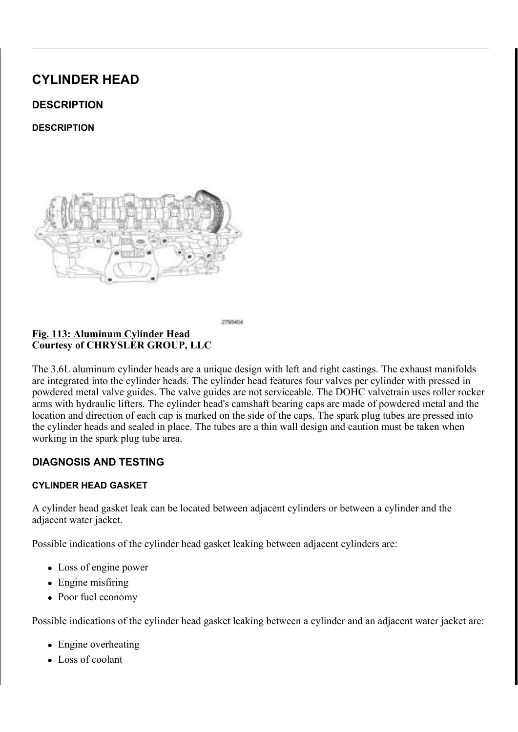, QVWDOO WKH XSSHU DQG OWRDSEHILJ 21/QW, DTNSH (PDQGL71\$R/0\$S7V, 21

) L J 8 S S H U , Q W D N H 0 D Q L I RXCHEQ F&HR O W 7 L J K W H Q L Q J 6 H T & R X U W H V \ R I & + 5 < 6 / (5 \* 5 2 8 3 / / &

, QVWDOO WKH XSSHU FDWWDO\WDLOFGFTAVQYKHWWHOHUDOODDQUJEREOR & RQQHFW WKH ULJKW XSV WPUMDP RMRJMWOKH W HPODVLQUZE BROXHDFU

, QVWDOO WKH ULJKW FISMM BSOOWVLLFDIENROQYLHQUVWWHENDOHDGQQUHRYERM

<u>) LJ 5 LJKW 8 SVWUHDP 2 [\JHQQ(HOFHNFRWULFRDZOQ 63HLGSV</u>HR)LO BAR<br>& RXUWHV\RI& + 5 < 6 / (5 \* 5 2 8 3 / / &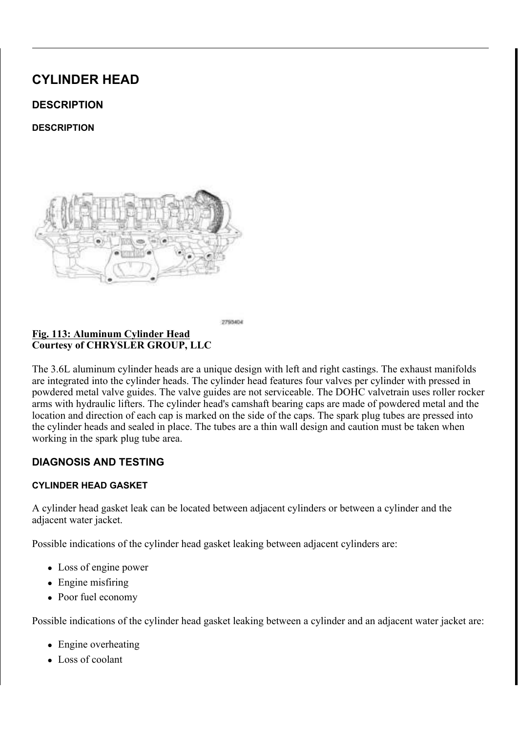<u>) LJ 3&9 + R V H</u> 3&9 9 D O Y H<br>& R X U W H V \ R I & + 5 < 6 / (5 \* 5 2 8 3 / / &

, QVWDOO WKH 3&9 KRVH WR WKH 3&9 YDOYH 5 D L V H D Q G V X S S R U W 2W K H, N\*H K6L7 50 H 55 H 3 E H 2 LA ( W 8 TS ) , I HTXLSSHG LQVWDOORWQKWHVNXWRSQHWQ**VNRG &SNOGW%B2DGQVGHIU**5 3527(&7,21

 $L$ ORXQWLQJ%UDFNHWF%UKRQUWY9DFQXHPW8UXLPFSDOR&FFNQLQQ &RQQHFW 7\SH (QG &RXUWHV\RI &+5<6/(5 \*5283 //&

/RZHU WKH YHKLFOH

, Q V W D O O W K H H O H F W U L F JY LE END XF PN HS W P 368 0 35 HD (B) (B 7754FR& Q W L Q 9\$&880,167\$//\$7,21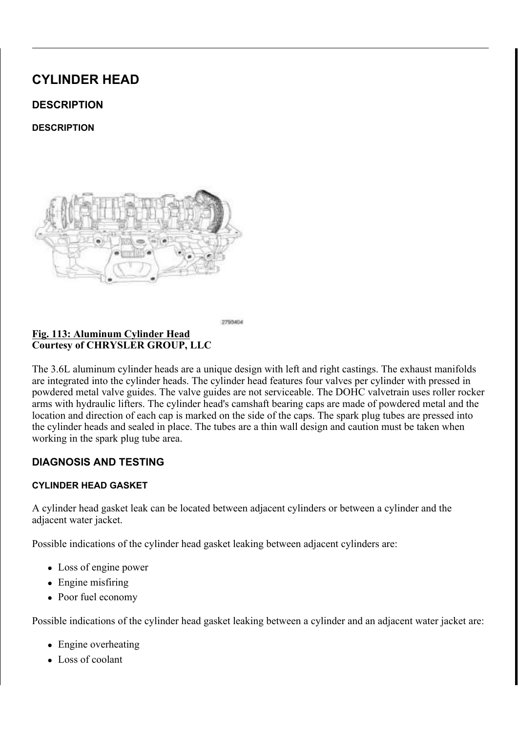$127($ 7 KH & DP & UDQN 9 DULDWLRQ 5 HO HD HD I BUR FIG GXXVLHQ.

, QVWDOO WKH HQJLQH FRYHU & RQQHFW WKH QHJDWLYHX EVDWW FRVHU \ PFDE QLEQ DQUEGVW LJKWHQ 5 X Q W K H H Q J L Q H X Q W L O LWMH B BHD F B M V K LQ HR U & HO HOF R STHRUGO W LQ OHYHO 657H\$1H'L\$5W RS2& ('85)

) LOO WKH FRROLQ03\$VY\$YSVH3P5286H'18H5U WR

,I UHPRYHG LQVWDOOHWQKLHQRHLDUIDLQAWFHDUVBIQZGLWLKOWOOKMMAKHSHOR 5 H I H VQW IRQ H / X E U L F D6WLDROQG D, U G 3 U R F H G X U H

) LJ (QJLQH & RYHU<br>& RXUWHV\RI & +5<6/(5 \*5283 //&

, QVWDOO WKH DLU LQOUH EVRKGRVDHQG WWKRH WWKHURDWW OF BDHEDREGEHI  $1$  P LQ OEV WR. & RQQHFW WKH HOHFWULWFDSQL UFRYQUER TWIR WYXUHWRS WKWHOQNOR

<u> \$LU ,QOHW +RVH \$LU RHP&SRHQUODHWFXWUR</u>HU ,\$&O**DFIQV** & R X U W H V \ R | & + 5 < 6 / (5 \* 5 2 8 3 / / &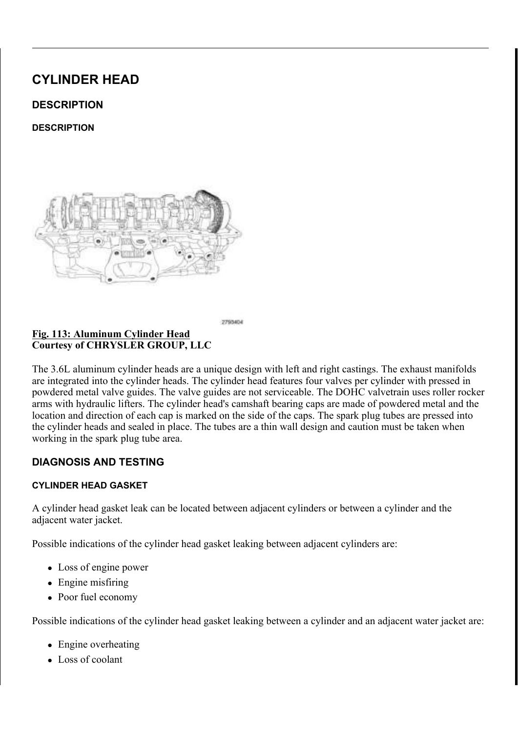VFDQ WRRO DQ\WLPH WKHUH KDV EPHDHQHDWLRH BDSLRUZHI V\VWHP IRU HIDPSOH IO\ZKHHO GDRUYHFWUDQNQYKDDWP VHQVRUV RU FRPSRQHQWV

 $$66(0\%/\leq 9\$ 5.  $\frac{6}{9}(1\frac{9\%}{10}, 7.0.1^* 3+ \$6(5^2 \frac{9\%}{10}, 752)}$ 

 $' (685, 37, 21)$ 

 $' (685, 37, 21)$ 

(IKDXVW 3KDVHU \$VVHPEO) & R X U W H V \ R | & + 5 < 6 / (5 \* 5 2 8 3 / / &

7 KH / HQJLQH LV HTXLSSHGLQZLW9K9 79 DU7LKDLEVOVH\V9WDIBYFHDGLMARXVW FDPVKDIWVLQGHSHQGHQWOWW.RYOQYJDVORYOHNYQWRRGGYLDBIGWARRQOFBS SKDVHU DVVHPEOLHV 7KH FDDRQVFKHDVIWDGG6KDRVUHUHDWDVUHGPVEDFL HOJLOH SHUIRUPDOFH PLG UXOHOOJHHRVRROURTPXHDLOGGOUHTGXXOFOHUWWRLY DUH ORFDWHG RQ WKH IURKCHW9BI7 WIRENH-CORPLUGKVDIWNOVLEGHHKLRGKGAWWY HIKDXVW SKDVHUV DUH LGHDQNWHLKEHDGVE1UWKDUH DQHGQWWKHDLYHGGWZ KDV D FORFNVSULQJ WKH **ED PWOKNOH VSK/DSVUHRUF NGHRVAI W DURHVLQKWHHJ** SKDVHU DQG DUH VHUYLFHOFSOW WOR BIVVBFFEREGRHOWRKWHDDSWE 3 K D V H U V D U H L Q W H U F K D Q J **H D VE OF NO E KI VG E H H K H D** V K H E X W K F W H B Q G ORFDWLRQ DV UHPRYHG

7 K H / HQJLQH KDV DQ 2LO H&DRRKW SIRDOV9HDUO Y7HK H22&899 DROUV BIJDFN WKH 3KDVHU WR WKH FDPVKD/ISNULTOKJHO 2R&D SOHNG SBROG V PARA KOBOL VPR ERG\ 7KH IRXU 2&9V DUH LGWHDQOWDLHFGDQDE XWWKHVK/KDXPOHGOERHFDLWQ

23(5\$7,21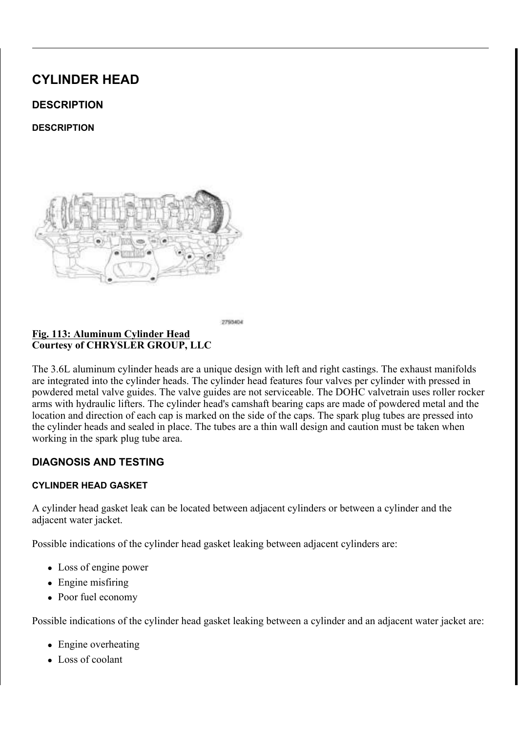\$W HQJLQH VWDUWXS V\VWUHPQRILSOU**SIUMXUMUDHQRGYXBOLLEQRPN\** 

<u>) L J 3 K D V H U B V Q Q 3 R</u> RV FL NV L R Q<br>& R X U W H V \ R I & + 5 < 6 / (5 \* 5 2 8 3 / / &

(DFK SKDVHU SRVLWLRQ LVODSGUVHXVVVXHUGH XVVKLUGRIXUHIJVXKOHDV27HRGG &RHI EHJLQ SKDVHU PRYHPHQW WORYRWOKWHD9J9H7WLRJQHDNODRILVGDSSOMOHRC SLQWOH 7KH SLQWOH SRRKOHYDDOMOHLQVWZLDNOKLQWHKUHDDNA DQG EDFNZDUGV WR GLUHFW RLO IORZ

<u>) LJ 2LO & RQWURO 9DOYH Q2M8QRL9G973L6GRW0EH0RL,GQ</u>W6HRUQDO 6<br>& RXUWHV\RI& + 5 < 6 / (5 \* 5283 //&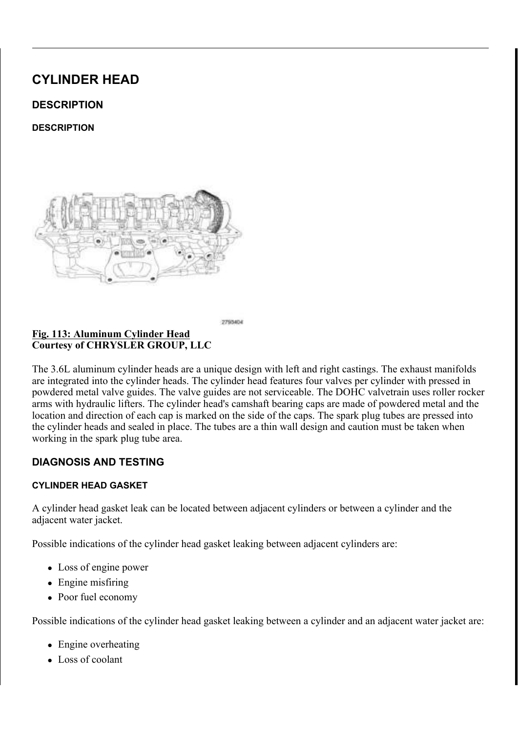SUHSDUDWLRQ IRU SKDVLQJSRYKLHWSLRDQVXHQWLLOHDD3L&QQZLXQGJAQK PRGXODWH WKH 997 VROHQRLOG SSUVHYHOLAU GHL V KUAHVGOKTE ZHOZU DEVRWE ORFN SLQ SRVLWLRQ +RZ3HKYDHVUHUE@IFIBNSWHWMRKWHUHDIYKHDR@QWGAR D WKH VWDQGDUG FDPVKDIWWFDORFFNIZALIVBN FUORRWFDWWLXROULQWKLHHNUDURHQTI WKH RWKHU KDQG VLPSOWWHDQQLFHHVIRRQPWWKKHHWRDLOWLHRVQQDRDALMQH3WLI SRVLWLRQ

7 KH SRVLWLRQ RI WKH VSRRO GYDNOMHPLQ HOVV ZIGLHF KWISTRU LANG DQ SKDVHU DUH EHLQJIHG HLWRKUH**UHWRDDGYDQWFKH WLKPLRLQQCDF** WKH FDPVKDIW 7KH VSRRO WI**819 YFHK DDPEVHRU U HWARK WAXYH RYXORO SU**RP & 03 VHQVRU PRQLWRUV WKHLWSKRWLHWLISRHOFWRIWWRKWYKFHDFFWLND00WNRWKZ WKH 3&0 \$V RLO SUHVVXUH SPKIV KWHKVH DSJADDLVAHVUV WAR NYD OQUFFAHHI UF WKLV URWRU LV SK\VLFDOLORNORNUWLDREWEDGYLWRRO.WFKON-HOWPVWW-KADHHWDD WR WKH VWDQGDUG VSURFNHW SRVLWLRQ

 $5(029$  \$/

 $/()7$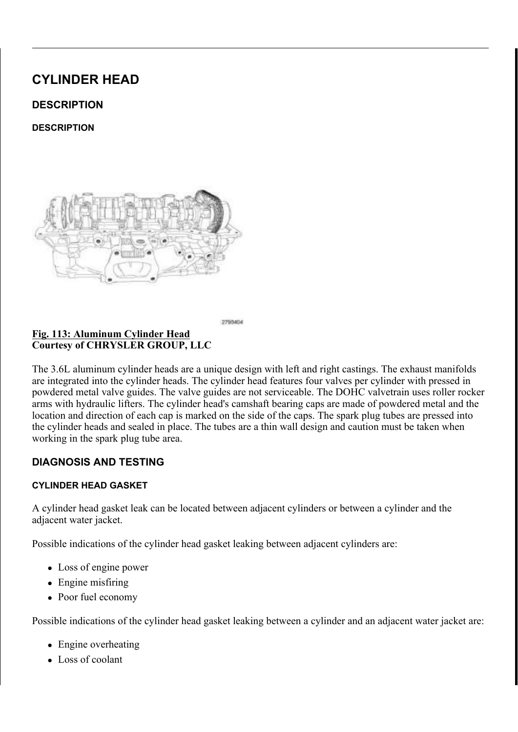$L$   $J$ ODJQHWLF 7LPLQJ :KHHOV & R X U W H V \ R | & + 5 < 6 / (5 \* 5 2 8 3 / / &

> & \$87,21 7 KH PDJQHWLF WLPLQJ ZKHHOFVRQWEDXFWWVZQLRWK P SLFNXS WRROV WUD\V HWF RHUWDQ\IRHWOKGHU7KLW GHVWUR\WKH WLPLQJ ZKHHOV DEDLPOVLKWDIW PSRERLUN WKH FDPVKDIW SRVLWLRQ VHQVRU

) L J &RXUWHV\RI &+5<6/(5 \*5283 //&

5 HPRYH WKH XSSHU LQWD**NNOPVDDQQGROBIWOFFIQVLQJ&G2H9JW**9KER**IQ**Q  $6 \< / 1$ '(5 +(\$' 5(029\$/

5 HPRYH WKH ULJKW LJQLWVLRQHFFGRNSION ROMG DO @9 \$ SDUNSO

& \$87,21 : KHQ DOLJQLQJ WLPLQJ PDULNQ/H EN ZNONN WOLLRQVU FUDQNVKDIW ) DLOXUH WR GRQVOR EZUOSOL VUMMRØG GDPDJH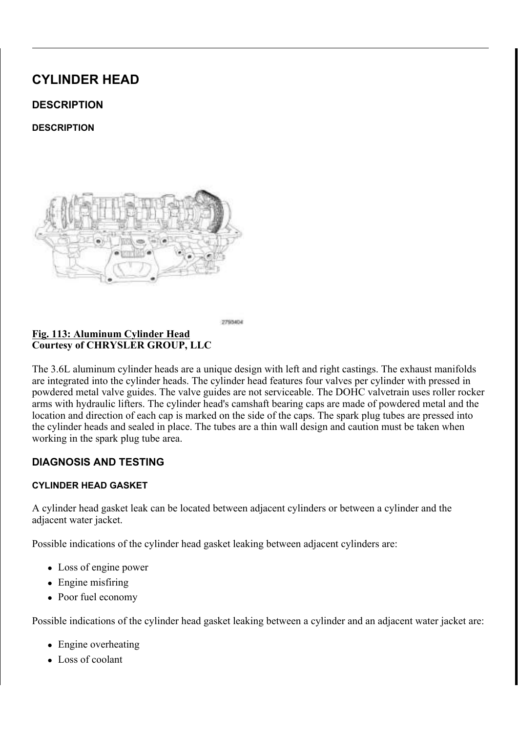ORXQW 'LDO, QGLFDWRU 6HMWV'SLHDFOLDODGWFRDRWORU& SHW F6 D HQJLQH VXFK DV WKH QXPERNUOWR-RUXHOHWF\\$ORL\@UGWHURDJQWLKWHLLE QXPEHU RQH F\OLQGHU URWHDDWH WLKHEZHFGHDORNF KWDKWH FLORROFW ROH F\OLOGHU SLVWRO DWWWRSY WGUHRONGHFDHOOGW NHWROW MWHKHLOHO

SUURZV 6FULEH /LQHV 0R&XQQLVQLGGHUU6-XHUDDGF&JRYHU &RXUWHV\RI &+5<6/(5 \*5283 //&

7 KH OHIW VLG&5F%DP/SK(DSVMERXOG IDFH DZD\IU\$R5F32H:DFK R VKRXOG SRLQW WRZDUGWHRD WHKHRWFOHLLOG BOLG KEHHDSGD EIRONOU ZKHQ WKH QXPEHU RQH F\OMQQU/FR\SSGLHAD/VGRROHLQW/SHRVRLQV/LWRKQHH

3 K D V H U 7 L P L Q J 0 D U N & RK B K Q V 3 H L Q V U L DK OD JAVOV HW 0 & DDU N  $LJ$ 9DOYH 6FULEH /LQHV SUURZV & R X U W H V \ R | & + 5 < 6 / (5 \* 5 2 8 3 / / &

 $127($ D Q GH L W FK RH XUO LG QD HO JLW HQ UZ 7KH SKDVHU PDUNLQJV (LWKHDVDOR QQ PDHVQ WWKLHVU LQWHUQDO FKDLQ OLQN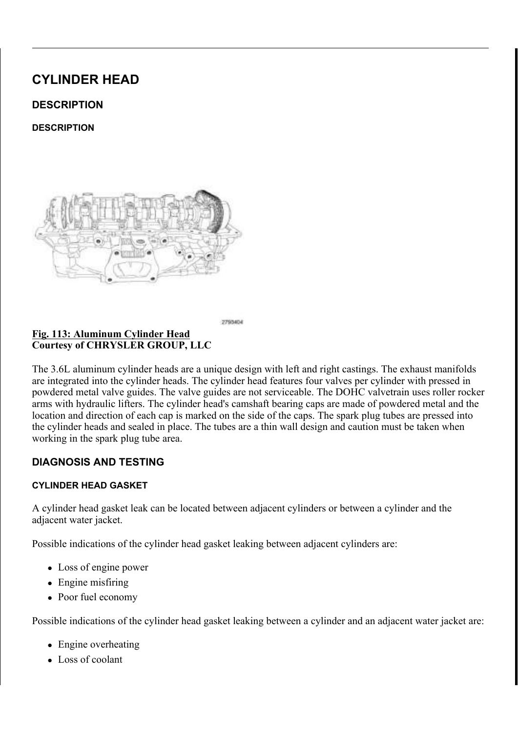## WZHOYH FKDLQ SLQV EHWZHHQ WKH PDUNLQJV

7 KHUH VKRXOG EH W2(H7O(YHWFKBLHQIKSDLXQWWFDP SKDVHUWU WKH LQWDNH FDP SKDVHU FILURFPOHHLRMOKUHNULQWKH IUDRVOWLHRZUHO O D U N E R W K V L G H V R I W K H LFODJP PFDKLDNLVQ D WD QWGK H SXYD Q UH UD WS WR DLG LQ UHDVVHPEO\

#### & DPVKDIW 3KDVHU / RFN: U 2HLQOFK& RQWURO 9DOYHV  $L$   $J$ & R X U W H V \ R | & + 5 < 6 / (5 \* 5 2 8 3 / / &

.W PD\ EH QHFHVVDU\ WR URF\N DWKHHZFGDHPJUKHDHIW \  $127($ ZUHQFK ZKHQ LQVWDOOLQJ WKH FDPVKDIW SK

QVWDOO WKH VSHFLDO WWRBKODVHU /H/IRWFNSLO&HDPVKDDIJDLO, FRYHU PRXQWLQJ VXUIDFH ZASWK WKH WRRO QXPEHU IDFL /RRVHQ EXW GRQRW UHPQRYYHDOW KHH | DKOQOSWWKRLLOQ FWRDQNWHU 5 HPRYH WKH VSHFLDO WRROKDVHU //HRIFWN 6 & GOFFVKDIW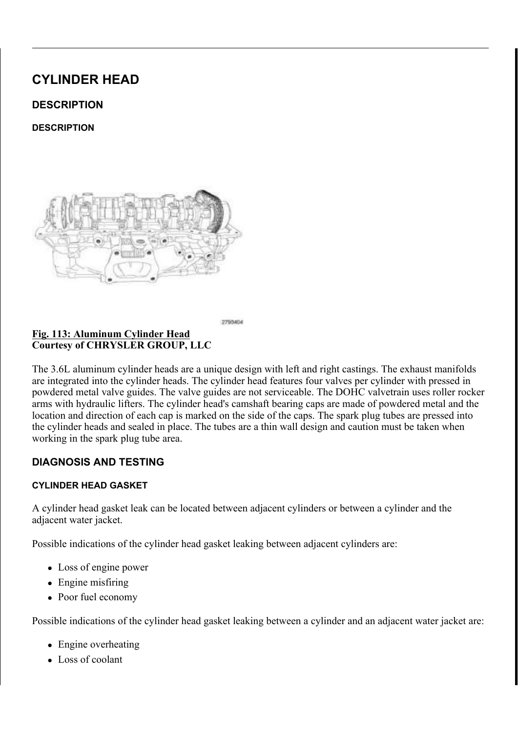& R X U W H V \ R | & + 5 < 6 / (5 \* 5 2 8 3 / / &

\*UDSKLF VKRZV HQJLQH WLPLQDURWHU UHPRYHO  $127($ 

8 V L Q J V S H F L D O W R R O S D Z O R LIQR I W K G LU W F W K H I IK R IO H WKH UDFN SXVK VSHFLDOQWR&RODLQ /HIWR6OLGGHHU 7LLPQLWR F\OLQGHU KHDG DQG WKH FUDDPFRKDDQLG SIX WOW FRO RIN FLHQ WW FK KROGHU UHPDLQV LQ SODFHH BKL50HHHSWUSKMATRSOK DIVH6U7VS 1DSU5H'UH  $3528('85)$ 

3LQ 5DFN 7LPLQJ&KDLOQ9+DROOYGHHVU 2LO&RQWUR  $8$ RXUWH $\overline{V}$ \RI  $8+5 < 6$ /(5 \*5283 //8)

5 HPRYH WKH RLO FRQWURVOWLDGOHY HIJKD XDVQWG FOXPOGS KWDKVHHLOD HR 5 HPRYH WKH RLO FRQWURWO WLDGGHY HQWDDNGHGFSD XPOSOK DWW.HHUO RHI

 $5, * + 7$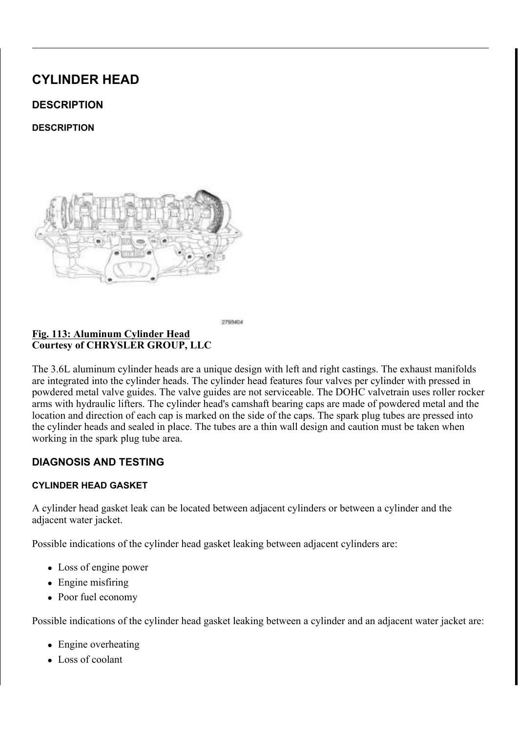& \$87,21 7 KH PDJQHWLF WLPLQJ ZKHHOFVRQWEDXFWWVZQLRWK P SLFNXS WRROV WUD\V HWF RHWDQ\IRHWOKGHU7KLW GHVWUR\ WKH WLPLQJ ZKHHOV DEDLPOVLKWOLIW PS R R LUN WKH FDPVKDIW SRVLWLRO VHOVRU

& R X U W H V \ R I & + 5 < 6 / (5 \* 5 2 8 3 / / &

5 HPRYH WKH XSSHU LQWD**RRLPDD/QDLQRGOGLJUKLWKFWOLLCQGLHWLRG**U  $&29(5 \ 6 \ \< 7,1'(5 + (\$' \ 5(029\%)$ 

5 HPRYH WKH OHIW LJQLWVLRQHFIGR1LISOSWR13/Q3 GBOOO29/\$SSDUN SOX

& \$87,21 : KHQ DOLJQLQJ WLPLQJ PDULNQ/H END ZNO NO WOLKEND FUDQNVKDIW ) DLOXUH WR GRQVGR ELUOSOL VUMMRØD **GDPDJH** 

0RXQW 'LDO, QGLFDWRU 6HMWW VSLHDFOLDODGWERDWORU& SHN F6 D HQJLQH VXFK DV WKH F\OLQUGDHFUHKBBQLFFVRLYRHQUVPKRHXQLQVGQBD QXPEHURQH F\OLQGHU URWHDDWYH WLKHHZHFGJDQNNFKWDKWY FLORROFV ROH SLVWORHODDGWFHWORWSHU RO WKH HIKFDDXWRWU WGWLDFORMWHRDNOHOGIRV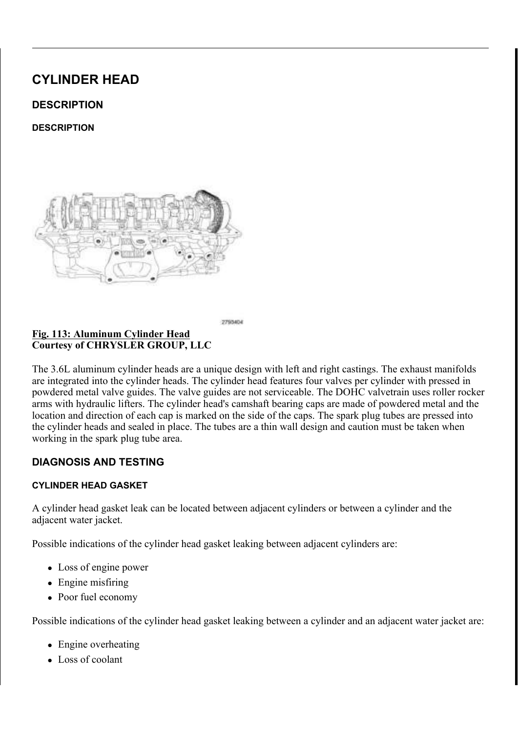7 KHUH VKRXOG EH W2Z(H7O(YHWKBLHQIKSDLXQWW FDP SKDVHU WU WKH LQWDNH FDP SKDVHU FILULRFPOHHLRWOKUHNULQWKH IUDRVQWYLHRZUHQ O D U N E R W K V L G H V R I W K H LFODJP PFDKLDNJO. D WOJOK H SKYD QOH UD WS.

 $127($ 7 KH SKDVHU PDUNLQJV DQGHLWFKRHXJOLGQDHO[LWHQUZI LQWHUQDO FKDLQ OLQN (LWKHDVDOR 0QOPDHVQ WWKLHVU) WZHOYH FKDLQ SLQV EHWZHHQ WKH PDUNLQJV

 $L$ 3 K D V H U 7 L P L Q J 0 D U N & RK B K Q V 3 H L Q V U L DK Q J X O V H U O & D U N 9DOYH 6FULEH / LQHV SUURZV &RXUWHV\RI &+5<6/(5 \*5283 //&

7 KH ULJKW VLSCGH5 2F: IBP S NY BIRBIOG S RLQW DZD\ 6U& R5 P%H D'F K (6R VKRXOG EH SDUDOOHO WRRQWWALLOF\VOXLQUIGDHTHJKHDZOKHFORWHKU F\OLQGHU SLVWRQ LV SRVLWKRQH [KED AW WWRSW UG RIND HG FHQWH

<u>) L J</u> \$UURZV 6FULEH / LQHV 0R&XQQUQLGGHUU6XHUDDGF&JRYHU & R X U W H V \ R | & + 5 < 6 / (5 \* 5 2 8 3 / / &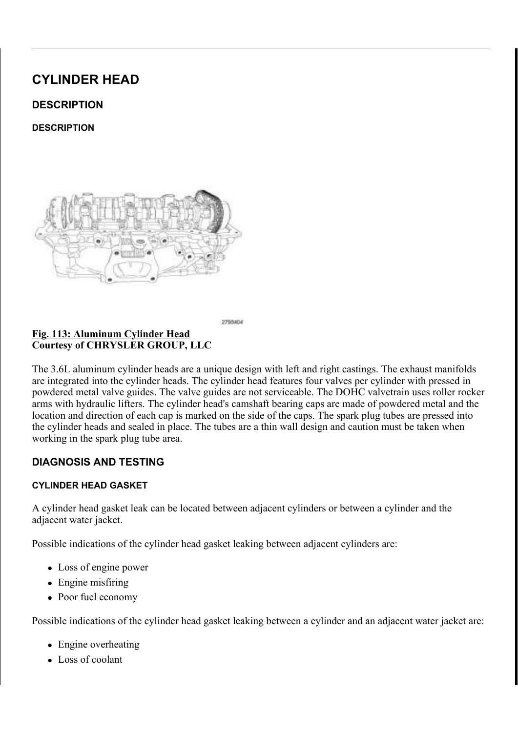## & DPVKDIW 3KDVHU / RFN: U 2HQOFK& RQWURO 9DOYHV & R X U W H V \ R | & + 5 < 6 / (5 \* 5 2 8 3 / / &

 $127($ , WPD\EHQHFHVVDU\WRURF\NDWKHHZF©DHPJVLKHDHIW\ **ZUHOFK** ZKHQ LQVWDOOLQJ WKH FDPVKDIW SK

QVWDOO WKH VSHFLDO WWRBKODVHU 5L/RKFWN 6&LCSPHVKDIDJD, FRYHU PRXQWLQJ VXUIDFH ZASWK WKH WRRO QXPEHU IDFL /RRVHQ EXW GRQRW UHPQRYYHDOWIKH H[DKQ0GSWWKRLLOQFWRDQNMHU] 5 HPRYH WKH VSHFLDO WRRGKDVHU 51RJFKWW 86DLPCWHKDIW

## & R P S U H V V L Q J 7 H Q V L R Q (H KJ D%X W 6XO & D KP W KO D I5VR W O FAVE NQ.) &RXUWHV\RI &+5<6/(5 \*5283 //&

&\$87,21 'R QRW LQVHUW WKH 7LPLQNL&WLDRLQQ ZLRWOKGRHXU FRPSUHVVLQJ WKH WHQVLRQHU 7KHQRWPLQJ 8 GHVLJQHG WR FRPSUHVV WKH WHQFVH FFQQQU DQ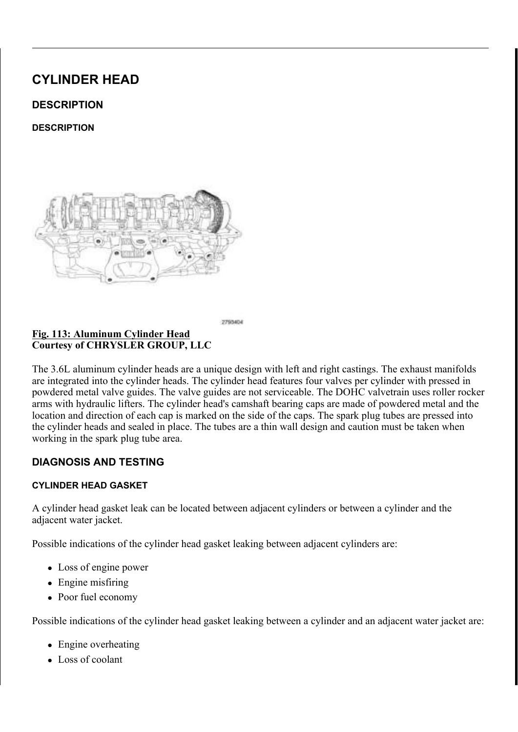## GDPDJH WKH WLPLQJ FKDLQ WHQVLRQHU DUP

8 VH WKH WLPLQJ FKDLQ WRV OF RJPKSWUGN WRWKDHWWLGHQ WLKRHQHHUK .QVHUW VSHFLDOWRRODLQ +LROOMGRHUSODLFPHLQEHWSKHHO DQG WKH WHQVLRQHU DUPFWRSKURHOVGHVGKBRWHQVLRRQHTUHLQI UHPDLQV LQ SODFH ZKLOH WKH SKDVHUV DUH UHPRYHG

## & R X U W H V \ R | & + 5 < 6 / (5 \* 5 2 8 3 / / &

 $127($ I WKH 7LPLQJ & KDLQ + ROGHURU VORSHW KULRWP BRU ZHGJH D WULP VWLFN RU HTXQWDDRHYQHWU EDHQYGZM WHOVLROHU DUP WR SXVK WKHKWHUHULUR QHUWKO HQJLQH DQG WKHQ UHSHDW WKH SUHYLRXV VWHS

<u>& R P S U H V V L Q J 7 H Q V L</u> R Q (H KJ D%X W 6WO & D KP W KO D I 5WR W O RW FL NO ) L J &RXUWHV\RI &+5<6/(5 \*5283 //&

5 HPRYH WKH RLO FRQWUROVYLLOGOHY HIKD XONQNG FSDXFO SYND KYHIL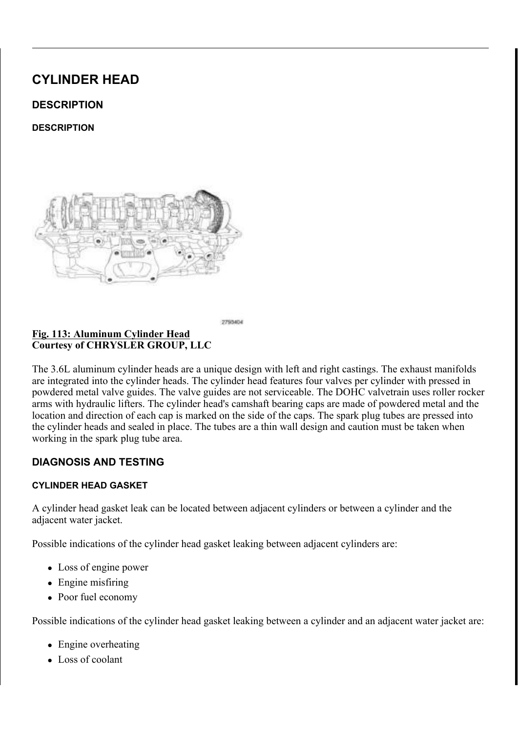5 HPRYH WKH RLO FRQWUJKKOWYVDLOGYHHLQWDDQNGHSFXOOPOSWYDKIHUULI  $.167$$ //\$7.21

 $/()7$ 

## ODJQHWLF\_7LPLQJ:KHHOV <u>) L J 0 D J Q H W L F</u> 7 L P L Q J : K H H U<br>& R X U W H V \ R I & + 5 < 6 / (5 \* 5 2 8 3 / / &

## & \$87,21 7 KH PDJQHWLF WLPLQJ ZKHHOFVRQWEDXFWWVZQLRWK P SLFNXS WRROV WUD\V HWF RHUWDQ\IRHWOKGHU7KLW GHVWUR\ WKH WLPLQJ ZKHHOV DEDLPOVLKWDIW PSRENU WKH FDPVKDIW SRVLWLRQ VHQVRU

ORXQW 'LDO, QGLFDWRQW6H2WQ 7QRJ6QWHDWLRQDU\3R  $R$ RXUWHV\RI & +5<6/(5 \*5283 //&

&\$87,21 'R QRW URWDWH WKH FUDQ**GHKDHWH VPRQGHVSKHDQG** WKH FDPVKDIWV 3LVWRQ WR YDOHWHXOFWRQQWDEQV \$F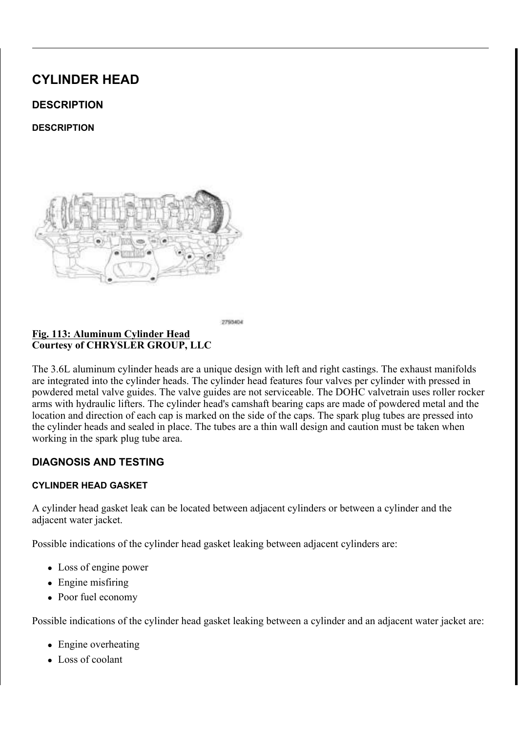YDOYH GDPDJH, I WKH FUDQNVK**DRWHQMHKGDVQWDRIHE** GHJUHHV ILUVW UHPRYH WKH FDPVKDIWM (5HIHU  $5(029$  \$/

9 HULI\WKDWWKHLQGLFZDKWHRQUWGKLHDOLJKWVVVLG6WWWXRPEH-LURR SRVLWLRQHG DW WRS GHDG FHQWHU RQ WKH HIKDXVW VW

## ) LJ 3RVLWLRQLQJ&DPVKDIWOSOOLJQPHQW + ROHV 9HUW &RXUWHV\RI &+5<6/(5 \*5283 //&

& \$87,21 'R QRW URWDWH WKH FDPV KHDJUVHVH VPRUH WKD LQGHSHQGHQWO\RIWKH FUDQNQKWDDIFWW \$FRQQH RFFXU UHVXOWLQJ LQ SRVVLEOH YDOYH GDPD

9 HULI\ WKDW WKH FDPVKDWMWW ED\USHRWHL**WLDRVQLVQRISWOKHHODGOFLH**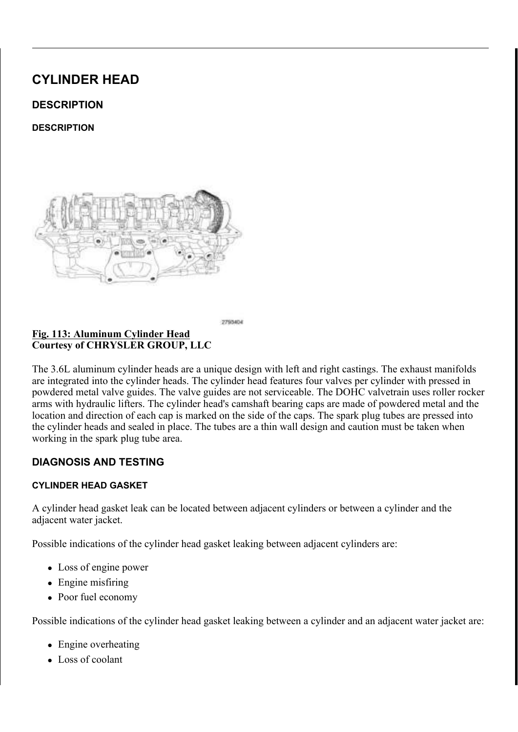7 KH 7 LP L Q J & K D L Q + R O G H U S O D K R XDO G L W W H O O W H  $127($ WKH 5HPRYDO SURFHGXUH , I UHTXROBGU WFKDHQ 7ELH UHLQVHUWHG E\UHSHDWLQJ 6WHSSXURI SMHKIHHUSHWP  $$66(0\%/\leq 9\$ 5. \$\pides\tag{1}(7.0.1\* 3+\$6(5 2./ & 2175)  $9\$/9(5(029\$/$ 

- ) L J 3 K D V H U 7 L P L Q J 0 D U N & FK B K Q V 3 H L Q V U L DKOD XOVH V 0 & DDU N 9DOYH 6FULEH / LQHV \$UURZV & R X U W H V \ R | & + 5 < 6 / (5 \* 5 2 8 3 / / &
- $127($ OLQRU URWDWLRQ RID FDPVKDEIMWUBTTXHIZUGHGSJWHRH WKH FDPVKDIW SKDVHU

5 R X W H W K H F D P F K D L Q D U DR WHOLG ZWK LHO HĐ HD NOW JOQUYODIN WHEN BDS WLPLQJPDUN 3UHVVWKQHWROHWKWHLQQWDDINIHFDDPPS/KKDDWKWHU. RLO FRQWURO YDOYH

: KLOH PDLQWDLQLQJ WKLVKDDQJQQUPRNQQNG WIRKXHWH-H[KNDKXHW WANDFFD] PDUN LV DOLJQHG ZLWK WKHHVSYKWOKHUHMKIDPXLVQVI PDDPINSKDVBU LQVWDOO DQG KDQG WLJKWHQ WKH RLO FRQWURO YDOYH 7KGH&5,%(/,1(6 RQ WKH FDP SKDVHUV VKRRWAGHGUNDDGSEB:DWZKDH\I VKRXOG SRLQW WRZDUGWHRDWHKHRWHOHLLQOBLOG KEHIDSGDEJRDYDU VKRXOG EH WZHOWHY: FKYDWOKHSLHOLNDXVW FDP SKDVHUHWULDO LOWDNH FDP SKDVHU FLUFOH PDUNLQJ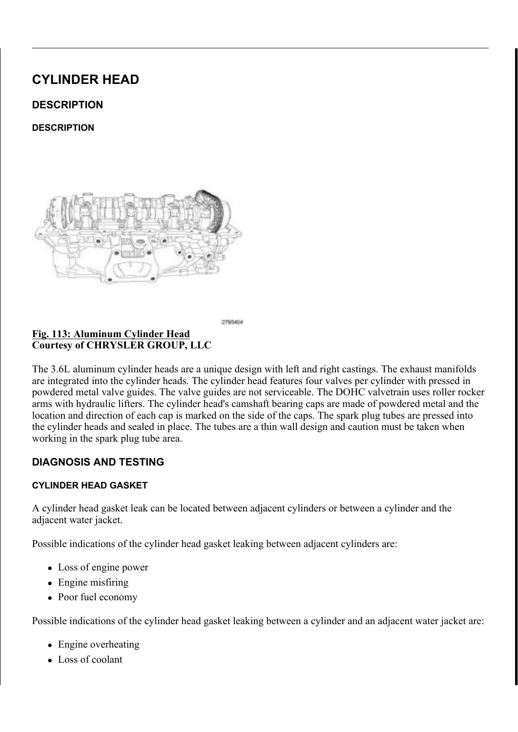Σ 7 KH LQGLFDWR=U5GIZDKOHOLWWKHWULWURKW VLGH QX\$PEEYHLUWRLQRE DW WRS GHDG FHQWHU RQ WKH HIKDXVW VWURNH

5 R W D W H W K H F U D Q N V K D I WR OF SOMY E RIQ LIV HY WURZS FOR LP STOL HIM W HIM B F\OLQGHU SLVWRQ LV DJDLWQHSURRQWWLKRHQHHGKDDWWWRSCWOLHRDNGH WLPLQJ YHULI\ WKH IROORZLQJ

<u>&KDLQ 3LQV \$UURZV GHUULEHD/QLQOHHV0BDRL3OK</u>JDV&L &RXUWHV\RI &+5<6/(5 \*5283 //&

QVWDOO WKH VSHFLDO WWRBKODVHU /H/IRWFNSLO&HDPVKDDIJDLO. FRYHU PRXQWLQJ VXUIDFH ZASWK WKH WRRO QXPEHU IDFL 7LJKWHQ WKH RLO FRQWURO YDONWHVOEVDQG W<sub>R</sub> 5 H P R Y H W K H & D P V K D I W 3 K D V H& K D R F O H R O B & G W K H 7 L P L Q

 $127($ .W PD\ EH QHFHVVDU\ WR URF\N DWKHHZF@HPJUKHDHIW \ ZUHQFK ZKHQ LQVWDOOLQJ WKH FDPVKDIW SK

<u>& DPVKDIW 3KDVHU /RFN:U2HLQ</u>OFK&RQWURO 9DOYHV <u>) L J</u> & R X U W H V \ R | & + 5 < 6 / (5 \* 5 2 8 3 / / &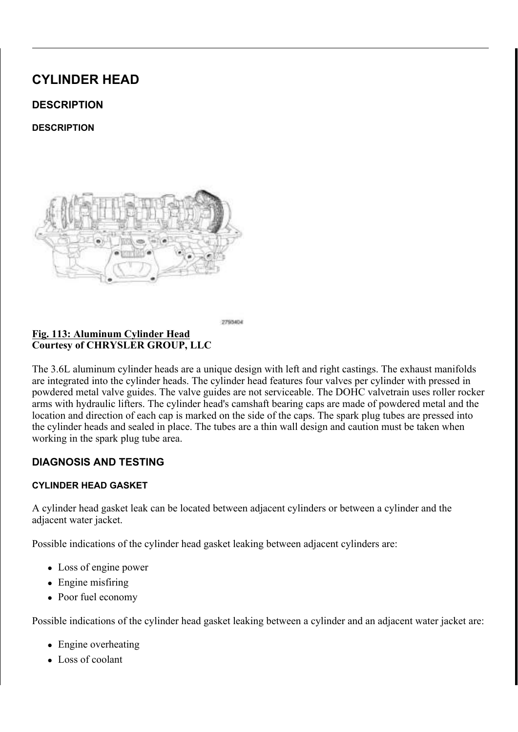z 7 K B & 5, % ( /, 1 (6 R Q W K H O H I W V L G H F D P F & K ROW KH HW I D F H

- $75.7$  K M 5 5 2 : 6 RO WKH OHIW VLGH FDPRSWKKDHWLHILDVOGROLLOHAWSW F\OLQGHU KHDG FRYHU PRXQWLQJ VXUIDFH
- Z 7 KHUH DUH WZHO % H7: F(KDWOKHSLHOLNED XVW FDP SKDVHU WU WKH LQWDNH FDP SKDVHU FLUFOH PDUNLQJ

I WKH HQJLQH WLPLQJ LSWRORHNG KBUUHFW UHSHDW WKLV

QVWDOO WKH VSSBSN. SO8XJV155HSHS7W2R

, QVWDOO WKH ULJKW&2LJQL\*WL7RQ1FRL607V\$/5SH71, H2U WR

.QVWDOO WKH OHIW F\CQLQVGLHRLQKTHROLS@SF(F6576HILH&DAQNGR'OSHHWSLJ  $, 167\$ //\$7,21

, QVWDOO WKH XSSHU LQWDKNRHXVPLDQQJLDRVOVG6HDDEQQQ2/D5LHU11HF640.HMDRQ  $, 167$  \$ / / \$ 7, 21

& RQQHFW WKH QHJDWLYHX ENDWWRNHU \FFDEQHQDQGGVWLJKWHQ 6 W D U W W K H H Q J L Q H D Q G \$ 5H 7J5 \$7, U P 9 W 5 K H & D \$75 S 2J1R TS (USIZD W RHF B 2 DSSURSULDWH (OHFWULFDO 'LDJQRVWLFV DUWLFOH

- z & DP & UDQN 9DULDWLRQ 5HOHDUQ
- z 7DUJHW & RHIILFLHQW 5HOHDUQ
- $127($ ) ROORZLQJ WKH ILUVW UHV\SSIDIWHDIWIHISODDF7H&PH6QUWY '7&V DQG YHULI\WKDW VXEVHTXHDQQW DISSGWWURWQDGORF )RU DQ\'7&V WKDW UHVHW UHIUHLUF12WGR 'DL\$DSIQIRSYMLLDFWI

 $5.*+7$ 

ODJQHWLF 7LPLQJ:KHHOV &RXUWHV\RI &+5<6/(5 \*5283 //&

> &\$87.21 7KH PDJQHWLF WLPLQJ ZKHHONFRQWPDXFWWVZQLPAWK P SLFNXS WRROV WUD\V HWF RHUWDQ\IRHWOKGHU7KLW GHVWUR\ WKH WLPLQJ ZKHHOV DEDLPOVLKWOJIW PSRERUW WKH FDPVKDIW SRVLWLRQ VHQVRU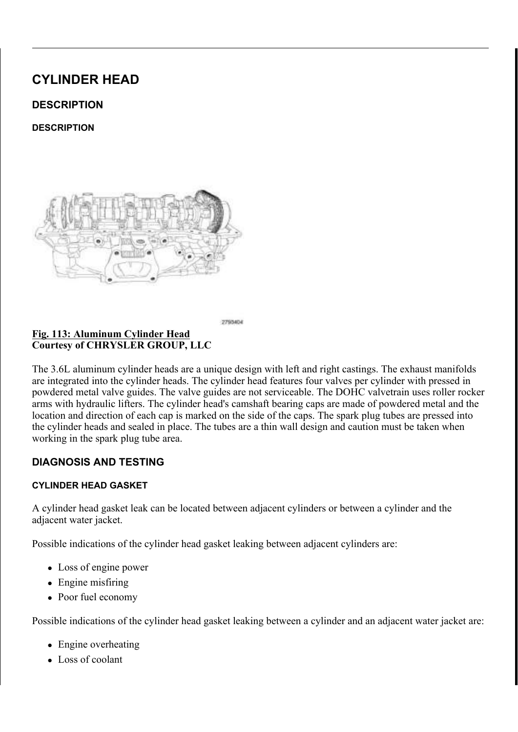3RVLWLRQLQJ & DPVKDIWO\$OOLJQPHQW +ROHV 9HUW <u>) L J 3R V L W L R Q L Q J & D P V K D I W</u><br>& R X U W H V \ R I & + 5 < 6 / (5 \* 5 2 8 3 / / &

& \$87,21 'R QRW URWDWH WKH FDPV KHDJUWHVH VPRUH WKD LQGHSHQGHQWO\RIWKH FUDQNQKWDDIFWW \$FRQXOH RFFXU UHVXOWLQJ LQ SRVVLEOH YDOYH GDPD

9 HULI\ WKDW WKH LQGLFZDKWHRQUWGKLHDOLJK WUVVLASH WIXRPEHUR R SRVLWLRQHG DW WRS GHDG FHQWHU RQ WKH HIKDXVW VW

& \$87.21 'R QRW URWDWH WKH FUDQ GIMKID HWM VP ROJGH WSKHDO OG WKH FDPVKDIWV 3LVWRQ WR YDOHWHXOFWQQWDEQV \$F YDOYH GDPDJH.I WKH FUDQNVK**BRWHQMHKGDVQWRIHE** GHJUHHV ILUVW UHPRYH WKH FDPVKDIMW, M(5HIHU  $5(029$  \$/

<u>) L J</u> ORXQW 'LDO ,QGLFDWRQUWGH2YQ 7QRJ6LQWHDWLRQDU\3R & R X U W H V \ R | & + 5 < 6 / (5 \* 5 2 8 3 / / &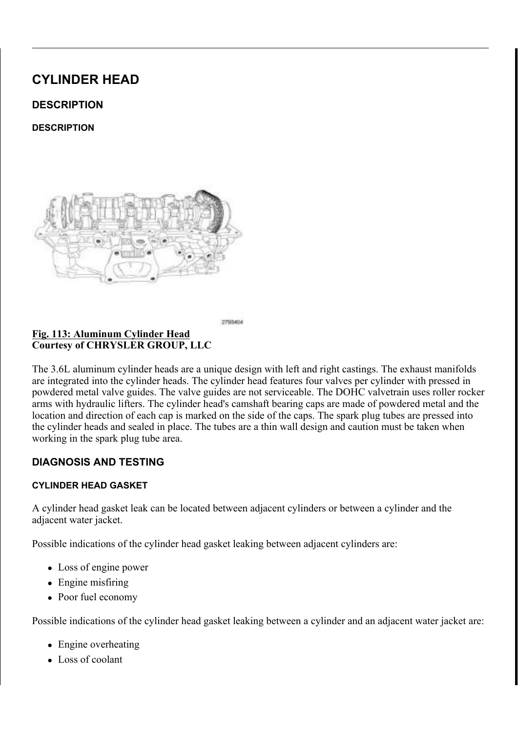9 HULI\ WKDW WKH FDPVKDWIM/UV ED\USHRWHLWLDRWQLWQRISWOKHHODGOFLHI

### 7LPLQJ &KDLQ +ROGHU <u>) L</u> J  $\overline{\&$  RXUWHV\RI  $\&$  +5 < 6/(5 \* 5283 // &

7KH 7LPLQJ & KDLQ + ROGHU SOD KRXDOWG LYQW HOU OW HE  $127($ WKH 5HPRYDO SURFHGXUH, I UHTXROBGUWFIDIQ 7ELI UHLQVHUWHG E\LQVWDOOLQJWKUHHSSHOODWWQWF6DWH RI WKH 5HPRYDO SURFHGXUH 5HIHU WORS/9066(0%/  $7,0,1^*$   $3+56(5$  2,  $821752/95/9$   $5(0295/$ 

3KDVHU 7LPLQJ 0DUN & PKBKQV3HLQVUL DKODAOVHW 0&DDUN  $LJ$ 9DOYH 6FULEH / LQHV \$UURZV &RXUWHV\RI &+5<6/(5 \*5283 //&

OLQRU URWDWLRQ RID FDPVKDEIHWUBTIXHIZUGHGJWHRH  $127($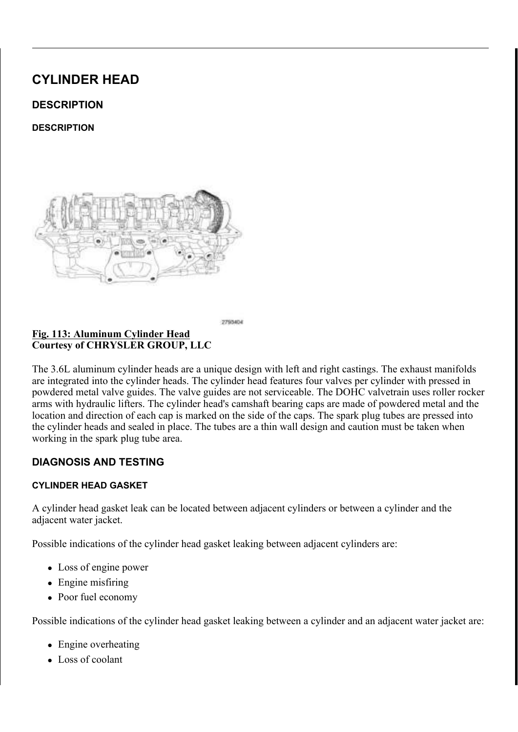5 R X W H W K H F D P F K D L Q D U **B K D** CHW K Z K L Q H K D YO H J K D B V W K B H SKDVHU WLPLQJPDUN 3USHKVDWHMUKHRQUWJRKWKHHIKHDIKDIXWWD WLJKWHQ WKH RLO FRQWURO YDOYH : KLOH PDLOWDLOLOJ WKLVKDOQJDOUPRYLOOMG WARXHWHO WYENHFEPEI PDUN LV DOLJQHG ZLWK WKHHVSYKWOKHULOWWLDNOHJFPDDPUSNKDVH3U LQVWDOO DQG KDQG WLJKWHQ WKH RLO FRQWURO YDOYH RQ WKH FDP SKDVHUV VKRWOKGHUGGBALGOGBAWWDKZHDY6IU  $7$  K  $H$  5 2 : 6 VKRXOG EH SDUDOOHO WRRQWWALLOF\VOXLQUIGDHTHU K7HACHOU FIRVYN-FRU %(7:((1 WKH HIKDXVW FDP SKDVHUHWLLQWDDNIGHFBBLOGNADOWH

### & DPVKDIW 3KDVHU / RFN: U PHOOF K& RQWURO 9DOYHV ) L J & R X U W H V \ R | & + 5 < 6 / (5 \* 5 2 8 3 / / &

 $127($ , W PD\ EH QHFHVVDU\ WR URF\N DWKHHZFGDHPJUKHDHIW \ ZKHQ LQVWDOOLQJ WKH FDPVKDIW SK ZUHQFK

.QVWDOO WKH VSHFLDO WWRBNODVHU 5L/RKFWN 6&LC3PHVKDIDJD FRYHU PRXQWLQJ VXUIDFH ZASWK WKH WRRO QXPEHU IDFL 7 L J K W H Q W K H R L O FR Q W U R O Y D O I W H V O E V D Q G W R 5 H P R Y H W K H & D P V K D I W 3 K D V H& LK D R EN + R O B & G W K H 7 L P L Q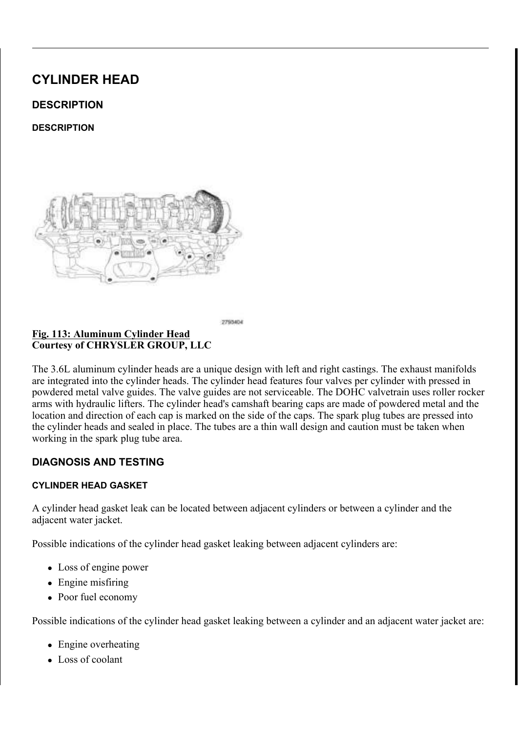) ROORZLQJ WKH ILUVW UHVWSEDWHDIWHSODDF7H&PH6QWY  $127($ '7&V DQG YHULI\WKDW VXEVHTXHDQQW**DIG**%W**WUR**WQD©GRFI ) RU DQ\ '7&V WKDW UHVHW UHIUHUFDVQR 'DLSSORSWILDFWI

z 7DUJHW & RHIILFLHQW 5HOHDUQ

 $8\$06+\$7$  (1\*,1)

z & DP & UDQN 9DULDWLRQ 5HOHDUQ

 $.167$$ //\$7,21 & ROOHFW WKH OHJDWLYHX EVDWW FRVHU \ PFDE OLHODONG YWLJKWHO 6 W D U W W K H H Q J L Q H D Q G SIH 7U51 \$7, U P 9 W 5 K H & LISS S 2U1R TS (USL'D OW RHF B 2 DSSURSULDWH (OHFWULFDO 'LDJQRVWLFV DUWLFOH

 $+($  \$  $', 167$  \$  $//$  \$ 7, 21 . Q V W D O O W K H X S S H U L Q W DKNRHX VPLDQQUL DRVOV <u>GB BDECOGR /D5LHU11 HFGD.</u> HMDRQ

, QVWDOO WKH ULJKW F\DLQQLGWHLLRQCHFDRG22 @FRFY6HHIKBNQYQWRJbJKW

, QVWDOO WKH OHIW& RJ/QLWYLRQ FRL10687\$/5/6617LH2U1 WR

, QVWDOO WKH VSSBSN. SO8XJV, 155HSH STVAR

WKH LQWDNH FDP SKDVHU FLUFOH PDUNLQJ I WKH HQJLQH WLPLQJ LSVURORHNG KRHUHFW UHSHDW WKLV

PRXQWLQJ VXUIDFH Z 7 KHUH DUH WZHO % (H7: F(KDWOKHSLHOLNED XVW FDP SKDVHU WU

z 7 K B & 5, % ( /, 1 (6 R Q W K H U L J K W V L G H FWD KPHS KNOWLHOLGNH DD LKH

RQ WKH ULJKW VLGH FDHPD SKDR WH KN USRLQW  $7$   $7$  K  $R$  5 5 2 : 6

Σ 7 KH LQGLFDWR=U5GIZDKΘHQWWKHWUMURKW VLGH QX\$PEEYHLUWRL@RE DW WRS GHDG FHQWHU RQ WKH HIKDXVW VWURNH

5 R W D W H W K H F U D Q N V K D I WR OF 80 PRE R D L V H WWR ZG FOR P S K H OU HW K H F\OLQGHU SLVWRQ LV DJDLWQHSURRQWWLKRHQHHGKDDWWWR8CMGUHRDNGH WLPLQJ YHULI\ WKH IROORZLQJ

 $|LJ|$ & KDLQ 3 LQV \$UURZV GHEULLEEHD/QLQOHHV0BORNL3OKJDV&L & R X U W H V \ R | & + 5 < 6 / (5 \* 5 2 8 3 / / &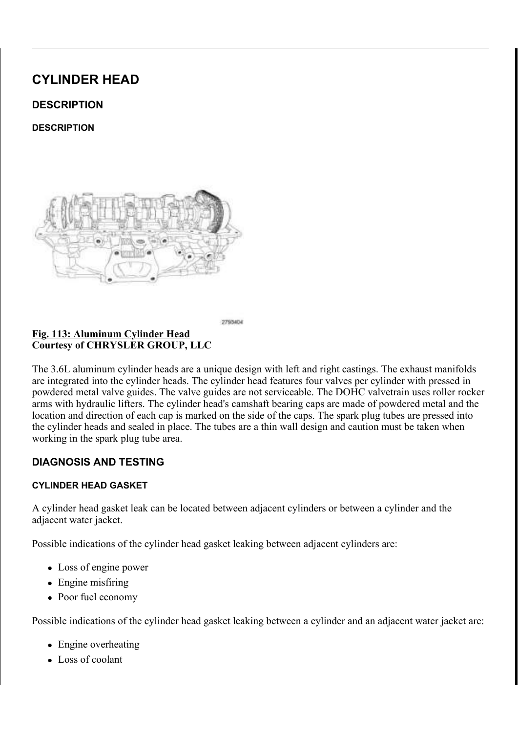$' (685, 37, 21)$ 

 $' (685.37.21$ 

<u>) L J</u>

7KH / HQJLQH XVHV D'XDO 28YHFUR-QHIDJGXU&DWYLKRQIW7K'H2+FDPVK LURQ GHVLJQ DQG KDYH D SKJHN WHWGKROW PLDVJR DH JNQLHFWML EPHLQ BRZG 3RVLWLRQ & 03 VHQVRUV DUJHZQKRHDOWH \$SWEWHDWFZAHHGQWARK MW KWHLRU FDPVKDIW LV D FHQWULIXJFHDZ/KHLYFHQLWLSODUWWLRRQ WWW.HWFHUBLSQONIBN RLO GURSOHWV IURP WKH FOLUNDHOLN FNOKVHH3USODV MIDY OEYHHR URHX UNQHEHBADHU LQWR WKH FDPVKDIW & DPVEKIDWWZRHOWGLUSXOVDNY ZDOFORYQWWLKEDOWOEHRU

 $23(5$7, 21$ 

23(5\$7,21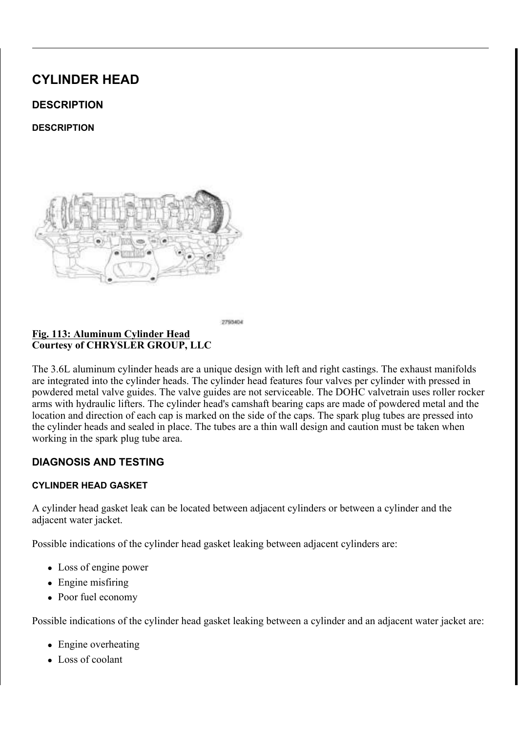# <u>) L J 0HD V X U L Q J & D P V K D I W (IQFOD</u> WORDU\ 8 V L Q J 'L D O , Q G<br>& R X U W H V \ R I & + 5 < 6 / (5 \* 5 2 8 3 / / &

 $67$1'$ \$5' 352& ('85( & \$06+\$)7 (1' 3/\$<

67\$1'\$5' 352& ('85(

7 KH FDPV KDIW KDV SUHFLV HDNN PDNFFKLSQUHRGYLGEHJDVFKFDXSUHDGW 7HONRDC FDPVKDIW LV GULYHQ E\ WKNHFWWD @NQNGKBKWDLNQLND GULYH VSUR

5+ FDPVKDIWV VKRZQ LQ LOOXVWLUPDLWODRUQ /+ FDPVK  $127($ 

) L J 5L J K W + D Q G & D P V K D I W V<br>& R X U W H V \ R I & + 5 < 6 / (5 \* 5 2 8 3 / / &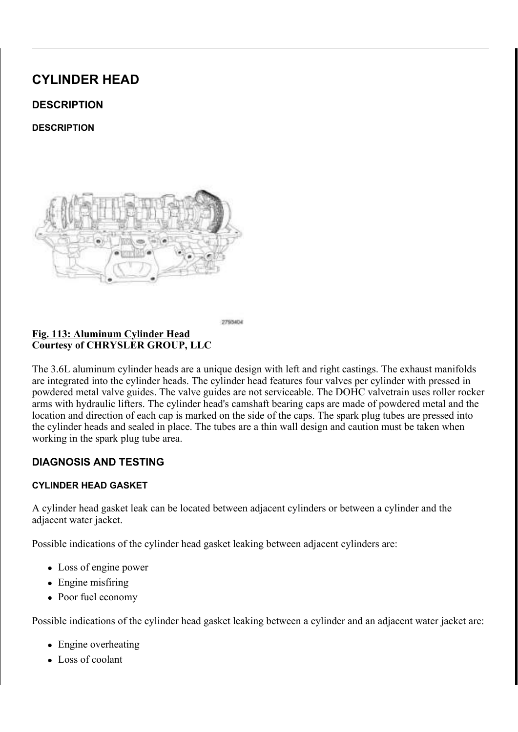5 L J K W L Q W D N H F D P V K D I W V KKR-FLO FLDOP V K9 D KW W U D RWLORI  $127($ 

5 H P R Y H W K H F \ O L Q G H & 2K9 H D G F R \ K H J ' (5 H H G U \ G R O 2 9 \$ / ORXQW 'LDO, QGLFDWRU 6HMWW V'SLHDFOLD@OWERDROWRL& BW F6D IURQW RIWKH HQJLQH /RFDDWIBLWQNKM SWUKRHEKORSYHHUSRHOWGALHFXFO ORYH WKH FDPVKDIW DOOUWERHOZD\ WR WKH UHDU RI LWV = HUR WKH GLDO LQGLFDWRU OR YH W K H F D P V K D I W I R U Z DIUGGU WHR GW WK H HO G PL D WD R Q GW LLFDDWH PO HQG SOD\WR WKH VSQHJFLLQQEHSBFWLLIRLQDVS/HLRHQLVWR

 $5(029$ \$/

 $/()7$ 

### $\perp$  L J ODJQHWLF 7LPLQJ:KHHOV &RXUWHV\RI &+5<6/(5 \*5283 //&

& \$87,21 7 KH PDJQHWLF WLPLQJ ZKHHOFVRQWEDXFWWVZQLRWK P SLFNXS WRROV WUD\V HWF RHUWDQ\IRHWOKGHU7KLW GHVWUR\WKH WLPLQJ ZKHHOV DEDLPOVLAWDI**WRSRTRUW** WKH FDPVKDIW SRVLWLRQ VHQVRU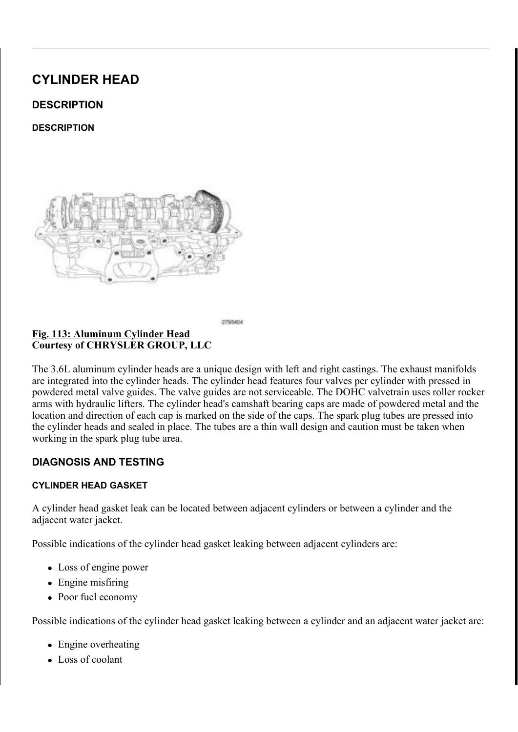) L J & DPVKDIW %HDULQJ & DS %HRIOWW V 5HPRYDO 6HTXHQFH & R X U W H V \ R | & + 5 < 6 / (5 \* 5 2 8 3 / / &

& \$87.21 : KHQ WKH WLPLQJ FKDLQ LVQBIH PURK HHDGG DODGU HW KVH LQVWDOOHG 'R QRW IRUFHIXOOVFU**B@WWW+DMWK**H F LQGHSHQGHQWO\RIHDFKRWKHWW6FFLQYH6OHPDYDFDFFEL RFFXU

& \$87, 21 '2 127 67 \$ 03 25 675, (7+ (& \$ 06 + \$) 7 \$ 36 \$ 56, 19 (\$ 0.  $1\$   $1\$   $1\$   $2\$   $8\$   $8\$   $5\$   $7\,2\$   $7\ +$   $($   $\%$   $($   $\$$   $5\$   $1$ <sup>\*</sup>  $\&$   $\$$   $3\,6$ 

5 HPRYH WKH XSSHU LQWDNGHVPDDQQLORVOSGDUDNO SOOLXJQVLWOODHRINZW FFI FDP SKDVHU\$V66\$10H%HHU \QU\$R5.\$%/(9\$/9(7.0.1\* 3+\$6(5 22//8.2)  $9\$/9(5(029\$/$ 

5 R W D W H W K H F D P V K D I W V F WR K **G VDHOUL FOLR FIND ZVL WHR OW-RV S R V D 3M** WRS GHDG FHQWHU 7KLV SHOXDWFUHDYOWSKRHVEDWPRKADIQWRV YLDDOWYKI

 $127($ & DPVKDIW EHDULQJ FDSV VKRXOGLKODYHHO EHGIB PI PDQXIDFWXULQJ )RU HIDPSOH WKH QXXOREVHEJHEOQH FDS LV PDUNHG (! 7KH FDSV VKWRKOWGKEHQLRQWFV IRUZDUG

/RRVHQ WKH FDPVKDIW EHHDQUEHQJVKBBGERQOWLOQJQVWWKJHDWLHRI

:KHQ WKH FDPVKDIW LV UHPRYHGOWE**H GRENZDU**  $127($ PDUN WKH URFNHU DUPV EHIRUH UHPRYLOJ WKH

SHPRYH WKH FDPVKDIW EHDWLQJ FDSV DQG WKH FDPVKDI

 $5, * + 7$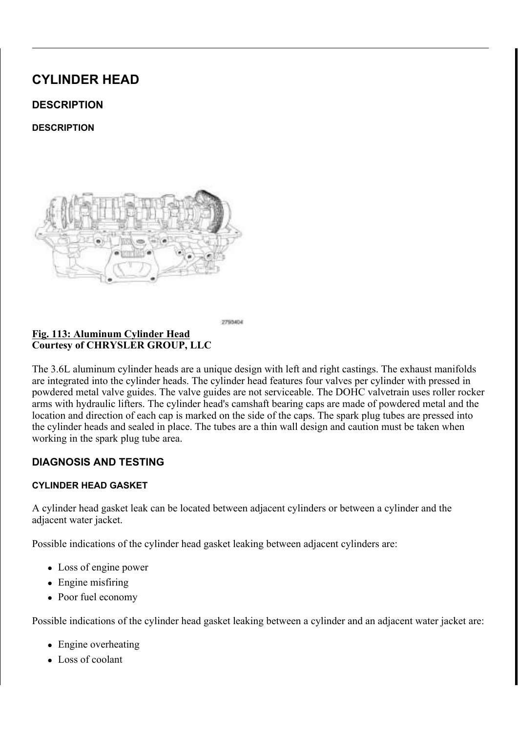) LJ ODJQHWLF 7LPLQJ:KHHOV & R X U W H V \ R | & + 5 < 6 / (5 \* 5 2 8 3 / / &

> & \$87,21 7 KH PDJQHWLF WLPLQJ ZKHHOFVRQWEDXFWWVZQLRWK P SLFNXS WRROV WUD\V HWF RHUWDQ\IRHWOKGHU7KLW GHVWUR\ WKH WLPLQJ ZKHHOV DEDLPOVLKWDIW PSRERLUN WKH FDPVKDIW SRVLWLRQ VHQVRU

& DPVKDIW %HDULQJ & DS %ROKWW 5HPRYDO 6HTXHQFH  $LJ$  $R$ RXUWHV\RI & +5 < 6/(5 \* 5283 // &

& \$87,21 : KHQ WKH WLPLQJ FKDLQ LVQ GIHDRKY HHLOGDO QDGU HV KVH LQVWDOOHG 'R QRW IRUFHIXOOFURQWDWKHD MWKH F LQGHSHQGHQWO\RIHDFK RWKHWW6RROYHGUDHPDYDHOFFE RFFXU

& \$87, 21 '2 127 67 \$ 03 25 675, (7+ (8 \$ 06 + \$) 7 \$ 36 \$ 56, 19 (8)  $1\$   $0\$   $*$  ( :, // 2& & 85 72 7 + ( % (\$5, 1  $*$  & \$36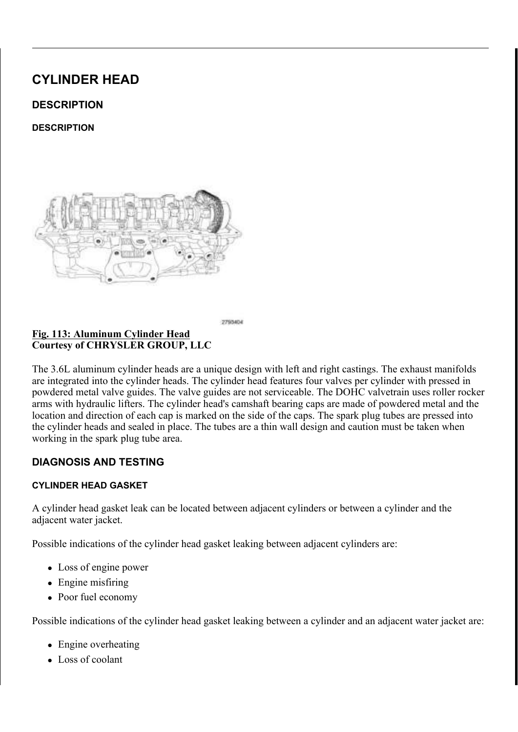5 HPRYH WKH XSSHU LQWDNGHVPDDQQLORVOSGDUDNO SOO KUQVLWULLRIKA WFI ULJKW FDP SKD\$V6H6U0V%/&HI9H\$U5,V\$VR8/(9\$/9(7,0,1\* 3+\$6(5  $2.1$ 821752/9\$/9(5(029\$/

& DPVKDIW EHDULQJ FDSV VKRXOGLKQDYHHQBHGHQ PI  $127($ PDQXIDFWXULQJ )RU HIDPSOH WKH QXXOREVHEJHEOQH FDS LV PDUNHG (! 7KH FDSV VKWRKOWSKEHOLROWEV  $IRUZDUG$ 

/RRVHQ WKH FDPVKDIW EHHDQUEHQJVKBL3GEBQOWLVQQLXQVWWNUBWLHRI

: KHQ WKH FDPVKDIW LV UHPRYHGOW **GH GRENZDU** 127( PDUN WKH URFNHU DUPV EHIRUH UHPRYLQJ WKH

SHPRYH WKH FDPVKDIW EHDWLOJ FDSV DOG WKH FDPVKDI

 $, 163 (87, 21)$ 

 $, 163(87, 21)$ 

.QVSHFWLQJ&DPVKDIW %R<del>FEDH</del>UMLQJ-RXUQDOV &DP/ & R X U W H V \ R | & + 5 < 6 / (5 \* 5 2 8 3 / / &

 $127($ 5 + LQWDNH FDPVKDIW VKRZQ EQPLVOXODXWWUVDLWFLQQUR

.QVSHFW FDPVKDIW EHDULDQQJGMERLXQUGQLDQQV.IMERXUGQDDPDVJBIU| F\OLQGHU KHDG IRU GDPDJHRL\$000KROFHKVHFINNUFFOOLRQJGHQUJKHDO & KHFN WKH VXUIDFH RI WKOHO FZOHPDOIREH VOHD VIR UUHDED QG UFFRP WR WKH ZRUQ DUHD H5HQSROWD EHWFKOLFOV K/LSIH/KEWLILWORKHEDWWLBQ 6SHFLILFDWLRQV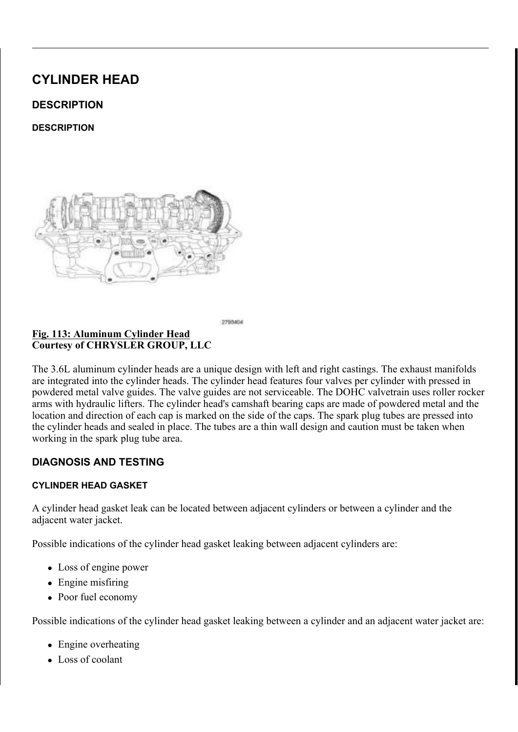$L$   $J$ ODJQHWLF 7LPLQJ :KHHOV & R X U W H V \ R | & + 5 < 6 / (5 \* 5 2 8 3 / / &

> & \$87,21 7 KH PDJQHWLF WLPLQJ ZKHHOFVRQWEDXFWWVZQLRWK P SLFNXS WRROV WUD\V HWF RHUWDQ\IRHWOKGHU7KLW GHVWUR\WKH WLPLQJ ZKHHOV DEELLPOVLAWDIWRSKRUWL WKH FDPVKDIW SRVLWLRQ VHQVRU

%HDULQJ&DS5HWDLQTLXQHQ18RHNTWWV7LJKWHQLQJ6H ) L J &RXUWHV\RI &+5<6/(5 \*5283 //&

XEULFDWH WKH FDPVKDIWRMEXUQDOV ZLWK FOHDQ HQJL .QVWDOO WKH OHIW VLG**HQFWDFKARKODHW V SEWKWWLKRQHDGOSDJSGS** GHDG FHQWHU 7KLV ZLOOHSXOVDUFDHOWSKRHVEDVPLKRADIQWRV YDDNWOLKRWKKA RI WKH FDPVKDIW EHDULQJ FDSV O V W D O O W K H F D P V K D I W OF HAD KUHL QUH FADO ALO DO O G EKRDOO AG WALRIK V

 $127($ & D S V D U H L G H Q W L I L H G Q X P HL Q LAFIDNOHO R U MAY KUD R X Y DQG VKRXOG EH LQVWDOOHG IURPVKWHKHHQUIRQQHW \$W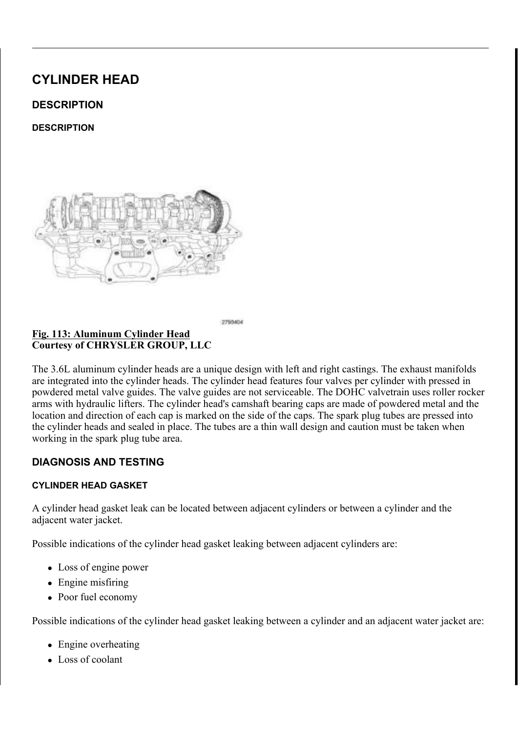### VKRXOG EH LQVWDOOHG ZLWK WWKKHHQKRWWDFFKSHRGUDD RQ WKH FDSV SRLQW WRZDUB WKH IURQW RI V

7 L J K W H Q W K H E H D U L Q J FTDXSHOLENWIN KORUZOO JLEOR O OWOYXLVOW WUDKWHLV

### 3RVLWLRQLQJ&DPVKDIWOSOOLJQPHQW +ROHV 9HUW <u>) L</u> J  $R$ RXUWHV\RI & +5 < 6/(5 \* 5283 //&

5 R W D W H W K H F D P V K D I W V F D VR SF RIZ L WHL R WORL Q WR WS K G H D G L FIEQ Q W QVWDOO WKH OHIW FDP SKODUNVSOFXLOUGUEQULWENDOG FREYOM PDQLIROG \$65H(IOPAL) 4W R9 \$5. \$% / (9\$/9 (7.0.1 \* 3 + \$6 (5 22) / & 2.1  $9\frac{1}{2}\left(9\right)\left(167\frac{1}{2}\right)/57.21$ 

7 KH & DP & UDQN 9 DULDWLRQ 5 HO HBH QIRSUR FIGG SAVALHOU  $127($ VFDQ WRRO DQ\WLPH WKHUH KDV EPHDHQHDWLRH BDSLRUZHI V\VWHP IRU HIDPSOH IO\ZKHHO GDRUYHFWUDQNOYKBDWP VHQVRUV RU FRPSRQHQWV

 $5, * + 7$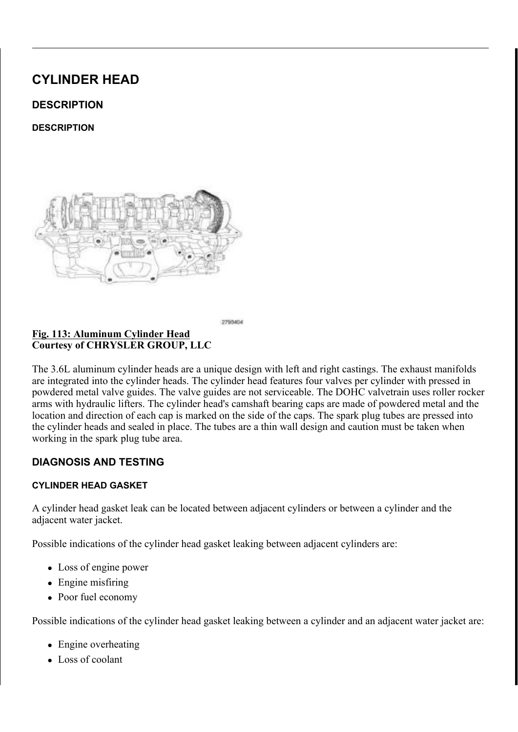127( & DSV DUH LGHQWLILHG QXPHLQILMEDINOHORU MM/KKUDRXVU DQGVKRXOG EH LQVWDOOHG IUR PV KWHK HHQUIRQQHW SWO

7 K L V Z L O O S O D F H W K H F D R VQ K DOJIRV WY DDOWY MY KOHR DO.GHXMUDVDLOO SSRW FDPVKDIWEHDULQJFDSV .QVWDOO WKH FDPVKDIW **GHNDK**UHLQUHFMODSLVQDQQJGEKRDOQWGVWWLRJKV

 /XEULFDWHFDPVKDIWMRXUQDOVZLWKFOHDQHQJLQHRLO .QVWDOO WKH ULJKW VLGQHWHFDPEVAKSORTWLWLPRQWLUQURSWGKEHOODOE

)LJ %HDULQJ&DS5HWDLQTLXQHLQYF&MEL0KWW7LJKWHQLQJ6H &RXUWHV\RI&+5<6/(5\*5283//&

& \$87,21 7 KH PDJQHWLF WLPLQJ ZKHHOFVRQWFDXFWWVZQLPAWKP SLFNXS WRROV WUD\V HWF RHUWDLQ\IRHWOKGHU7KLW GHVWUR\WKH WLPLQJZKHHOV DEELNEWLWANDI**WRSRRUW** WKH FDPVKDIW SRVLWLRQ VHQVRU

)LJ0DJQHWLF7LPLQJ:KHHOV &RXUWHV\RI&+5<6/(5\*5283//&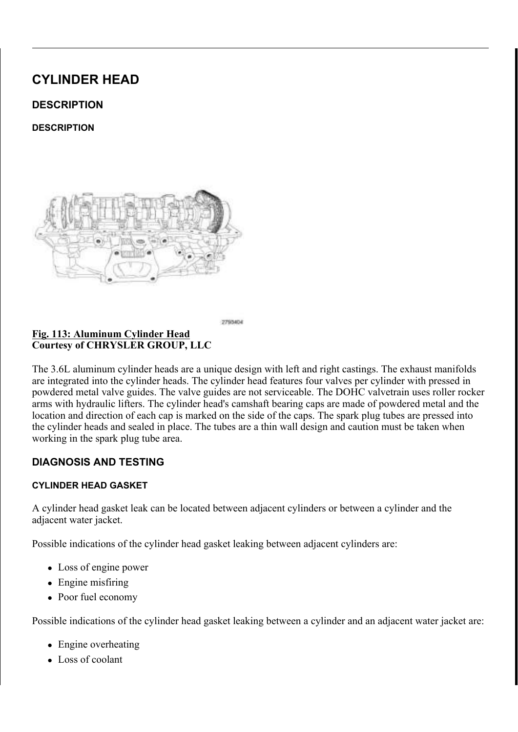## VKRXOG EH LQVWDOOHG ZLWK WWKKHHQKRWWDFFKSHRGUDD RQ WKH FDSV SRLQW WRZDUB WKH IURQW RI V

7 L J K W H Q W K H E H D U L Q J FTDXSHOLENWIN KORUZOOJ LEOR O OWOYXLVOW WWOKWHLV ,QVWDOO WKH ULJKW FDPUSKOSOHUUNVS OFXOVQGHOULKWHLERQ FFRYL PDQLIROG\$65H(IOHAJ/4WR9\$5,\$%/(9\$/9(7,0,1\* 3+\$6(5 22/,/8217  $9\frac{1}{2}\left\{9\frac{1}{2}\right\}$  . 167\\$\pi //\\$\pi 7.21

- 7 KH & DP & UDQN 9 DULDWLRQ 5 HO HBH QIRSUR FIGG SONALHOL  $127($ VFDQ WRRO DQ\WLPH WKHUH KDV EPHDHQHDWLRH BDSLRUZHI V\VWHP IRU HIDPSOH IO\ZKHHO YGDROYHFWUDDNOYKDDWP VHOVRUV RU FRPSROHOWV
- $829(5 \ 6 \ 8<1,1'(5)+(\$')$

 $' (685, 37, 21)$ 

 $' (685, 37, 21)$ 

 $L$  L J &\OLQGHU +HDG &RYHUV & R X U W H V \ R | & + 5 < 6 / (5 \* 5 2 8 3 / / &

7 KH F\OLQGHU KHDG FRYHUVLEDHUHU OPDNGWH FRRPDSRFDDWER Q7DKORNOWF LOL LQWHUFKDQJHDEOH IURP VLGGFIRWRIUVL@HUH7WHHDFON60GQZGLHNOWWKNDHVBI GHVLJQHG WR LVRODWH WKGHIRRIYLHFUSUURRYPH GWKIBI+F\7OKLHQUGHH UDUKHHID RXWERDUG VLGHRIWKH FRHYUHWEROKDROOJHHVWLRQ OWRKFHDFWHOLLWDQAGHHWEKRAKY MRLQW DW WKH WLPLQJ FRHYUHUKH DYGO LEQRYSHU KHDG DQG F\OI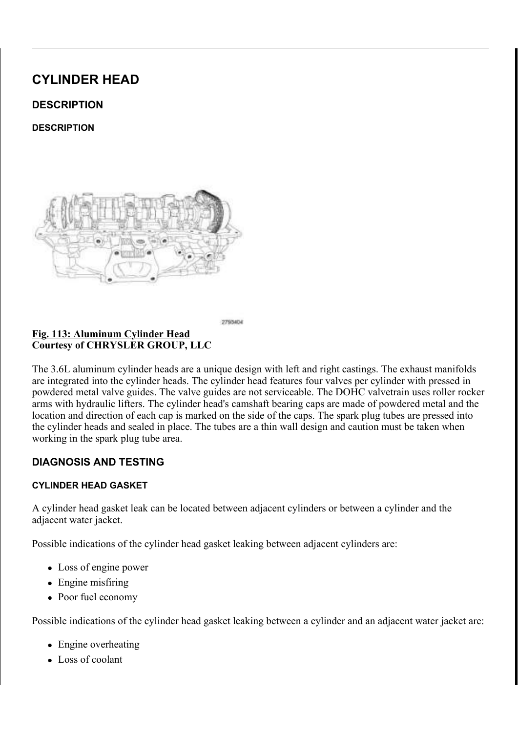) L J 0D J Q H W L F 7 L P L Q J : K H H O V<br>& R X U W H V \ R I & + 5 < 6 / (5 \* 5 2 8 3 / / &

& \$87,21 7 KH PDJQHWLF WLPLQJ ZKHHOFVRQWEDXFWWVZQLRWK P SLFNXS WRROV WUD\V HWF RHUWDQ\IRHWOKGHU7KLW GHVWUR\ WKH WLPLQJ ZKHHOV DEDLPOVLAWOLIW PS RERLUN WKH FDPVKDIW SRVLWLRQ VHQVRU

) L J 8SSHU , Q W D N H 0 D Q L I R O G<br>& R X U W H V \ R I & + 5 < 6 / (5 \* 5 2 8 3 / / & % R O W V

'LVFRQQHFW DQG LVRODWH WKH QHJDWLYH EDWWHU\ FDE 5 HPRYH WKH DLU LQOHW KORCH DQ5GHSWH5L52HWR LOZWSIDNH PDQL  $5(029$  \$/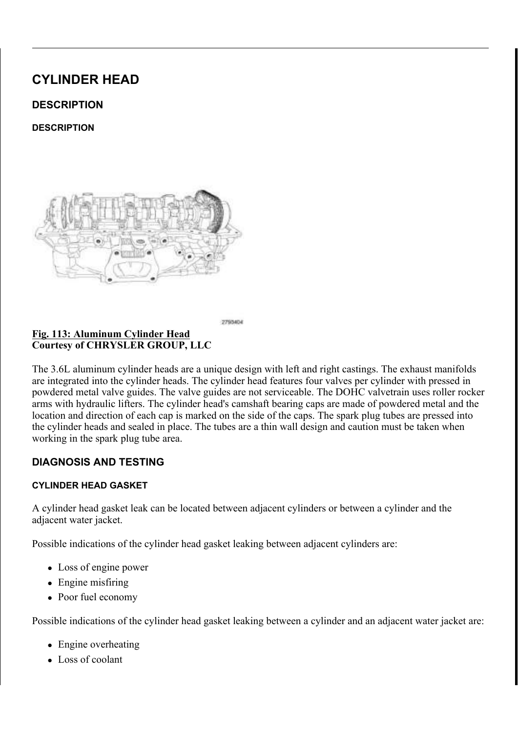) LJ \_\_\_\_\_\_, QWDNH 3RUWV \_, QVXODWRU \_\_ \$OLJQPHQW 3RVWV<br>&RXUWHV\RI & +5<6/(5 \*5283 //&

& R Y H U W K H R S H Q L Q W D N HI USIR PU WH Q W H UYLRO JS WHKY HH B QU J G QH H U L 5HPRYH WKH LQVXODWRU G FRRAHWKH /+ F\OLQGHU KHD

 $\frac{11.5}{1.5}$  TUDQVPLVVLRQ % USBD SSMUMERVH& OND SNMH & RXUWHV\RI & +5 < 6 / (5 \* 5 2 8 3 / / &

'LVHQJDJH WKH FOLSV XUEHHPRYHU WIRHWRBNOHHXWS BLOULQUGH UHSRVLWLRQ WKH WUDQVPLVVLRQ EUHDWKHU KRVH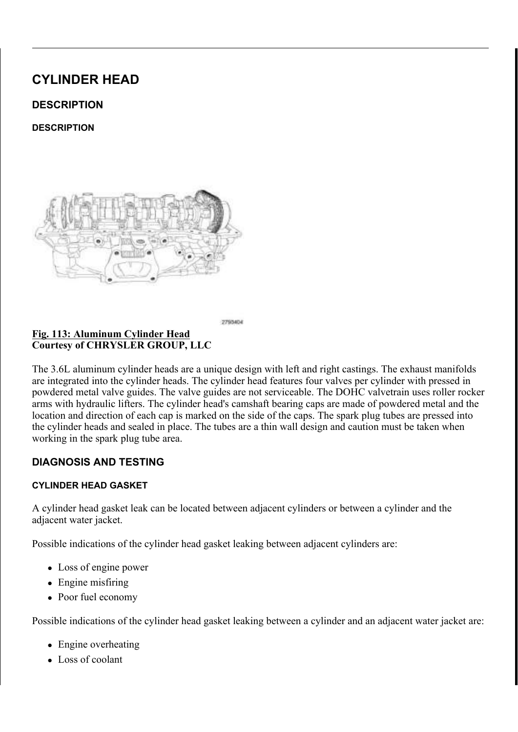ODUN WKH YDULDEOH YDOYEILWW LKPDQSJDVLRQWHSQ FRO GRAU HDXQLGYD UHLQVWDOOHG LQ WKHLU RULJLQDO ORFDWLRQV 5 HPRYH WKH YDULDEOH YD OWGREW (W2PLQ \$5V \$P\$0H Q9 F\$ L(\$6V7, \$9 H1 H)

<u>) LJ 9 DULDEOH 9 DOYH 7 LP LVQJ 64</u>FROOHVOVR LGV & RQQHFWR<br>& RXUWHV\RI & +5<6/(5 \*5283 //&

'LVFRQQHFW WKH HOHFWU**OFIDWG FRQDDHEWHRWDOYHLWRLPPMOK** 'LVHQJDJH WZR VWDUWHULUZRLPUHWKBLUOCHH WVFW6ANADOGLHQUHUKWHDG

 $127($ ODUN WKH YDULDEOH YDOYH WUL PLQJZ VLRWOKHDQ RSLDGL RU HTXLYDOHQW VR WKDW WKH\LPUDRUELHJLLOHDLOQVOWRII

<u>) L J</u> <u>9 D U L D E O H 9 D O Y H 7 L P L Q JL 61 RIO+HDQURQ HGV & R5QHQNHDFLWQRHUUN</u>  $R$ RXUWHV\RI & +5 < 6/(5 \* 5283 //&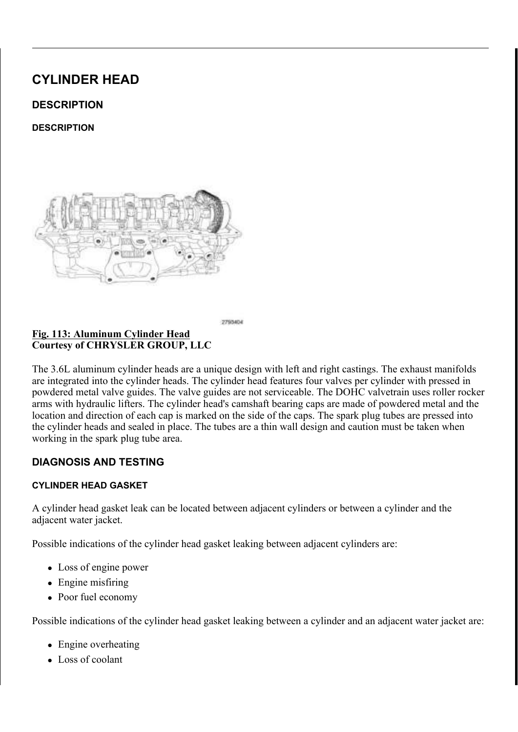'LVFRQQHFW WKH OHIW & DRUKDIW 3RVLWLRQ & 03 VHQVR 'LVHQJDJH RQH PDLQ ZLU**R WIXHQFH O'LQUGHYUD KGIBG FRYHR** D UHWDLQHU IURP WKH F\OANQXGGHU KHDG FRYHU PRXQ\

<u>) LJ (& 7 6 H Q V R U & R Q Q H F W R U U&HO 3 D6UHOQHVVRV</u>U 5 HOV1DDLIQQ:HLU V<br>& R X U W H V \ R I & + 5 < 6 / (5 \* 5 2 8 3 / / &

'LVHQJDJH RQH PDLQ ZLU**R WIXHQGHWIWUFHWDQQHU KHDGGFR** 

<u> 6 W D U W H U : L U H + D U Q H V+VD 5 FQ W YD YLGGHHUWD LOCOHLLOQ : IO UD FQ I</u> <u>) L J</u> **%UDFNHW 5HWDLQHUV**  $\overline{8 R X U W H V}$  RI  $8 + 5 < 6 / (5 * 5283 / 8)$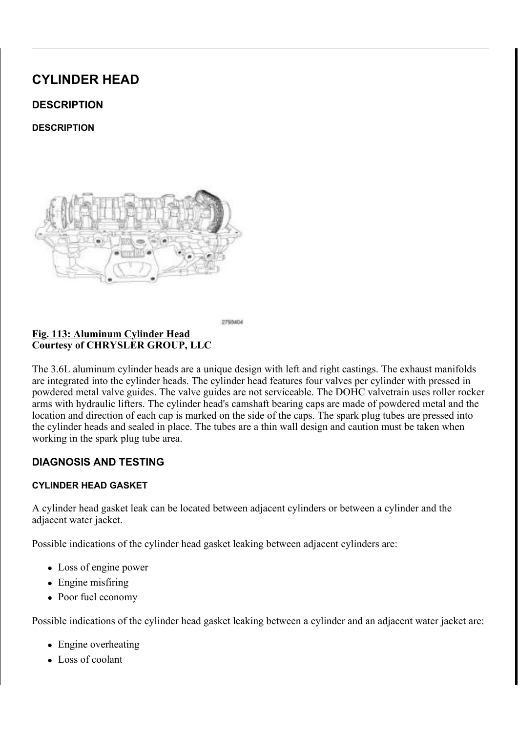'LVHQJDJH WZR LQMHFWLRIQ LJQURVPLRWQKKIDQUHQIHWYF\OHQWGDHLQ

) LJ \_\_\_\_\_\_\_, Q M H F W L R Q \_\_\_ J Q L W L R Q \_\_ + D U Q H V V \_ 5 H W D L Q H U V<br>& R X U W H V \ R I & + 5 < 6 / ( 5 \_ \* 5 2 8 3 \_ / / &

5 HPRYH WKH FDPVKDIW S6R V6L2W5LR8Q\$ 0/6H+Q\$ V7R L3 265, H7 LB1U V5R0 29\$

7 KH 5 + & 03 VHQVRU LV VKRZQ/L+Q&L0GOVAHOWWURDUWLLVR  $127($ VLPLODU, I UHPRYLQJ ERWK 5+ DQGKH+ V&HOQWRHUQV WKH\ FDQ EH LQVWDOOHG LQ WKHLU RULJLQDO O

<u>) L J & 03 6 H Q</u> V R U % R O W<br>& R X U W H V \ R I & + 5 < 6 / (5 \* 5 2 8 3 / / &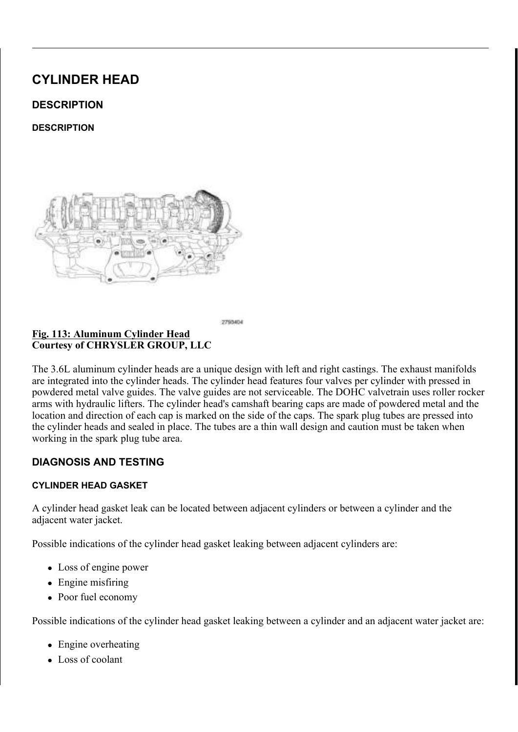<u>) LJ (OHFWULFDO & RQQHFLWWRLLRQ, J&ORLLVOLB</u>RQW&DRLLOQUQJ,%JBQ<br>& RXUWHV\RI& + 5 < 6 / (5 \* 5 2 8 3 / / &

5 H P R Y H W K H L J Q L W L R 2Q / F R \* 10 W, 2 1 5 H D 2 H 9 4 W R

) LJ & \OLQGHU + HDG & RYHU ROWWVLQJ % ROWV 6WXG<br>& RXUWHV\RI & +5<6/(5 \*5283 //&

/RRVHQ WHQ F\OLQGHU KHDDGQFGRWWER FFRWXGGWEROWNEROWGAGG FRYHU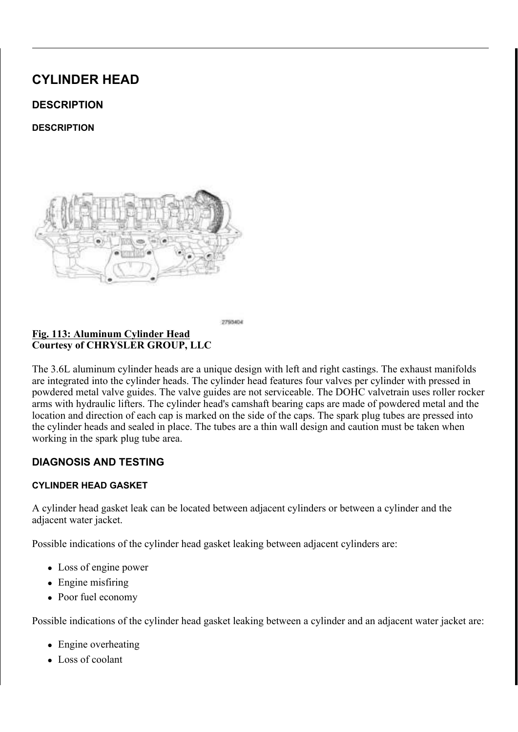5 H P R Y H D O O U H V L G X D O VUH B G D Q W W L P LLORIP F W B H Q F FORLY CHOHOLHD PDWLQJ VXUID(QHIVQGEMMIDHQUGDWURG 3URFHGXUH

& \$87,21 'R QRW XVH RLO EDVHG OLDTEXULDGWLYZHL DIKHEHLOX PHWDO VFUDSHUV WR FOHDQ WKH3 VHQ RIQQOH JD LVRSURS\O UXEELQJ DOFRKROZRDROGRHQQJ ZLWK VFUDSHUV .PSURSHU JDVNHW VXUKDOFWH LSQUHSI HQJLQH IOXLG OHDNDJH

579 6HDODQW /RFDWLRQV <u>) L</u> J &RXUWHV\RI &+5<6/(5 \*5283 //&

SHPRYH DQG GLVFDUG WKHWF\OLQGHU KHDG FRYHU JDVNH 7 KH VSDUN SOXJ WXEH VRHWOGADPDJFHDGQ EH UHXVHG LIQ

& \OLQGHU + HDG & RYHU EDHV@NHDWOV 6SDUN 30XJ 7X ) L J & R X U W H V \ R | & + 5 < 6 / (5 \* 5 2 8 3 / / &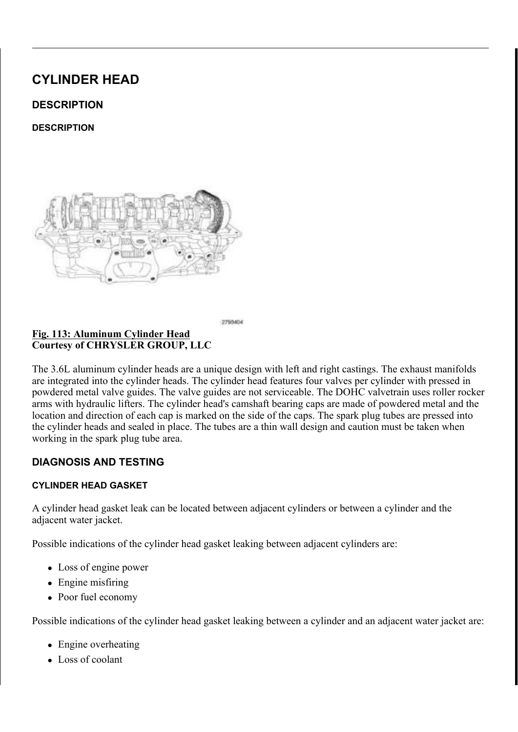<u>) LJ ODJQHWLF 7LPLQJ:KHHOV</u>  $\overline{\&$  RXUWHV\ RI  $\&$  +5 < 6/(5 \* 5283 // &

> & \$87,21 7 KH PDJQHWLF WLPLQJ ZKHHOFVRQWFDXFWWVZQLFAWR P SLFNXS WRROV WUD\V HWF RHUWDQ\IRHWOKGHU7KLW GHVWUR\ WKH WLPLQJ ZKHHOV DEDLPOVLKWDIW PSRENU WKH FDPVKDIW SRVLWLRQ VHQVRU

8SSHU, QWDNH 0DQLIROG %ROWV  $\angle$  L J & RXUWHV\ RI & +5 < 6/(5 \* 5283 //&

'LVFRQQHFW DQG LVRODWH WKH QHJDWLYH EDWWHU\ FDE 5 HPRYH WKH DLU LQOHW KQRGH DQ5GHSWHSLS2HWRLOZWSLONH PDQL  $5(029$  \$/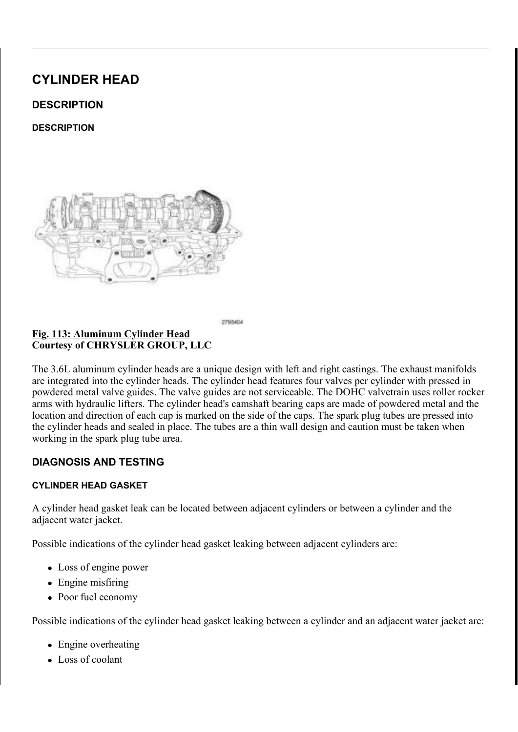KHDG 'LVHQJDJH WKH VWDUWHUD**KQHQ**HVV WR PDLQ KDUQHVV U 'LVHQJDJH WZR VWDUWHU 2MKUHHUKDUKKQVHFY\VOLUQHGWHDULOKHHUDVGIFURI

'LVFRQQHFW WKH HOHFWU**YDDIQDFEROOROMDOWRHUWLPLIQURGPYHPWO**KH

 $127($ ODUN WKH YDULDEOH YDOYH WUL PLQJZ VL RWOKHDQ RSLDGL RU HTXLYDOHQW VR WKDW WKH\LPUDRUELHJLLOHDLOQ VOVRI

<u>) LJ 9 DULDE OH 9 DO YH 7 LP LQ #D6URODHHVQVR</u> ESEWERLOOCHUFWYR UV<br>& R X U W H V \ R I & + 5 < 6 / (5 \* 5 2 8 3 / / &

& RYHU WKH RSHQ LQWDNHIUS RRU WHOW WHUYLRO SS WHKYHH BLOWJG QH HUL

 $LJ$ QWDNH 3RUWV, QVXODWRU \$OLJQPHQW 3RVWV,  $R$ RXUWHV\RI & +5 < 6/(5 \* 5283 //&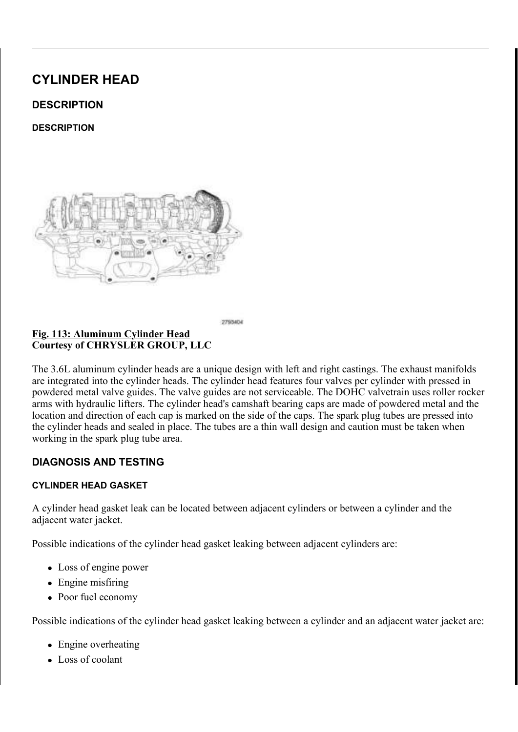'LVHQJDJH IRXU PDLQ ZLUH KWOKUHQHUVKWHFANDLQQHGUHVU KHI

<u>) L J ODLQ : L U H + D U Q H V V 5 KQWS BILIQ + HUD</u>/G \$ & WR 5Y LHUK W & \ O L<br>& R X U W H V \ R I & + 5 < 6 / (5 \* 5 2 8 3 / / &

OD UN WKH YD ULD EOH YD O Y EIL WW LKP DOSJD VL ROWH SO FRO GRAU HD XQLGY [ UHLQVWDOOHG LQ WKHLU RULJLQDO ORFDWLRQV 5 HPRYH WKH YDULDEOH YD OWGREW (W2PLQ\$5V\$RSOH Q9F\$L\$G(V7, \$0H1H  $5(029$ \$/

<u>)LJ 9DULDEOH 9DOYH 7LPLYQJ66</u>FROOHWQVRLGV & RQQHFWR<br>& RXUWHV\RI&+5<6/(5 \*5283 //&  $LJ$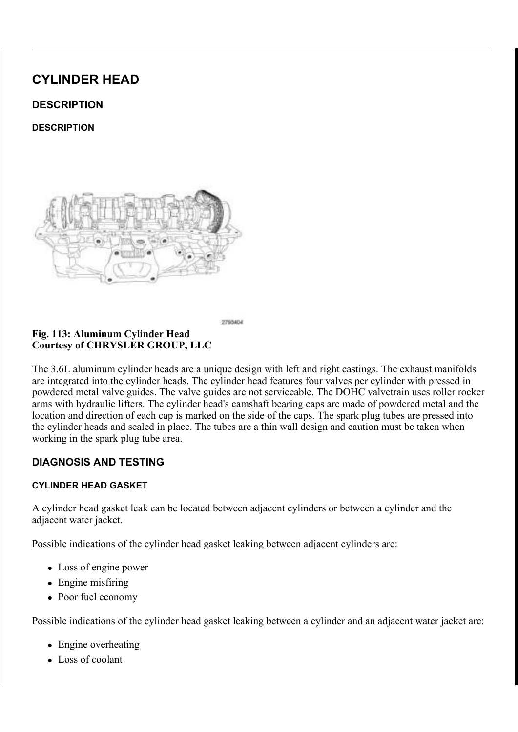$127($ 

I UHPRYLQJ ERWK 5+ DQG /+ & 03V HV QH VORW W RP VOND,<br>FDQ EH LQV WDOOHG LQ WKHLU RULJLQDO ORFD W

5 HPRYH WKH FDPVKDIW SERML60215 RQS10 HQSNRU3 256 H7IH2U W5 R029\$

<u>) LJ & 03 6HQ</u>VRU %ROW & R X U W H V \ R I & + 5 < 6 / (5 \* 5 2 8 3 / / &

'LVFRQQHFW WKH HOHFWULLLFJDKOWF&RDQPQ/HKFDWWRU3RVLIWJBRPQWK&HO 'LVHQJDJH WKH PDLQ ZLUPH WKDHUQUHLVKWUHFWODLLOOGHHUU KHIDUGR F

) LJ 0DLQ : LUH + DUQHVV 5 HWDLQHU & RQQHFWRU<br>& RXUWHV\RI & + 5 < 6 / (5 \* 5 2 8 3 / / &  $L_{\rm L}$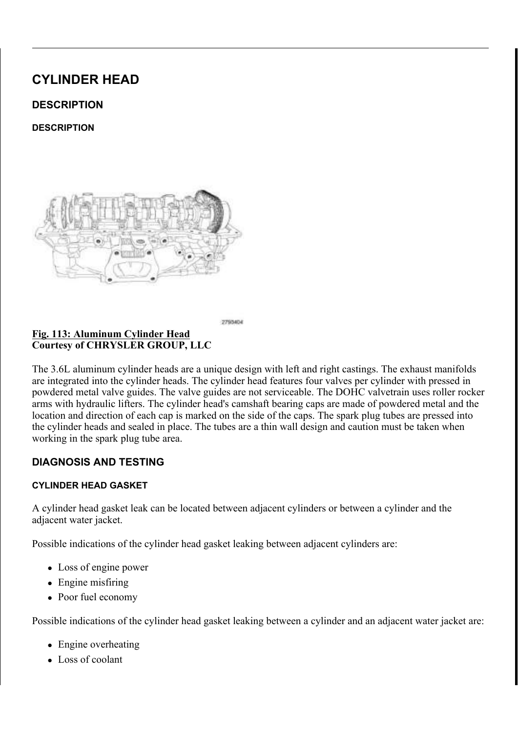) LJ \_\_\_\_\_\_\_, Q M H F W L R Q \_\_\_ J Q L W L R Q \_ + D U Q H V V \_5 H W D L Q H U V<br>& R X U W H V \ R I & + 5 < 6 / ( 5 \* 5 2 8 3 / / &

'LVHQJDJH WKUHH LQMHFQWHURVQ LJDQURWPLRVQKHKDULQNKHWVF\LOHLWQD

) LJ (OHFWULFDO & RQQHFLWWRLLRQ, J&ORLLVOL BENOWSURLLOQUOJ,%JBQ<br>& RXUWHV\RI & +5<6/(5 \*5283 //&

 $127($ 7 KH /+ LJQLWLRQ FRLOV DUGH WWKRHZGI+LQJDQQWXKWQ VLPLODU

5 H P R Y H W K H L J Q L W L R 2Q / F R \* 10 W, 2 1 5 H D 2 H 9 4 W R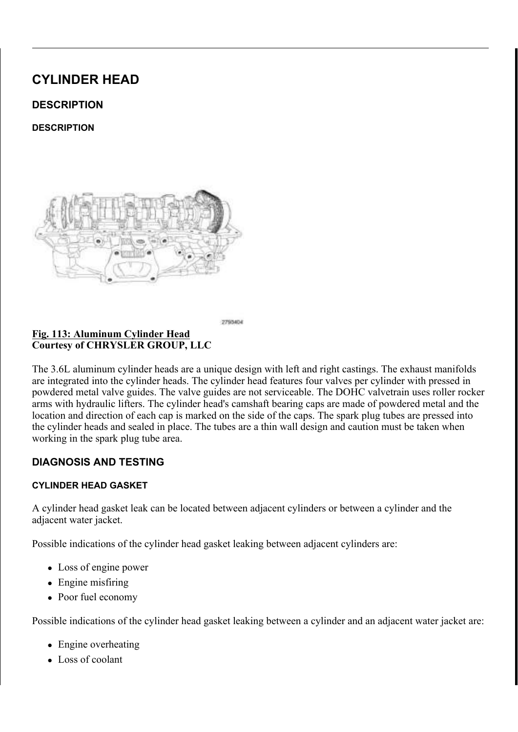5 HPRYH WKH XSSHU WUDQ VDROLG/VULHRSOR WLRWHROQL WOJH HE RWOLWOQV WXEH

<u>) LJ 8SSHU 7UDRQQUPLQML%ROW 7UDQVPLVVLRQ</u> 2LO /H<br>& RXUWHV\RI & +5<6/(5 \*5283 //&

5 D L V H D Q G V X S S R U W 2W K H, N\*H K6L7F30 H \$ 5 5 H 3 b H 2 LA ( W 8 FS ( / R R V H Q W K H E R O W V HXELXGU LOOHLY W K SK H QWGULDFODWAP R LV W L R KELH COU

<u>) LJ 7 UDQVPLVVLRQ ) OXLG /R</u>ØWO , QGLFDWRU 7XEH<br>& RXUWHV\RI & +5<6/(5 \*5283 //&  $\frac{1}{2}$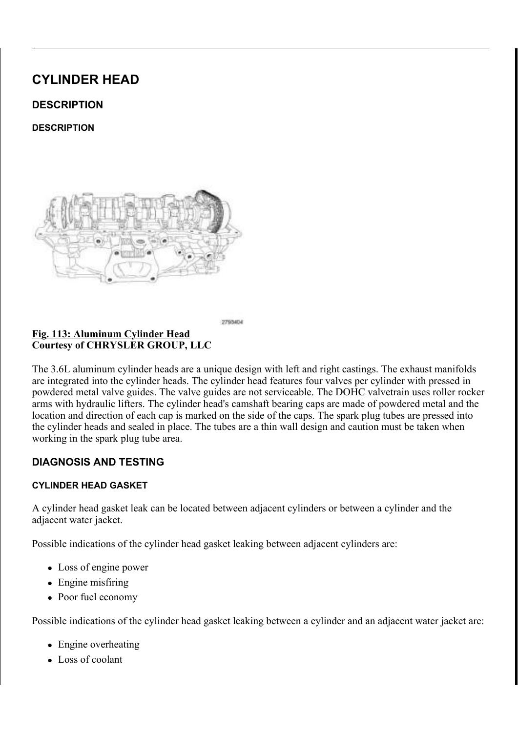) LJ 3&9 9DOYH 6FUHZV<br>& RXUWHV\RI & +5 < 6/(5 \* 5283 //&

/RZHU WKH YHKLFOH

5 H P R Y H W K H 3 & 9 Y B & M 3 2 65 F J . I G W & X R 1 . & \$ 6 ( 9 ( 1 7 , / \$ 7 , 2 1 3  $/ 5(029$ \$

) LJ &\OLQGHU + HDG & RYHU RQ XVVW LQJ % ROWV 6WXG<br>& RXUWHV\RI & +5<6/(5 \*5283 //&

/RRVHQ QLQH F\OLQGHU KHDDGQEGRWHUHRRXQWGQGROEWQWV D KHDG FRYHU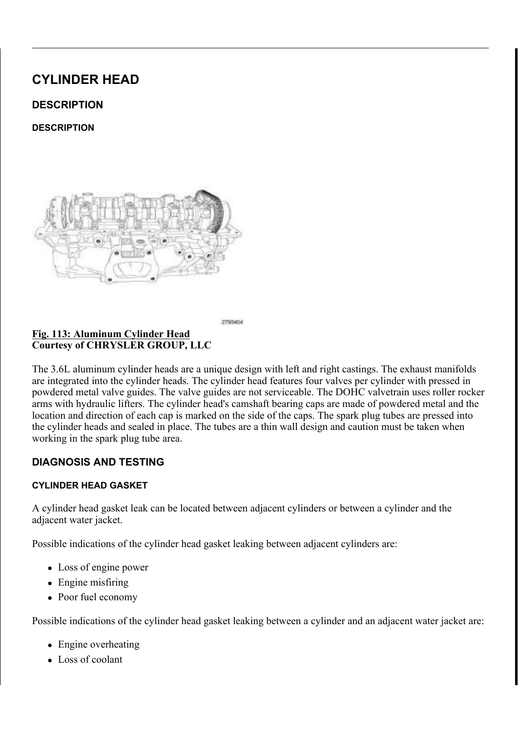- & \$87,21 'R QRW XVH RLO EDVHG OLDTEXULIGWLYZHL DIKHEHLOX PHWDO VFUDSHUV WR FOHDQ WKH8 VHQ RIQQOH JD LVRSURS\O UXEELQJ DOFRKROZRDROGRHQQJ ZLWK VFUDSHUV, PSURSHU JDVNHW VXUKDOFWH LSQUHSI
- 7 KH /+ F\OLQGHU KHDG FRYHUQ7 LMOROLXQMWMUDWHLRMON  $127($ F\OLQGHU KHDG FRYHU 7 MRLQWV DUH VLPLODU
- &RXUWHV\RI &+5<6/(5 \*5283 //&
- 579 6HDODQW /RFDWLRQV
- 5HPRYH DQG GLVFDUG WKHWF\OLQGHU KHDG FRYHU JDVNH 7 KH VSDUN SOXJ WXEH VRHWOGADPDJFHDGQ EH UHXVHG LIQ
- $127($ 7 KH /+ F\OLQGHU KHDG FRYHOUWLWRQYKTWZKQH 15Q EOOOL KHDG FRYHU LV VLPLODU

 $LJ$ & \OLQGHU + HDG & RYHU E BHV @NHDWOV 6SDUN 30XJ 7X & R X U W H V \ R | & + 5 < 6 / (5 \* 5 2 8 3 / / &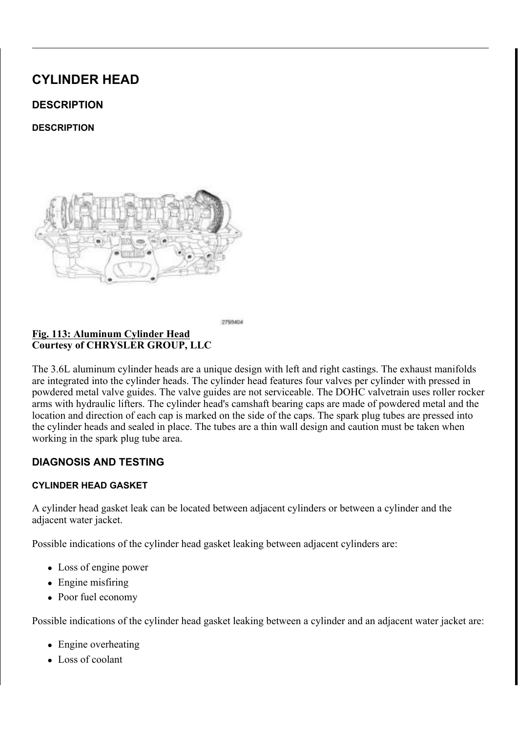## HQJLQH IOXLG OHDNDJH

### 5 HPRYH DOO UHVLGXDO VUH KABDQWWLPLLORIPFWRALOFFORLYOHOLHD PDWLQJ VXUID RH V CGHYHD BLG DWRG 3 URFH G XUH

 $, 167\$ //\$7,21

 $/()7$ 

 $L$ ODJQHWLF 7LPLQJ :KHHOV  $\frac{1}{8}$ RXUWHV\RI & +5<6/(5 \*5283 //&

> & \$87,21 7KH PDJQHWLF WLPLQJ ZKHHOFVRQWEDXFWWVZQLFAWAP SLFNXS WRROV WUD\V HWF RHUWDLQ\IRHWOKGHU7KKW GHVWUR\WKH WLPLQJ ZKHHOV DEDLPOVLAWDIWRSKERLUW WKH FDPVKDIW SRVLWLRQ VHQVRU

<u>) L J & \OLQGHU + HDG & RYHU EDNYA</u>NHDNOV 6SDUN 3OXJ 7X<br>& R X U W H V \ R I & + 5 < 6 / (5 \* 5283 //&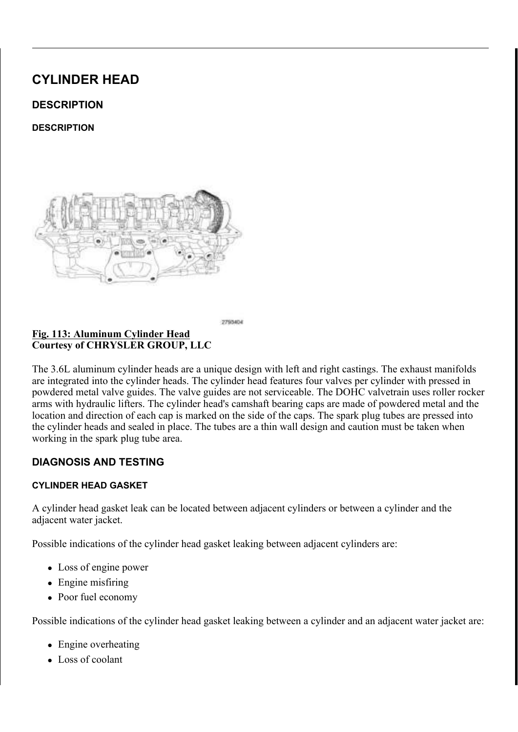# QVWDOO WKH F\OLQGHU KHDG FRYHU JDVNHW 7KH VSDUN SOXJ WXEH VHWDQSDPDJFIDGO EH UHXVHG LI OR

# 

- ,I UHTXLUHG LQVWDOO QHLQWSKOHUN\60QGHWUXKEHDGHDFQNHU Z / X E U L F D W H W K H V S D U N S O & LLDW XHEWHH V N DZOL W Q G THOUH D Q GH Q 2 3 O D F H W K H V S D U N S O X J W X LE H6 S U BHLD NO 3 O X RIQ 7 X MEK H1 6& HDD FO 6. QVWDOOHU & BBDQNWSDQQDHXEKADGHBOQVR WRRO
	- Z 3 X V K W K H V H D O L Q W R W K HH FEND V L GRH UW KK HH D VGH D FOY LHVU V AHOO
	- z 5HPRYH WKH WRRO

<u>) L J 579 6 H D O D</u> Q W / R F D W L R Q V<br>& R X U W H V \ R I & + 5 < 6 / (5 \* 5283 / / &

& OHDQ WKH WLPLQJ HQJLQDHG WORRELQUOFLROYGHHUU KFHODLGQ BRHYUHKUI LVRSURS\ODOFRKROLQSUDHWSLDRUQDWLRQIRUVHDODQWDS\$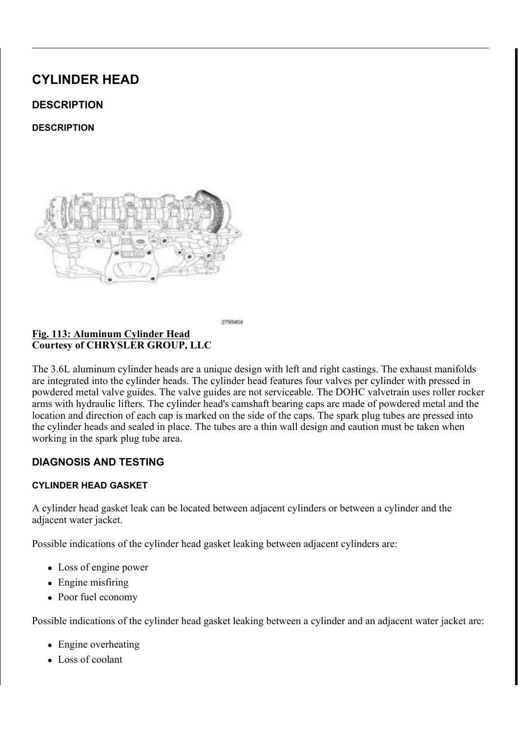& \$87,21 (QJLQH DVVHPEO\ UHTXLUHW MHOKOHDXQWH WRKDDW FRPSDWLEOH ZLWK HQJLQH RLO D& VDQSDDU ŠHD 7KUHHERQG (QJLQH 579 6HDODQW XPLDG OHDNO)

& \$87.21 ) ROORZLQJ WKH DSSOLFDWLGROQ **RIL @IRSD79** \$7 6HDODQW WR WKH JDVNHW VXUIDFHHV WKH FR DVVHPEOHG ZLWKLQ PLQXWHV DQNG PWXWWDEN WLJKWHQHG WR VSHFLILFDWLRQJZHLGWKHLSQRVXPUL WR WKH DLU SULRU WR DVVHPEQ\GPODHDNHDVXHOV

\$SSO\D WR PPZLGH EHDGJRQBIR557D9U6ŠHDKOUDHQHVERQGWRQW WLPLQJ FRYHU WR F\OLQGHLLO @ ND DY WD M/R RQQW V DV VKRZQ L

& \OLQGHU + HDG & RYHU W& XROW WILJKRWHEODLHONJOUGGHHTOXH6O ) L J &RXUWHV\RI &+5<6/(5 \*5283 //&

SOLJQ WKH ORFDWRU SLQQVG LQWWRDVOKOHWFKGHLFQ\GHLQGKHHUDGKHD 7 L J K W H Q W K H F \ O L Q G H U KHODOGH BR W WH M GEVR DOW W KDHQ OV HGTRRXHEODH 1 P LO OEV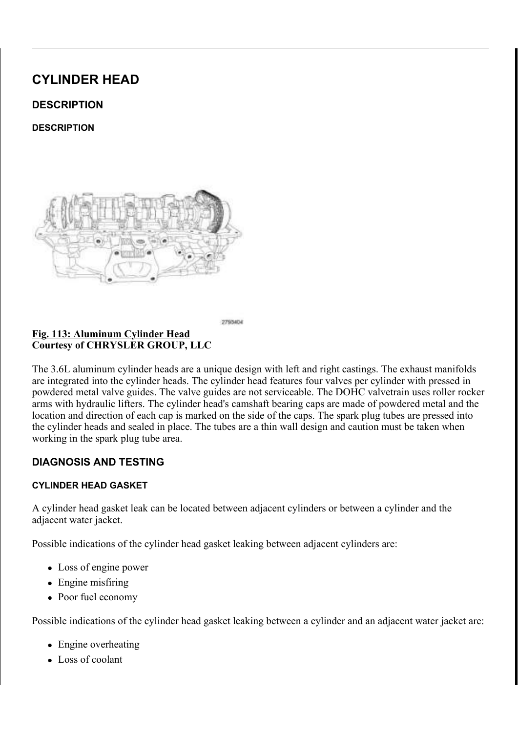<u>) LJ (OHFWULFDO & RQQHFLWWRLLRQ, J&ORLLVOLB</u>RQW&DRLLOQUQJ,%JBQ<br>& RXUWHV\RI& + 5 < 6 / (5 \* 5 2 8 3 / / &

,I UHPRYHG LQVWDOO 6NBK\$HS.V3SYBUN,1S6OY\$\$JA\$\_752HIHU WR , Q V W D O O W K H L J & L 2W L R O L F Z R 2 O V , 1 5 F S H L \$ 7W R 1

) L J \_ \_ \_ \_ , Q M H F W L R Q \_ , J Q L W L R Q \_ + D U Q H V V \_ 5 H W D L Q H U V<br>& R X U W H V \ R I & + 5 < 6 / ( 5 \_\* 5 2 8 3 \_ / / &

(QJDJH WZR LQMHFWLRQ LJQWLRWWRKQH KODHUNQHFVVOLLQHGWHDULQGHDK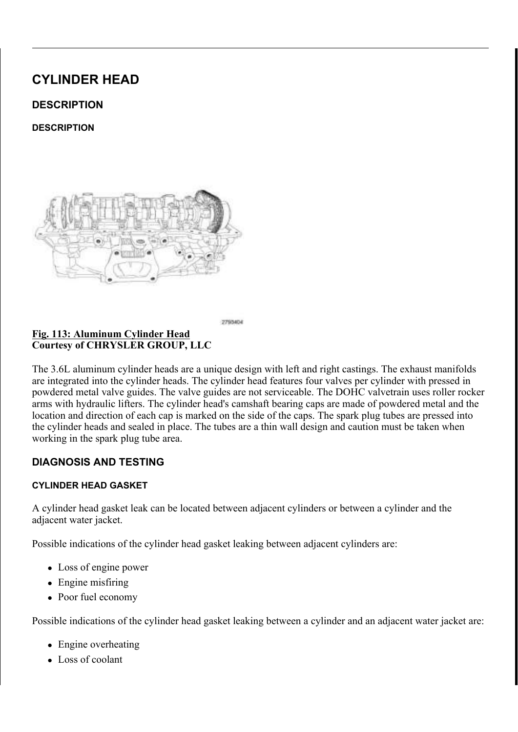& RQQHFW WKH HOHFWULWFDYOD UF BDQQOHHFW BOD YH WWFRL QUKHY FOOH (QJDJH WZR VWDUWHU ZLWWHK DO WOWN VFVIOLLOWGO HUDG FRWR

<u>) LJ 9 DULDE OH 9 DO YH 7 LP LQ JL 6JRIO+HOQURQHGV</u> & R5QHQWHDFLVQDRHUUV<br>& R X U W H V \ R I & + 5 < 6 / (5 \* 5 2 8 3 / / &

5 HIHU WR WKH PDUNLQJV PDWOHOLOD WW KGHL WID WULHD FEEDOH YDDQGGYCHO WKHLU RULJLQDO6QR(FID, WLR\$D5V, \$%5H(IH9U\$ / \$) W(R7, 0, 1 \*, 167\$ / / \$7, 2

<u>)LJ 9DULDEOH 9DOYH 7LPLYQJ 66</u>FROOHNOVRLGV & RQQHFWR<br>& RXUWHV\RI& +5<6/(5 \*5283 //&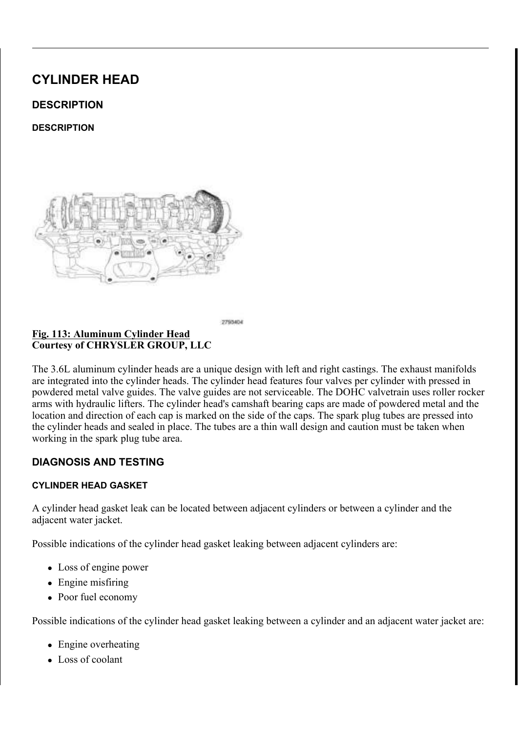<u> 6 W D U W H U : L U H + D U Q H V+VD 51 B W YD YL O SHHUWD LOOD HLOD : LO UD HQ L</u> <u>) L</u> J **%UDFNHW 5HWDLQHUV**  $\overline{8 R X U W H V}$  RI  $8 + 5 < 6 / (5 * 5283 / 8)$ 

(QJDJH RQH PDLQ ZLUH KDOUHQIMW FINO HOWGOHLIQHKUHDG WIRRYWHUH

) L J 803 6 H Q V R U % R O W<br>& R X U W H V \ R I & + 5 < 6 / (5 \* 5 2 8 3 / / &

7 KH 5 + & 03 VHQVRU LV VKRZQ /L+Q&L0GIOVA+MOWURDUWLLVR  $127($ VLPLODU, I ERWK 5+ DQG /+ & 03 VHQQVRWDOZOKHNUKH LQWR WKHLU RULJLQDO ORFDWLRQV

, QVWDOO WKH FDPVKDI<u>WG SGR2v5LW&LSFOQ + VSH7Q VSR&U,</u> 7 52H1IHU WR  $, 167$   $\frac{5}{18}$  7, 21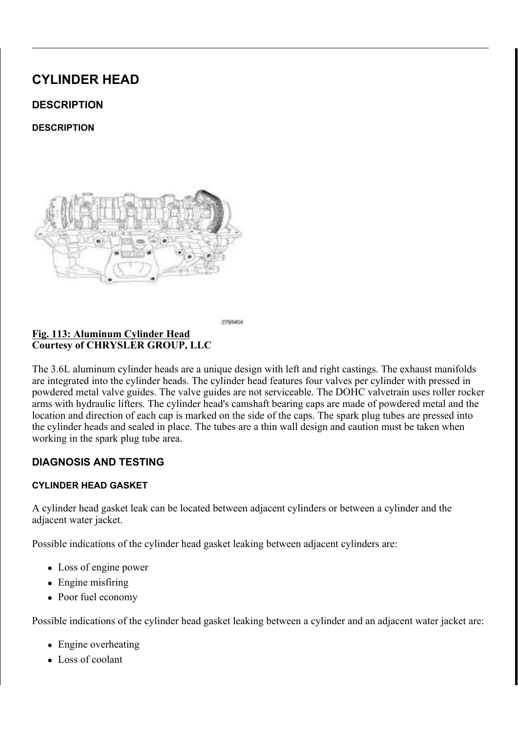# , QVWDOO WKH PDNH XSLDQLQLHW XKEHHDG FWRHW KDHQGSHHIVQUED\LCH WUDQVPLVVLRQ EUHDWKHU KRVH

 $JLJ 7UDQVPLVVLRQ %BBD$WWHHXERVHR OUD$WH  
&RXUWHV\RI &+5<6/(5 *5283) / / &$ </u>

& R Q Q H F W W K H H O H F W U L KS DO O VEKERO Q W H JFRWEL W L R Q W F & OWSK H JOOHN (QJDJH RQH PDLQ ZLUH KDRUQHQIGHUH WHOLDGHFURYHUW BROWGK RNQ UHWDLQHU WR WKH F\OLXOGHU KHDG FRYHU PRXQWLQJ

<u>) LJ (& 7 6 H Q V R U & R Q Q H F W R U U&HO 3 D6UHOQHV RV</u>U 5 HOVIDID Q Q H LU V<br>& R X U W H V \ R I & + 5 < 6 / (5 \* 5 2 8 3 / / &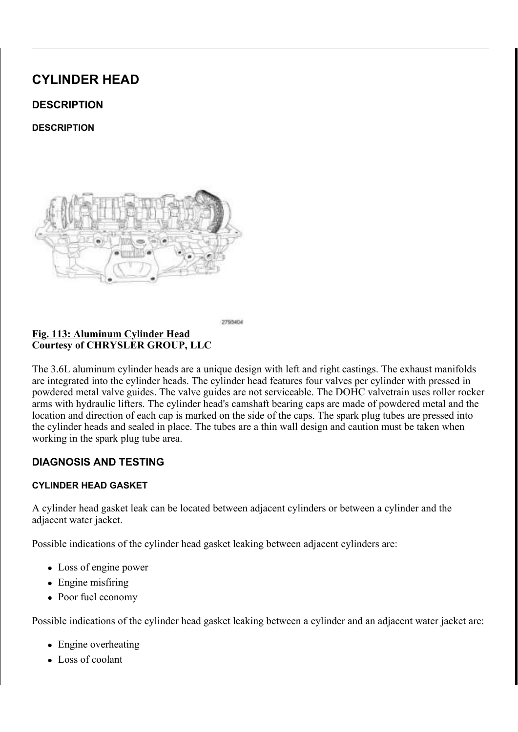8SSHU, QWDNH ODQLIRXOHOQ F&HROW 7LJKWHQLQJ 6HT <u>) L J</u> &RXUWHV\RI &+5<6/(5 \*5283 //&

OWDNH 3RUWV, QVXODWRU, \$OLJQPHQW 3RVWV,

,QVWDOO WKH LQVXODWRRWWV WRRW2WHRWSZFRIDWOKLHJQ4PHFQQWLQ\$

, QVWDOO WKH XSSHU LQ**WDFNYH PWDQDLQRGODSLU<u>01\$QNX</u>SB/BWRKWRWE**  $, 17$ \$.(  $, 167$ \$//\$7,21

& RQQHFW WKH QHJDWLYHX ENDWWRWHU\FFDEQLEQDQGEVWLJKWHQ

 $127($ 7KH & DP & UDQN 9DULDWLRQ 5HO HBUQI BURFIGGXXULHQ VFDQ WRRO DQ\WLPH WKHUH KDV EPHDHQHDWLRH BDSLRUZH V\VWHP IRU HIDPSOH IO\ZKHHO GDRUYHFWUDQNQYKDDWP VHQVRUV RU FRPSRQHQWV

 $5, * + 7$ 

 $LJ$ 

&RXUWHV\RI &+5<6/(5 \*5283 //&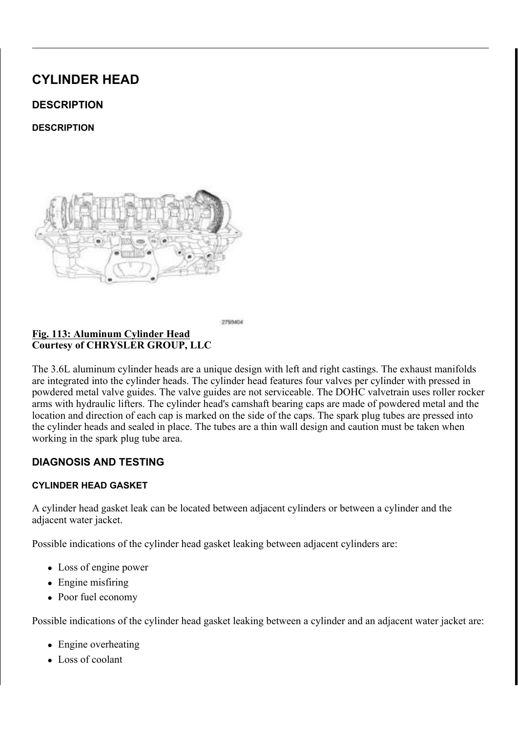QVWDOO WKH F\OLQGHU KHDG FRYHU JDVNHW 7KH VSDUN SOXJ WXEH VHDGOVPDJHFGDQ EH UHXVHG LIQ

7 KH /+ F\OLQGHU KHDG FRYHOUWLWRQYKTWZKQH 15QR ECOOLXOWG/  $127($ FRYHU LV VLPLODU

) L J &RXUWHV\RI &+5<6/(5 \*5283 //&

&\OLQGHU +HDG &RYHU EDV®HHDNOV 6SDUN 3OXJ 7X

& \$87,21 7KH PDJQHWLF WLPLQJ ZKHHOFVRQWEDXFWWVZQLRWK P SLFNXS WRROV WUD\V HWF RHUWDQ\IRHWOKGHU7KLW GHVWUR\ WKH WLPLQJ ZKHHOV DEDLPOVLAWDIW PSRENU WKH FDPVKDIW SRVLWLRQ VHQVRU

 $L$ ODJQHWLF 7LPLQJ :KHHOV &RXUWHV\RI &+5<6/(5 \*5283 //&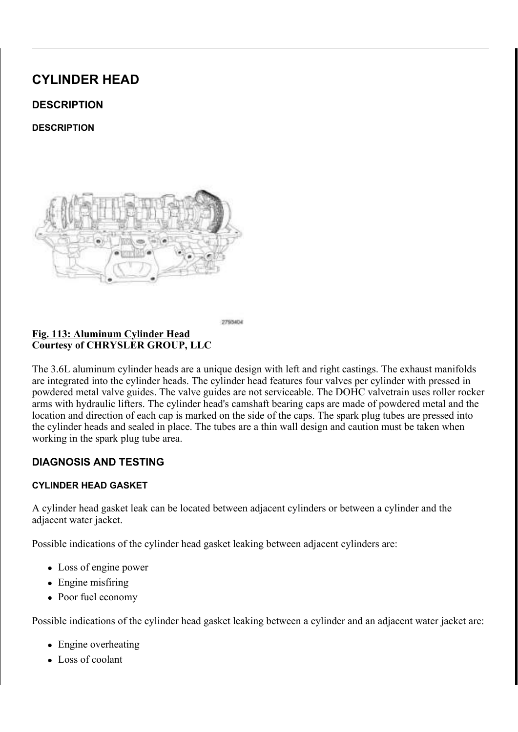& OHDQ WKH WLPLQJ HQJLQDHG WDDRELQUO EROYGHHUU KFMODLGQ BRHYUHKUI LVRSURS\ODOFRKROLQSDDHWSLDRLQDWLRQIRUVHDODQWDS\$

7 KH /+ F\OLQGHU KHDG FRYHULOTONXRYLWQUVDWLYLRVQKRVZM

F\OLQGHU KHDG FRYHU 7 MRLQW LV VLPLODU

579 6HDODQW /RFDWLRQV

&RXUWHV\RI &+5<6/(5 \*5283 //&

 $127($ 

, 5HPRYH WKH WRRO

- Z 3 O D F H W K H V S D U N S O X J W X LEHG SU DHUDINO 3 O X RIQ 7 X MEKHH 6&HDDFO 6. WRRO QVWDOOHU & BBDQWWDXDFTNEH&D6FHDBQVR 2 3 X V K W K H V H D O L Q W R W K HH FEND **V ENGEH UW KK HHDVGH D ROY HYVU VXHOD**
- Z / X E U L F D W H W K H V S D U N S O GS IL DWP XHEWHH W HIDZOL W Q GFHOLH D Q GH Q

IUHTXLUHG LQVWDOO QHLQWSKOHUN\SOQGHWUXKEHDGHIDROVHU

6SDUN 30XJ 7XEH 6HDO , QVWDOOHU <u>) L J</u> & R X U W H V \ R I & + 5 < 6 / (5 \* 5 2 8 3 / / &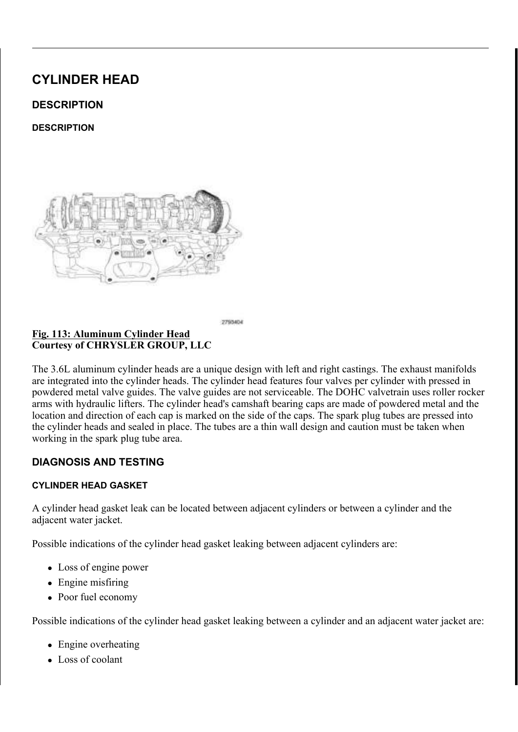& \$87,21 (QJLQH DVVHPEO\ UHTXLUHW MWDKOHDXQWMH WRKDDW FRPSDWLEOH ZLWK HQJLQH RLO D& VDQSDDU ŠHD 7KUHHERQG (QJLQH 579 6HDODQW XPLDG OHDNO)

& \$87.21 ) ROORZLQJ WKH DSSOLFDWLGROQ RILODIR S5079 \$7 6HDODQW WR WKH JDVNHW VXUIDFHHV WKH FR DVVHPEOHG ZLWKLQ PLQXWHV DQNG PWXWWDEN WLJKWHQHG WR VSHFLILFDWLRQJZHLGWKHLSQRVXPUL WR WKH DLU SULRU WR DVVHPEQ\GPODHDNHDVXHOV

\$SSO\D WR PPZLGH EHDGJRQBIR557D9U6ŠHDKOUDHQHVERQGWRQW WLPLQJ FRYHU WR F\OLQGHLLO @ ND DY WD M/R RQQW V DV VKRZQ L

& \OLQGHU + HDG & RYHU W& XROW WILJKRWHEO OLENQLGORHTOXH6O ) L J &RXUWHV\RI &+5<6/(5 \*5283 //&

SOLJQ WKH ORFDWRU SLQQVG LQWWRDVOKOHWFKGHLFQ\GHLQGKHHUDGKHD 7 L J K W H Q W K H F \ O L Q G H U KHODOGH BR W WH M GEVR DOW W KDHQ OV HGTRRXHEODH 1 P LO OEV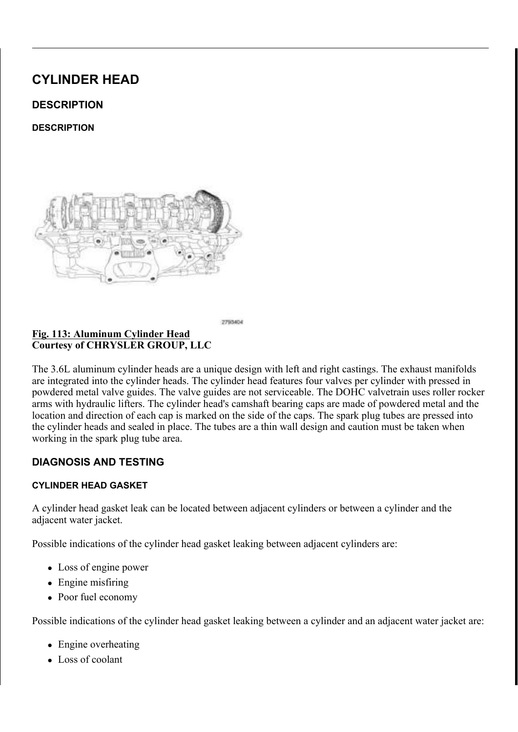<u>) LJ (OHFWULFDO & RQQHFLWVRLLRQ, J&ORLLVOL B</u>REW&DRLLOQUOJ,%JBQ<br>& RXUWHV\RI & +5<6/(5 \*5283 //&

7 KH /+ LJQLWLRQ FRLOV DUOH WKKRHZGI+LQJDQLOWXLRYQ  $127($ VIPIODU

,I UHPRYHG LQVWDOO 6NBK\$HS.V3SYBUN,1S6OY\$\$JA\$\_752HIHU WR .QVWDOO WKH LJQL&WALRQ.\*FIRT.Q2V1 .165781LH6U7.V2/R

) LJ \_\_\_\_\_\_\_, Q M H F W L R Q \_\_ J Q L W L R Q \_ + D U Q H V V \_ 5 H W D L Q H U V<br>& R X U W H V \ R I & + 5 < 6 / ( 5 \* 5 2 8 3 / / &

(QJDJH WKUHH LQMHFWLRQ LWNQLWWKKRQU KLOKUNQ HTVOVLQNGWHD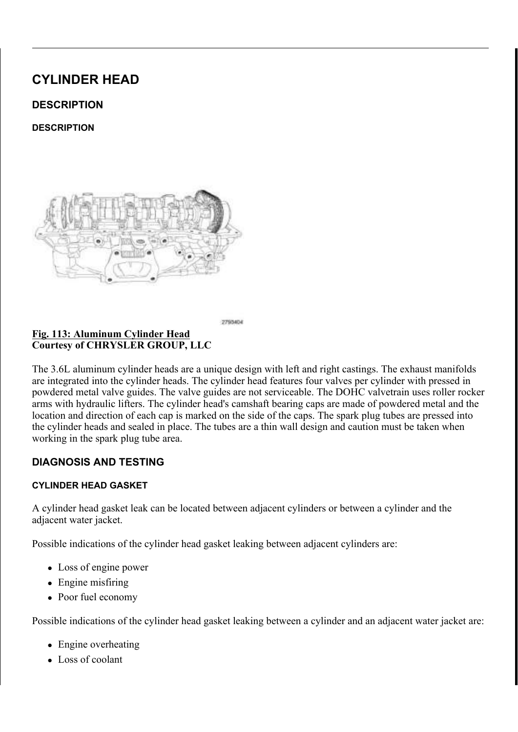<u>) LJ 9 DULDE OH 9 DO YH 7 LP LQ + D6URODHHVQVR E</u> BIV&DRLOOCHUFWY RUN<br>& R X U W H V \ R I & + 5 < 6 / (5 \* 5 2 8 3 / / &

& R Q Q H F W W K H H O H F W U L LE DD O FHR Q DQ OHY F W RIVL VP L Q J W KR OWK KHOLDROLDS (QJDJH WZR VWDUWHU ZLUHJKDUKONDVLQGUHHUW BEHODHGUFVRWIRUW K (QJDJH WKH VWDUWHU KDUQHVV WR PDLQ KDUQHVV UI

5 HIHU WR WKH PDUNLQJV PDWGHOOD WW KGHL WID VUVLHD FEEO GAN YDDOGGYOLIO WKHLU RULJLQDO6QR(FID, WLB, \$25V, \$ %5 H(IH9 \$9 / \$) W(R7, 0, 1 \*, 167 \$ / / \$7,

<u>)LJ 9DULDEOH 9DOYH 7LPLVQJ 66</u>FROOHVQVRLGV & RQQHFWR<br>& RXUWHV\RI&+5<6/(5 \*5283 //&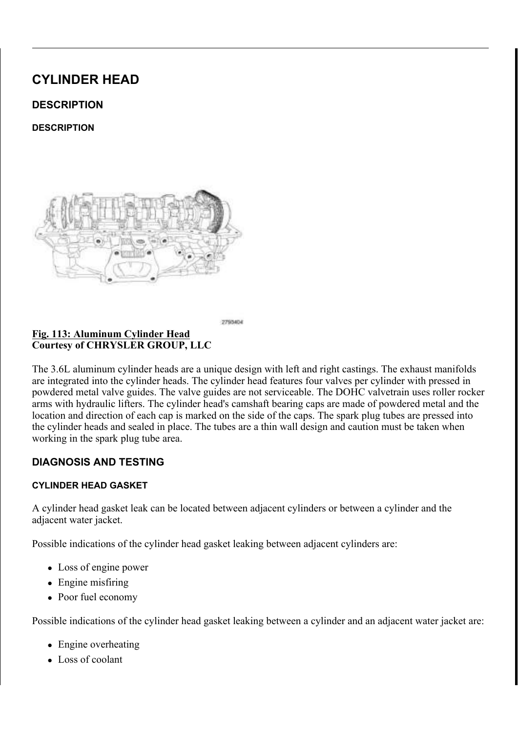$\underbrace{\begin{array}{c} \texttt{\texttt{1}} & \texttt{\texttt{1}} & \texttt{\texttt{2}} \\ \texttt{\texttt{2}} & \texttt{\texttt{3}} & \texttt{\texttt{4}} \\ \texttt{\texttt{3}} & \texttt{\texttt{4}} & \texttt{\texttt{5}} \\ \texttt{\texttt{4}} & \texttt{\texttt{5}} & \texttt{\texttt{4}} \\ \texttt{\texttt{5}} & \texttt{\texttt{4}} & \texttt{\texttt{5}} & \texttt{\texttt{6}} \\ \texttt{\texttt{6}} & \texttt{\texttt{6}} & \texttt{\texttt{6}} & \texttt{\texttt{6}} \\ \texttt{\texttt{6}} &$ 

(QJDJH IRXU PDLQ ZLUH KEDHUQLHUKWUTHLOWDQQHUUKHDGWRRWH

<u>) L J & 03 6 H Q</u> V R U % R O W<br>& R X U W H V \ R I & + 5 < 6 / (5 \* 5 2 8 3 / / &

 $127($ , I ERW K 5 + DQG / + & 03 VHQ VRU VWZDKOHOU HW KJHP RLYOHW RULJLQDO ORFDWLRQV

, QVWDOO WKH FDPVKDIV& (SGR2V5LW&L\$ROQ + V\$ HTQ YS R&U, 7 52 HIH U WR  $,167$$ //\$7,21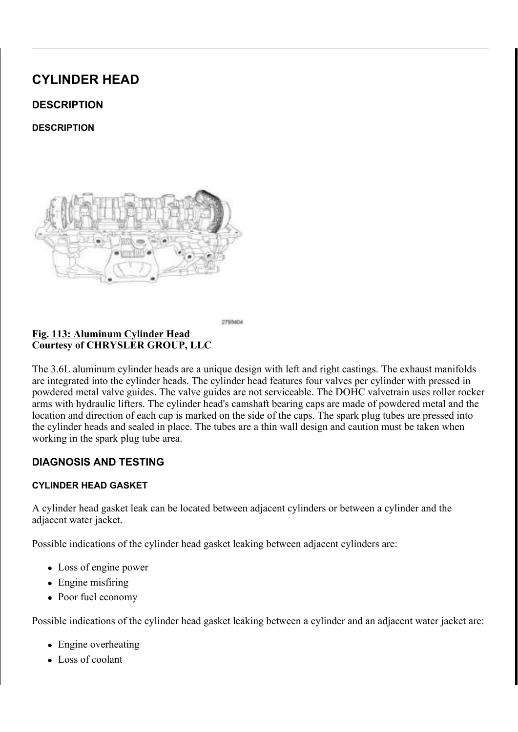) L J 3& 9 9 D O Y H 6 F U H Z V<br>& R X U W H V \ R I & + 5 < 6 / (5 \* 5 2 8 3 / / &

, Q V W D O O W K H 3 & 99 \$ D90 Y B 2 6, 7, 59 H I & B 35 W R \$ 6 (9 ( 1 7, / \$ 7, 2 1 3 &  $/ 5(029\frac{3}{5})$ 

& RQQHFW WKH HOHFWULWFD&OD PREQDLHWFWS RULWL RWGR W& KSBH WLHUC (QJDJH WKH PDLQ ZLUH KDUUQKHWVF UOHUQOGLHOUH KJHD GWFFR WHKUH F

) LJ 0DLQ : LUH + DUQHVV 5 HWDLQHU & RQQHFWRU<br>& RXUWHV\RI & + 5 < 6 / (5 \* 5 2 8 3 / / &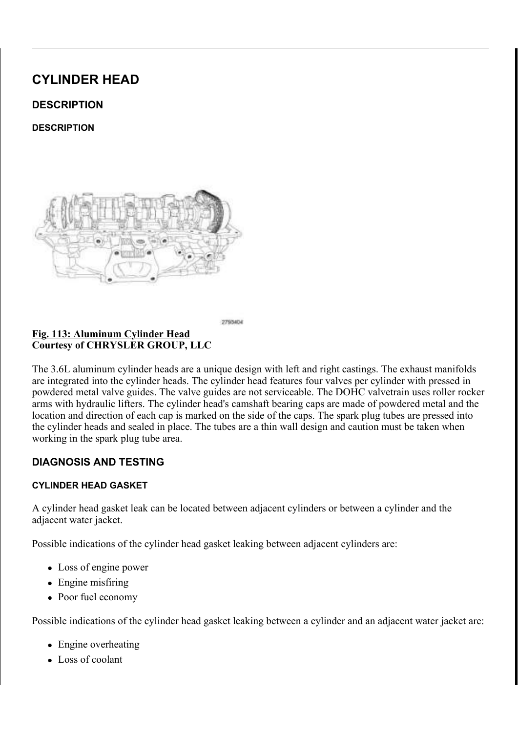) LJ 7UDQVPLVVLRQ ) OXLG / R Ø WO , Q GLFD W R U 7 X E H<br>& R X U W H V \ R I & + 5 < 6 / (5 \* 5 2 8 3 / / &  $\frac{1}{2}$ 

, Q V W D O O W K H E R O W OV XHLFG KULHOYJH WO KLHQ GA/LLFIDOWN RPUL VAW XXLVENHOQ J DQG WLJKWHQ WR 1 P LQ OEV

5 D L V H D Q G V X S S R U VA 2N K 7H, N \* H K 6L 7 F 3 O H \$ 5 5 H 3 E H 2 L & (V8 FS ( , Q V W D O O W K H W U D Q V P LHV V L RZQ WR K O W Q H YXHSOS H Q G W U D Q W R PU W WLJKWHQHG WR 1 P IW OEV

<u>) LJ 8SSHU 7UDRQQUPLQML%ROW 7UDQVPLVVLRQ</u> 2LO /H<br>& R X U W H V \ R I & + 5 < 6 / (5 \* 5 2 8 3 / / &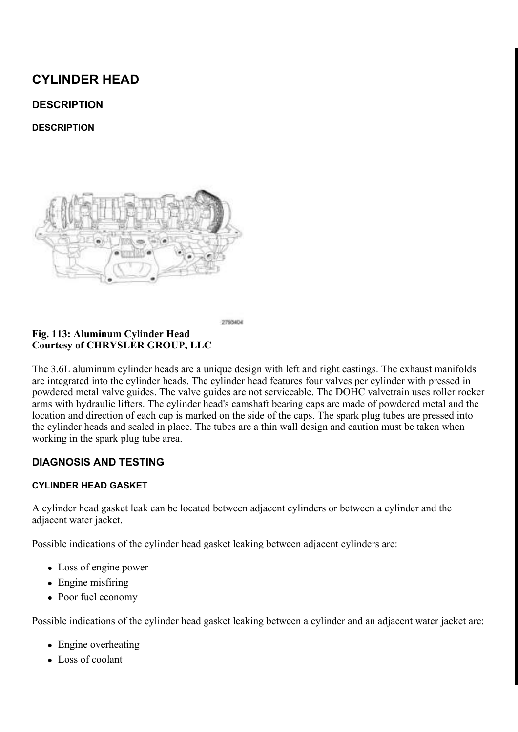OWDNH 3RUWV , QVXODWRU \$OLJQPHQW 3RVWV <u>) L J \_</u> &RXUWHV\RI &+5<6/(5 \*5283 //&

RZHU WKH YHKLFOH

I UHPRYHG LQVWDOO WDXOHLUQPHOQDWARRUW WWR RWOKHW PWSZRR FRYHU

) L J 8SSHU , Q W D N H 0 D Q L I R O G<br>& R X U W H V \ R I & + 5 < 6 / (5 \* 5 2 8 3 / / & %ROWV

, QVWDOO WKH XSSHU LQWDDFNNHPWDVQDLQRGODSLU0\$\$QX@181/\$NRKURRWE  $,17$  \$. (  $,167$  \$//\$7,21

& RQQHFW WKH QHJDWLYHX ENDWWRNHU\FFDEQHQDQGEVWLJKWHQ

 $127($ 7KH & DP & UDQN 9DULDWLRQ 5HO HBUQI BURFIGGXXULHQ VFDQ WRRO DQ\WLPH WKHUH KDV EPHDHQHDWLRH BDSLRUZH V\VWHP IRU H[DPSOH IO\ZKHHO GDRUYHFWUDQNQYKBDWP VHQVRUV RU FRPSRQHQWV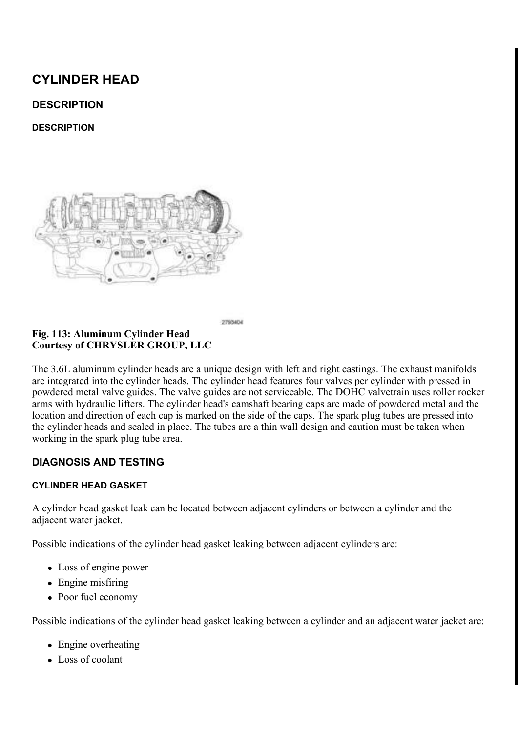$(1, 7)(5, 6) + <1588/8$ 

 $',$  \$ \* 126,6 \$ 1' 7 (67, 1 \*

 $',$  \$\*126,6 \$1' 7(67,1\* +<'5\$8/,& /,)7(5 6,\$12266(6')

3 U R S H U Q R L V H G L D J Q R V L V VLRVX H F M HRQ VDLOD 0 9 L Q F Q R S D W LLOLW W/KRH WDSSHW W\SHQRLVHFDQDWRHPVHWOWPHDIQEHQQLIWLLDFOXOPWVGSLVDJQ

5 HIHU WR WKH IROORZLQJ GEKEDRUWUHHEWLISRRQY VRIJEDOHODF WOK VDHGWI DA QUY

 $/$ \$6+ \$'-867(5 7\$33(7 12,6( & +\$57

| $3266, %$ / ( $8 $86(6)$                | & 255 ( & 7, 21                                                                                         |            |
|-----------------------------------------|---------------------------------------------------------------------------------------------------------|------------|
|                                         | (QJLQH RLO OHYHO WRR KL&KK HRFUN WDFORG OF FRZU U7HAFLW WPIENH HQJL                                     |            |
|                                         | DOORZ DHUDWHG RLO WR HQWHU WKH DGMXVWHUV DQG FDX\                                                       |            |
| WKHP WR EH VSRQJ\                       |                                                                                                         |            |
|                                         | ,QVXIILFLHQW UXQQLQJ WLPRZDVWSHHUGU <b>UEQDQQUGRID</b> (S WR                                            |            |
| FIOLQGHU KHDG                           | UHTXLUHG WR IXOO\ HYDFXDWH W                                                                            |            |
|                                         | YDOYH WUDLQ V\VWHP 'XULQJ WK                                                                            |            |
|                                         | RII DQG OHW VHW IRU D IHE PLQX                                                                          |            |
|                                         | 5HSHDW WKLV VHYHUDO WUPHV D                                                                             |            |
|                                         | QRUPDO RSHUDWLQJ WHPSHUDWX                                                                              |            |
| SLU WUDSSHG LQ WKH ODVK6HDHGNEXHVOMREIU | DIWHU                                                                                                   | KRXU R     |
| UXQ WLPH                                | & KHFN ODVK DGMXVWHUV IRU<br>D                                                                          |            |
|                                         | LQVWDOOHG LQ WKH F\OLQGHU KH                                                                            |            |
|                                         | DUP RYHU WKH DGMXVWHU   1RUPI                                                                           |            |
|                                         | IHHO YHU\ ILUP<br>9HU\ VSRQJ\ DGM                                                                       |            |
|                                         | ERWWRPHG RXW HDVLO\                                                                                     |            |
|                                         | E , I WKH ODVK DGMXVWFHUV DU                                                                            |            |
|                                         | WKH ODVK DGMX, YWHSU6V                                                                                  | $5$ HIHU W |
|                                         | $+ < 5 $8/8$ , & 5(029\$/                                                                               |            |
| /RZ RLO SUHVVXUH                        | 6HH EHORZ                                                                                               |            |
|                                         | & KHFN DQG FRUUHFW WKH HQ.<br>D                                                                         |            |
|                                         | <b>&amp; KHFN WKH HQJLQH RLQ SUHV</b><br>E.                                                             |            |
|                                         | $8 + (8, 1'$ $(1', 1(2,)$ 35(6685)                                                                      |            |
|                                         | & KHFN IRU H[FHVVLYH FOLQ EI<br>-F                                                                      |            |
|                                         | DQG FRUUHFOWLQHHIHIQUWORH                                                                               |            |
|                                         | $%$ ORFN $%$ (\$5,1*6 & 6) MOQ G C D D IG V                                                             |            |
|                                         | <b>3URFHGXUH</b>                                                                                        |            |
|                                         | G & KHFN IRU D ZRUQ RLO SXPS                                                                            |            |
|                                         | (QJLQH /XEULFDWLRQ 3803)                                                                                | (QJLQ      |
|                                         | QVSHFWLRQ                                                                                               |            |
|                                         | 2LO SDVVDJH WR WKH F\DLQ&KHUNK FIDOLQYGBO XHUBIG EZLQVKSDV                                              |            |
| GHEULV                                  | & OHD Q RU UHSODFH DV QHFHVVDU                                                                          |            |
| : RUQ YDOYH JXLGH V                     | OHDVXUH YDOYH VWHP WR JXLG                                                                              |            |
|                                         |                                                                                                         |            |
|                                         | , 163 (87, 21)                                                                                          |            |
|                                         | SLU LQJHVWHG LQWR RLO G,XGHV SWHRF WEUSRLNFHNOX SR W KFEND FENDHGG UH                                   |            |
|                                         |                                                                                                         |            |
| RLO SXPS SLFNXS WXEH                    | $5$ H I H $\overline{3}$ , $\overline{8}$ , $\overline{8}$ , $3$ , $2$ , $3$ , $3$ , $3$ , $5$ (0.29\$) |            |
|                                         | & ROODSVHG ODVK DGMXVWH&NDHGDXQH GWHRE BJHVEU UUR PLQHJJUNLYQYHHDQQ                                     |            |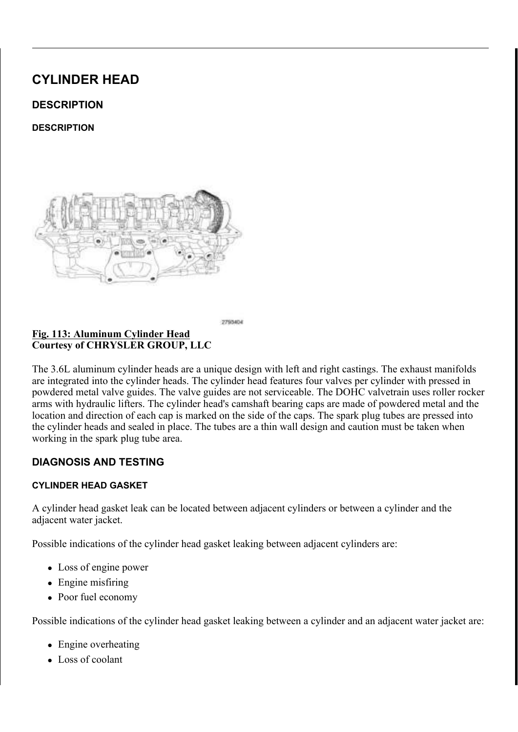$, 167$   $\frac{5}{18}$  7, 21

 $, 167$   $\frac{5}{18}$  7, 21

SHPRYH WKH K\GUDXOLE OLIWHU V

I WKH KIGUDXOLF OLIWHUQYWOLUHWWKRHLEUH SURHVALWHHLGR  $127($ WKH\ FDQ EH UHDVVHPEOHG LQWR WKHLU RULJLO

5 H P R Y H W K H U R F N H3 D & D (L5P \$ VS 0 59H\$ V H3 U V5V (R0 29 \$/

 $127($ I WKH URFNHU DUPV DUH WARHELH SURHVKLWHILGROLVG NYORI FDQ EH UHDVVHPEOHG LQWR WKHLU RULJLQDO O

'LVFRQQHFW DQG LVRODWH WKH QHJDWLYH EDWWHU\ FDE 5 HPRYH WKH FDPV&K\$D016W-\$V17 5(HIIH1U W5R029\$/

 $127($ 7 KH /+ F \ O L Q G H U K H D G K \ G UZO X Q D F L O LO XWHW UY D DWL HR Q K FIOLQGHU KHDG KIGUDXOLF OLIWHUV DUH VLPLODU

) L J +\GUDXOLF /LIWHUV &RXUWHV\RI &+5<6/(5 \*5283 //&

 $5(029$ \$/

 $5(029$ \$/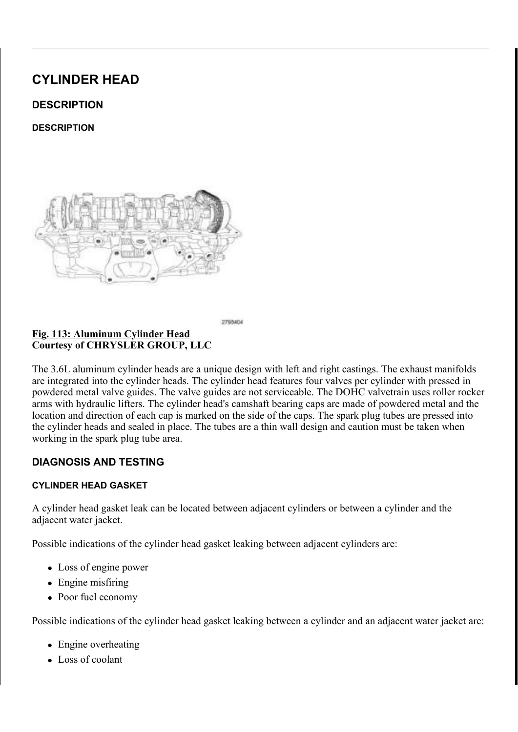### ) L J + \ G U D X O L F / L I W H U V & R X U W H V \ R | & + 5 < 6 / (5 \* 5 2 8 3 / / &

 $127($ 7 KH /+ F \ O L Q G H U K H D G K \ G UZO X Q D F L Q LOI XWH W UY D D WLH R Q H F\OLQGHU KHDG K\GUDXOLF OLKINGHUDW ODLLFHO ALLIFANDAUD UHXVHG UHDVVHPEOH WKHP LQWR WKHLU RULJLQDO

9 HULI\ WKDW WKH K\GUDUXYOLIDFOOLINXENDOVRDURHLODW7KOHKNODHYHWUKSR WUDYHO ZKHQ WKH K\GUDXOLF OLIWHU LV GHSUHVVHG QVWDOO WKH K\GUDXOLF OLIWHU V

I WKH URFNHU DUPV DUH EHLWOKHUPH XWAMOR WHABNU,  $127($ ORFDWLRQV

,QVWDOO WKH UR<u>5D&HJ5D\$J5P0V9\$*5*SH(IH,U6W1R//\$</u>7,21 .QVWDOO WKH FDPVKDIWRVYHUSKVDVDHQUGYXS\SOHLLQGGEWUDKNHHDOBDFO  $8$06+$)7$   $(1^*,1($ , 167\$//\$7, 21 & RQQHFW WKH QHJDWLYH WEDWWRWHU \PFDEO@IDOOEGY WLJKWHQ

 $528.(5 $50 9$/9)$ 

 $' (685, 37, 21)$ 

 $' (685, 37, 21)$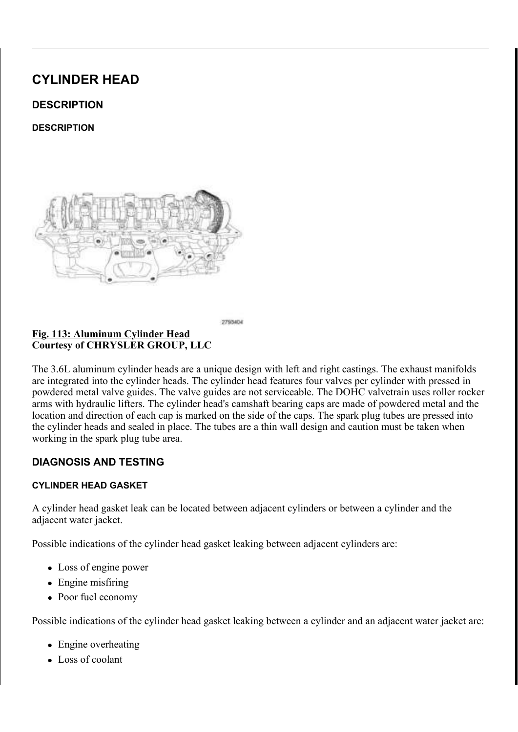**5HPRYH WKH URFNHU DUP V** 

'LVFRQQHFW DQG LVRODWH WKH QHJDWLYH EDWWHU\ FDE' 5 HPRYH WKH FDPV&K\$D016W-\$V17 5(HIIHNLY W5R029\$/

, I WKH URFNHU DUPV DUH WARHELH SURHVKLWHIGROLVG HYQE  $127($ FDQ EH UHDVVHPEOHG LQWR WKHLU RULJLQDO O

 $127($ 7 KH /+ F\OLQGHU KHDG URFNHQUODXWFPWUDWHLRVQKRWZQQHLQ KHDG URFNHU DUPV DUH VLPLODU

/RFDWLQJ 5RFNHU \$UPV  $LJ$  $\overline{8 R X U W H V} \overline{R}$   $\overline{R}$   $\overline{8 + 5}$   $\overline{6}$  / (5 \* 5283 / / &

 $5(029$  \$/

 $5(029$  \$/

7 KH URFNHU DUPV DUH VWHOHOU RVONODHPUSLEOHJDVU ZDWYK7DKOH LUORMPNHUUD RLO KROH LQ WKH ODVK D**GDMEXWANDHUW VORKEENUHLWFDIVEN URUQROOHU DQ** 

**SRFNHU \$UP** <u>) L J</u> &RXUWHV\RI &+5<6/(5 \*5283 //&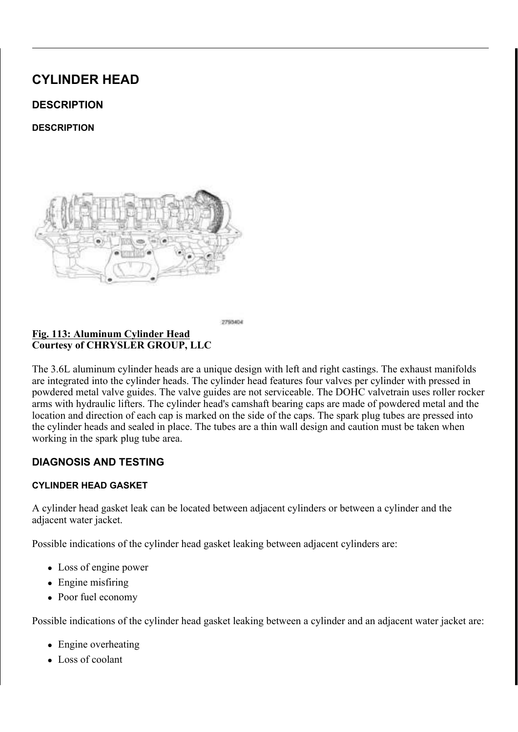QVWDOO WKH URFNHU DUP V, , QVWDOO WKH FDPVKDIWRWHUSKVDVDHQUGYXS\SOHLLQGGEWUDKNHHDOPDFO  $8$06+$)7$   $(1^*,1($ , 167\$//\$7, 21

/XEULFDWH WKH URFNHU DHUPRWHZLQWWWFDOOHODDQWHLQQQLQH RLO

7 KH /+ F\OLQGHU KHDG URFNHQUODXUY FWW DWHLRVQ KNZ QQHL (  $127($ KHDG URFNHU DUPV DUH VLPLODUHLQWWKHXWRHGNHU D UHDVVHPEOH WKHP LQWR WKHLU RULJLQDO ORFDWL

<u>/RFDWLQJ</u> 5RFNHU \$UPV & R X U W H V \ R I & + 5 < 6 / (5 \* 5 2 8 3 / / &

 $, 167\$ //\$7,21

 $.167$$ //\$7.21

, QVSHFW WKH FDP IROORZHUHD VSWHIHPLUEI ON RISPHUS ØIBIEND UR WOSHDFHDVJV

<u>) L J</u> 5 R F N H U \$ U P &RXUWHV\RI &+5<6/(5 \*5283 //&

 $, 163 (87, 21)$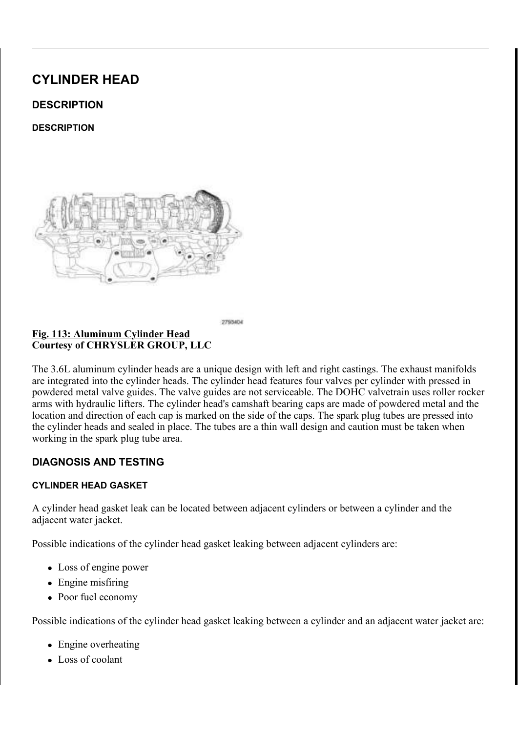& RQQHFW WKH QHJDWLYHWEDWWRWHU\PFDEOGH DOOEGY WLJKWHQ

 $6( $\frac{6}{9}$ )$  6 9\$/9( \*8, '(

 $' (685, 37, 21)$ 

 $' (685.37.21$ 

## 9DOYH 6WHP 2LO 6HDOXBOOYH 6SULQJ 9DOYH \* <u>) L J 9DOYH 6WHP 2LO 6HDOX</u><br>& R X U W H V \ R I & + 5 < 6 / (5 \* 5 2 8 3 / / &

7 KH YDOYH VWHP RLO VHDORVYHU DPURHODHOGHV WRHHHODL WWDRPANDWYHLO FRQILJXUDWLRQ 7KH VHDOYDVOXDFNWSKUHLQQG LQ STOKENFYHDVENOKUHNUH UHPRYHG IURP WKH YDOYH LOALIGHAY \$OZWOKHFRRXWWWEKHHUHHDSDLYOH EHIRUH LQVWDOOLQJ WKH YDOYHV

 $5(029$  \$/

 $5(029$  \$/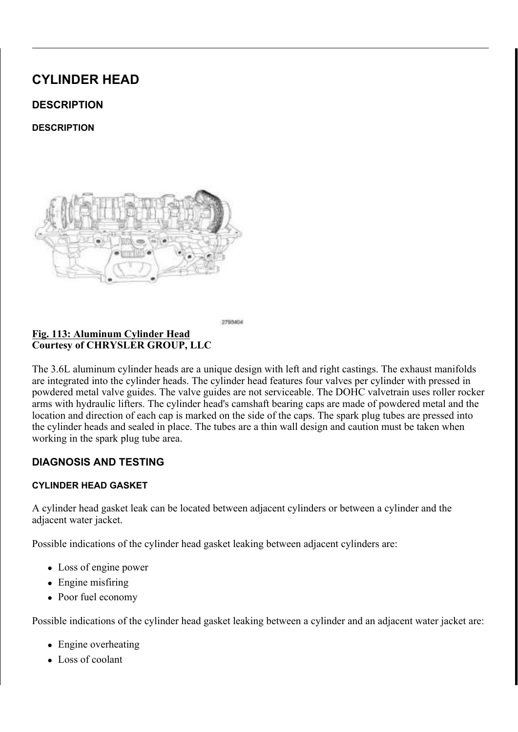# ) LJ 9DOYH 6SULQJ 9DOYH 6SULQJ 5HWDLQHU<br>& RXUWHV\RI & +5<6/(5 \*5283 //&

 $127($ I WKH VSULQJV DUH WR EHU **SJRX YLHAGRO GHORWWIKDWK M** UHDVVHPEOHG LQWR WKHLU RULJLQQLDQOGBBFHDIWDRQW VSULQJ VKRZQ LQ LOOXVWUDWIJRQLEDLOOODENWKHU YDO

5HPRYH WKH YDOYH V6S3U5LQ\*J6V 9\$/95HL5H02W9RV

### 9DOYH \*XLGH 6HDO 9DOYH 6HDO 7RRO  $R$ RXUWHV\RI & +5 < 6 / (5 \* 5 2 8 3 / / &

 $127($ 1 X PEHU F\OLQGHU H[KDXVW YODQQHLONOLXG/HIV NEDV RWKHU YDOYH JXLGH VHDOV VLPLODU

5 H P R Y H W K H Y D O Y H J X L G HO WHIR ROO X V L V B DDU OS DVOKYHH UVHHPDR

9 D O Y H 6 S U L Q J 6 H D W & R X U W H V \ R I & + 5 < 6 / (5 \* 5 2 8 3 / / &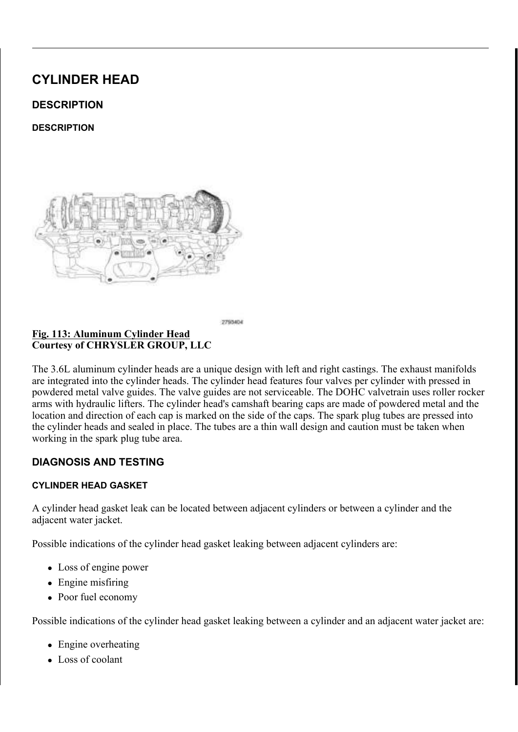1 X PEHU F\OLQGHU H[KDXVW YZDQLYOHLVOSOUXLVQWUVDHM  $127($ RWKHU YDOYH VSULQJ VHDWV VLPLODU

,I UHPRYHG LQVWDOOL\$W9K(BI Y,DTO\$Y.H, \$V1' (5,HI\$H8097WR167\$)//\$7,2

HIKDXVW YDOYH VKRZQ LQ LOOHWWUDMOURLQ

.IUHPRYHG LQVWDOO WK**@YYHSWXLQGH**VHDW RYHUWK

5 H D V V H P E O H W K H Y D O Y H V L Q RW Q V W K IH W UK HR U DJOLYOH

YDOYH VHDWV KDYH EHHQ UHILDOVKHNGW HYPHUNLLIS WA ZLWKLQ VSHFLILFDWLRQ6SSHIFHLULFWDRWLDREOLMOUH F\OL

 $DOO$ 

- I UHTXLUHG UHPRYH WKH YDOYH VSULQJ VHDW
- ,IUHTXLUHG UHPRYH9\\$VM9H{6YDO7^\$H(V\$1'5\H+H\$Y86W'R5(029\$/
- 

 $, 167$   $\frac{5}{18}$  7, 21

 $, 167$   $\frac{5}{18}$  7, 21

127(

) LJ 9DOYH 6SULQJ 6HDW

&RXUWHV\RI &+5<6/(5 \*5283 //&

- 
- 
- 
- 
- 
- 
- 
- 
-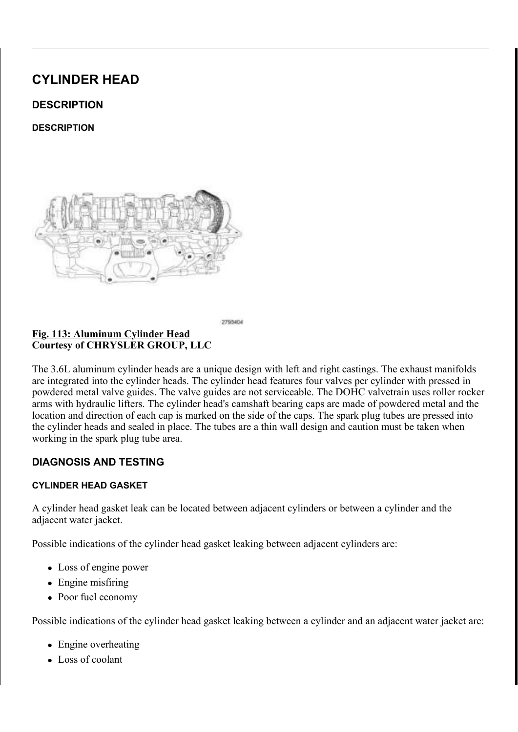) L J OVWDOOLQJ 9DOYH \*XLGH 6HDO  $R$ RXUWHV\RI & +5 < 6/(5 \* 5283 //&

\$SSO\HQJLQHRLOWRWDOODS, RONWDOOYDNOXYHHYJDXODOGHHYHUXHL VWHP 8VLQJDQDSSURSULODWLHUBOULDHQUGVTXSDXUNHO'NRKHNAHUH ) RUFWHKH VHDO DJDLQVW WKH WRS RI JXLGH

(QVXUH WKDW WKH JDUWHURX/CSGULWQKOH WRS RQWWDK)  $127($ JXLGH VHDO 1XPEHU F\OLQGHHUHD{BDVXKVRVZQYDLJ LOOXVWUDWLRQ DOO RWKHU YDOYHV VLPLODU

9DOYH 6SULQJ 9DOYH 6SULQJ 5HWDLQHU  $L$  L J &RXUWHV\RI &+5<6/(5 \*5283 //&

 $127($ ,I WKH YDOYH VSULQJV DUH EOHHLOWUKUHPIXLVOLNGER WHKD RULJLQDO ORFDWLRQV 1XPEHU VS\LQQQJGVHKUREQXD LOOXVWUDWLRQ DOO RWKHU YDOYHV VLPLODU

,QVWDOO WKH YDOYH63V5S,UILO6J V9\$/9(5,HI6H769/AV\$R,21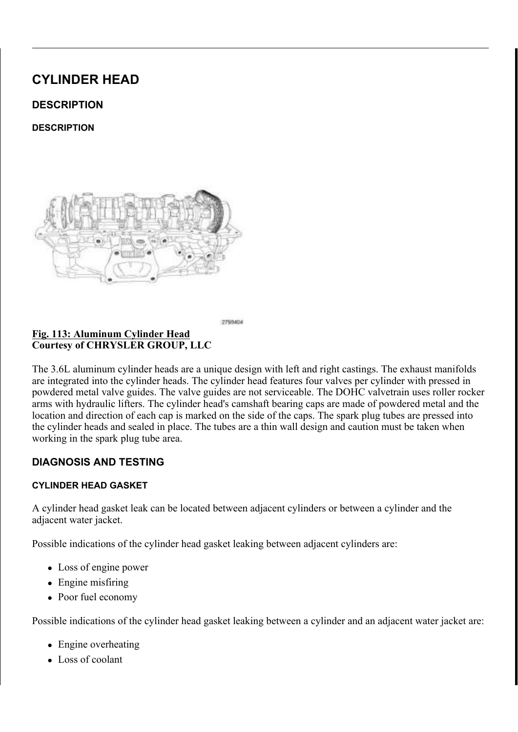635.1\*6 9\$/9(

 $' (685, 37, 21)$ 

 $' (685, 37, 21)$ 

### 9DOYH 6SULQJ &RPSRQHQWV <u>) L J</u> & R X U W H V \ R | & + 5 < 6 / (5 \* 5 2 8 3 / / &

7 KH YDOYH VSULQJV DUH D PHKHKIKYWNGHHNOLJWOKDFOKGUR PBHW HILONE F FRPPRQ IRU LQWDNH DQG HIKDOXNWHDDSGSVOLDFLDHWURQEHUSDFOYYHHUB F\OLQGHU ZLWK D JDUWHUH HUDSQUYLQDUB WQRWKHLQYWHBOUOD IN SHKOFH KOHIKOKHO VSULQJ VHDW LV D IODW VWSHUHLQO ZDYHAWHOLO ZHKUHV VOWU HHGOKHSYDDOYJHM DQG WKH YDOYH VSULQJ UGHWWDXLWQWHUW OSRHFNGWH VDLLUHQD WKUHH EH

 $5(029$  \$/

 $, 1 \ 9 (+, 8/$ 

### ODJQHWLF 7LPLQJ : KHHOV ) L J &RXUWHV\RI &+5<6/(5 \*5283 //&

& \$87.21 7KH PDJQHWLF WLPLQJ ZKHHOFVRQWEDXFWWVZQLRWK P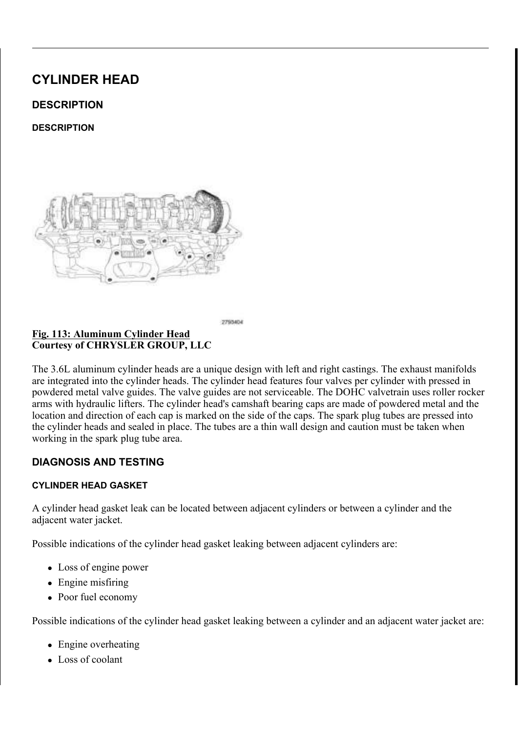### SLFNXS WRROV WUD\V HWF RHUWDQ\IRHWOKGHU7KLW GHVWUR\ WKH WLPLQJ ZKHHOV DEDLPOVLAWDIW PS R R LUN WKH FDPVKDIW SRVLWLRQ VHQVRU

<u>) LJ \$ & 6XFWLRQ /LT</u>XLG / LQH \$VVHPEO\ & R X U W H V \ R | & + 5 < 6 / (5 \* 5 2 8 3 / / &

'LVFRQQHFW DQG LVRODWH WKH QHJDWLYH EDWWHU\ FDE 5 HPRYH WKH FRZO H [WH @ R GR Q [ W L Q H L L L H & L H & L L S WR R O ( [ V 5HPRYDO

.IUHPRYLQJWKH /+ H[KDXWWKHIDLO-MHLVJSHUUDQQW IUURIFRWKHHUU UHPRYH WKH \$ & VXFWLRQ DQ5GHIGHLUT MALRES 80 6 Q & 17 D2VIV H5R ELD9 \$/

+HDWHU &RUH 5HWXUQ 7XEH 1XW %ROW  $\&$ RXUWHV\RI & +5 < 6 / (5 \* 5 2 8 3 / / &

3RZHU VWHHULQJ SXPS QRW VKRZQ LQ LOOXVWU  $127($ 

, I UHPRYLQJ WKH /+ H [KDXWWKHY LOXWH VSDUOL G JEVROLWHPRYHUR]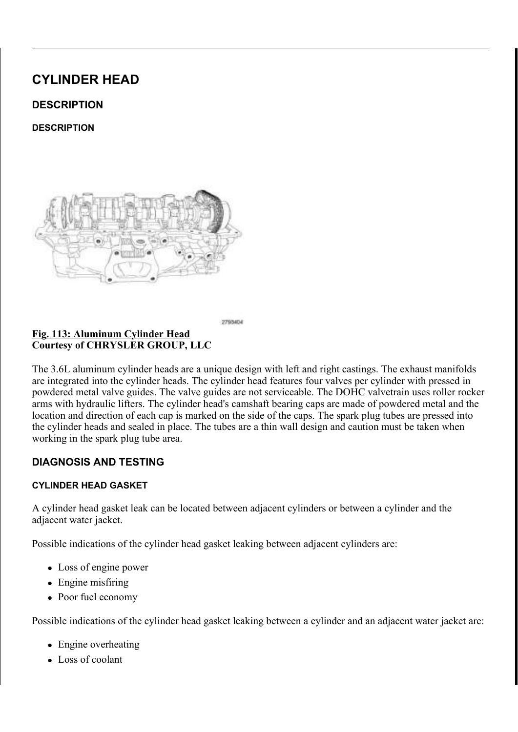- 7 UDQVPLVVLRQ ) OXLG V H P F @ \, Q GL F D W R U 7 X E H \$ V  $L$ &RXUWHV\RI &+5<6/(5 \*5283 //&
- , I UHPRYLQ J WKH 5+ YDOYNIPALS/UVILOR.QV IOUXHLPGR YO HH WAHICH LWQ UGID Q  $6($ \$/), // 78% (5(0296\$( $\frac{1}{96}$ ) 287387 6+\$)7 5(02D90\$6}\$/72548(  $8219(57(5 + 8\% - 5(029\%))$

5 H P R Y H E R W K F \ O L Q G H & 2KH D G F R \ K H U V ( 5 5 H ( SH U 5 WOR 2 9 \$ /

- /RFDWLQJ 5RFNHU \$UPV &RXUWHV\RI &+5<6/(5 \*5283 //&
- 7 KH /+ F\OLQGHU KHDG URFNHOLODXWFWWUDWHLRVOKRWZ  $127($ F\OLQGHU KHDG URFNHU DUPV DUH VLPLODU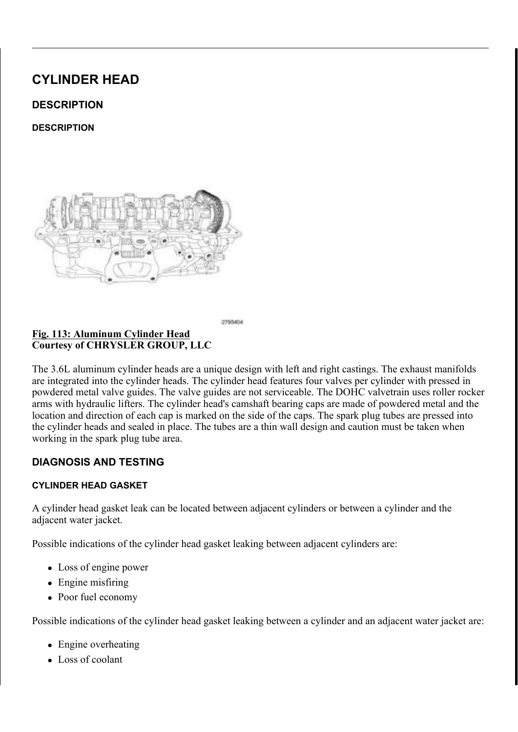2 Q O \ U H P R Y H W K H F D P V K D I W V I U R K HR KO SHS K HD K HD 127( PXVW UHPDLQ DVVHPEOHG LQ RUGHDUJDNLKR VOWR FUNR WY

5HPRYH WKH FDPV&K\$D016V4\$M7 5/H11:H1U W5R029\$/

127( I WKH URFNHU DUPV DUH WARHELH SURHVKLWHIGROLVG HYQE FDQ EH UHDVVHPEOHG LQWR WKHLU RULJLQDO O

5 H P R Y H W K H U R F N H U 5 20& U P 5 V \$ 5 0 95 SH 9 HH U 5 W O R 2 9 \$ /

### 3 KD V H U 7 L P L Q J 0 D U N V 2 L&OD B VRKQDN WR 30K D DY G N H V R F N 5 & R X U W H V \ R | & + 5 < 6 / (5 \* 5 2 8 3 / / &

5+ FDPVKDIW SKDVHU ORFN V/K+REQQPLVQKDLIONOSKNDVUH  $127($ ORFN VLPLODU

& \$87,21 \$LU SUHVVXUH DSSOLHG WWW.RHWYAOHO FFHO/LQQGHSUO DLU SUHVVXUH DOVR KDV D WHOQGEREQ WORGEN URWDWH WKH FUDQNVKDIW 'R QNREWUDROWODRWZHW & UDQNVKDIW URWDWLRQ PD\GDPD.CHWWWKLHPLWQ. FRYHU DQG DIIHFW FDPVKDIW WLPLQJ

.IUHPRYLQJWKH /+FDPVKBODWWW3LKODWWHDDO/ORFWNKHVSSHF&LDDFOVV & DPVKDIW 3KDVHU WR OBJRMW DWKLHRFQUDQNJMRPRMYLQDUDWLKQH /+ & DPVKDIW 3KDVHU /RFN VSH&FDLPDVOKDWIRWR\$OKDVHU /RWFRN@RF DJDLQVW URWDWLRQ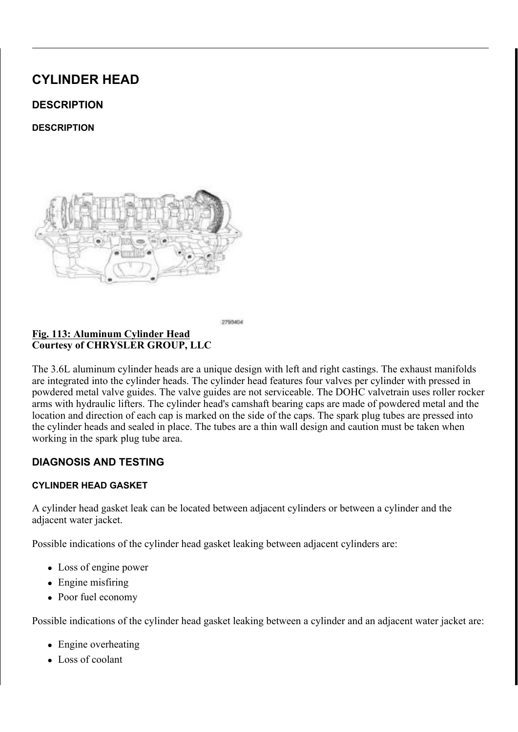) L J 6KRS \$LU 6XSSO\ 9DOYH 6SULQJ &RPSUHVVRU & R X U W H V \ R | & + 5 < 6 / (5 \* 5 2 8 3 / / &

 $127($ 1XPEHU F\OLQGHULQWDNHYDQOVKRNZSQULQJFRP LOOXVWUDWLRQ DOO RWKHU YDOYHV VLPLODU

 $5HPRYH WKH VSD6JN$5.03/J8*5H (B129 WR)$ 

- QVWDOO 9DOYH 6SULQJ & RPSU\$HV& RPSU/HSWHVFRDO 9WDRYE1 609
- FIOLQGHU KHDG
- .QVWDOO D VSDUN SOXJDDNGHDGSWKHRUSDDWLWUDVFXKSHSGOWRHDL30CUHHUW VHUYLFHG WR N 3 DW K H Y D O SY M V LVQR SKORD OF GH

& \$87,21 \$LU SUHVVXUH PXVW EH PDHQWDDDLYCHH CSDUVLODJI UHPRYHG WR SUHYHQW WKH YDOYFINOLLOPGEHIGS W

8 V L Q J 9 D O Y H 6 S U L Q J & R P SRU RIQY V R U \$ GENESOMS MUH U V SUHDFOLYDHO 6MS YDOYH VSULQJ DQG UHPRYH YDOYH UHWDLQLQJ ORFNV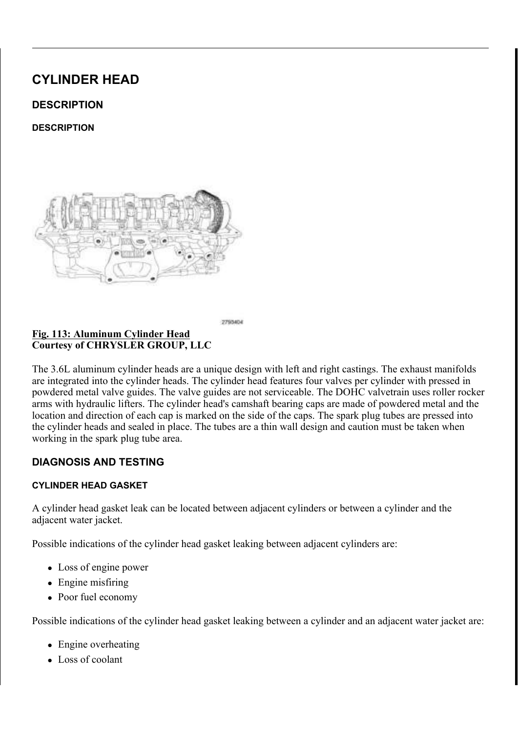# ) LJ 9DOYH 6SULQJ 9DOYH 6SULQJ 5HWDLQHU<br>& RXUWHV\RI & +5<6/(5 \*5283 //&

 $127($ I WKH VSULQJV DUH WR EHU **SSRXVH**WGR**QGHACRWWIKD** EH UHDVVHPEOHG LQWR WKHLU RULEJDQLOGHOLR FIDRO YDOYH VSULQJ VKRZQ LQ LOOXWWSUDQWJLVRQIEDLOOODE

5 HOHD VH WKH YDO YH VSULWOKHF RIP G WHWSLIRLOOD QUGH WU BILPOR AY LIH I UHTXLUHG UHPRYH WKLHQJYDVOHNWGJ(XSLHOLGHHUV9WSIBGQI D8QGI VSU  $5(029$  \$/

 $2)$ ) 9(+, & /(

9DOYH 6SULQJ &RPSUHVVRU &RPSRQHQWV 8 AXUWHV\ RI & +5 < 6 / (5 \* 5 2 8 3 / / 8 %)

5HPRYH WKH F\OLQG&HJ, KHDG-(\\$' 5HOB9U\$ WR 3RVLWLRQ WKH 9DOYH 6SULFQLDQ&RMPFSRUGHVVRU \$SGGDDSSWWHHUU W9\$ 9 DO YH 6 SULQ J & R P SU H V V R U R'SSU H L' DI B U W R B O Y B 6 SU L Q& R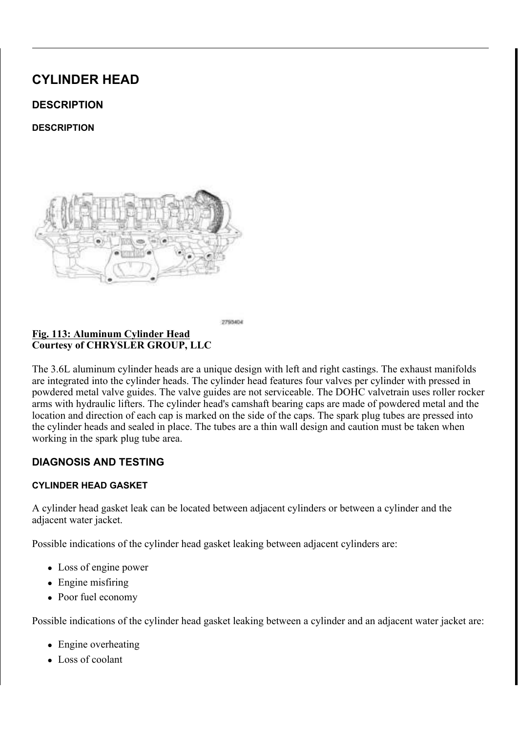$5(029$  \$/

- 5 HOHD VH WKH YDOYH VSULIQH FROSUHWSVULRQQJDQHGWDHQRNUH ,IUHTXLUHG UHPRYH<u>9WI/N9H6YDO7YSH(VS;1'5(HHSI86WIR5(0</u>29\$/ I UHTXLUHG UHPRYH WKQHJY10HODYWHO16AHLIOGHU WAARD9O1 D8QGI VSUL,
- $127($ I WKH VSULQJV DUH WR EHU **SEXYLHVGRQGHACRWWIKD** EH UHDVVHPEOHG LQWR WKHLU RULIDQQQGHOUR FIDK YDOYH VSULQJ VKRZQ LQ LOOXW WUPDWOLDRLQ DOO R

- ) LJ 9DOYH 6SULQJ 9DOYH 6SULQJ 5HWDLQHU<br>& RXUWHV\RI & +5<6/(5 \*5283 //&
- 
- & R P S U H V V W K H Y D O Y H V S UHLOUJH W D DOD LGO U HOPRRFYNHV W K H Y D O Y
- $127($ 1 X P E H U F \ O L Q G H U L Q W D N H Y DOO V K R V SOU L Q J F R P LOOXVWUDWLRQ DOO RWKHU YDOYHV VLPLODU
- <u>) LJ & RPSUHVVLQJ 9DOYH 6S**HW®L**Q K</u>RJDWENQV 9DOYH 5<br>& RXUWHV\RI & +5<6/(5 \*5283 //&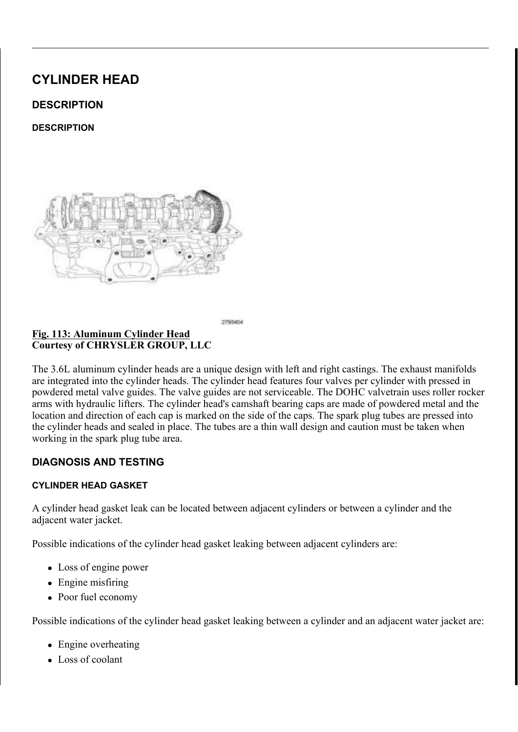$, 163 (87, 21)$ 

 $.163(87.21)$ 

 $L$   $J$ 7HVWLQJ 9DOYH 6SULQJ  $\overline{\&$  RXUWHV\RI  $\&$  +5 < 6/(5 \* 5283 // &

: KHQ YDOYHV KDYH EHHQ UH KBRWHLGRQRQJLRQNISLHFSWOLDRFOHPUHHQRWRQY FKHFNHG DJDLQVW VSHFLILQDWREIQH DROUGIWSHULQHQUQWIKWODHOSOUH 6SHFLILFDWLRQV

6 SULQ JIR UFH FDQ EH PHDVX URHOGO ZRIZWWKKDH WWHRVRWO IPLDNQ X BIDHFDVOX VU VSULQJV WKDW GR QRW PHHW VSHFLILFDWLRQV

& KHFNLQJ 9DOYH 6SULQJ, QVWDOOHG + HLJKW &RXUWHV\RI &+5<6/(5 \*5283 //&

,QVWDOOHG KHLJKW RIWKHGWZDLQWYKHWWYSHUMQDOPHXVDWVEHHP15HGHHHFONJH WGR35,1\*6 9\$/9(,167\$//\$7,21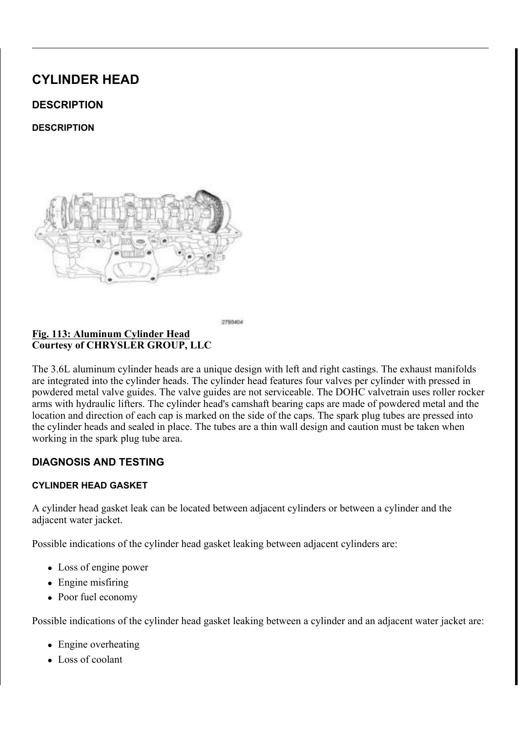I WKH YDOYHV RU YDOYH QISBDWWWHKLDQYHWEDHOHOQHGIHMIDQLYWHKWBGGUDQ LQ LQVWDOODQDQQGWWHRKGHDOGVFSRUALQWHAUHEDRWSHULXQQJO P<sub>P</sub> VHDW WR EULQJWKH VSFULLQFJDKWHLLRJQKWOEDDFINVXLJVNHKWLQGWAWHSHHIDV WRS RIVSULQJ VHDW WLRQJWKLH WEDRLWQWHRUP VXUIDFH RIVSU

 $, 167$   $\frac{5}{18}$  7, 21

 $, 1 \cdot 9 (+, 8/$ 

## 1 LJ 6SULQJ 6HDW 9DOYH LALGH 6HDO \*DUWHU 6SU &RXUWHV\RI &+5<6/(5 \*5283 //&

I UHPRYHG LQVWDOO WKJHXLVOSHULVOHDWRYHLODOWOK(HSDYODYOHY  $6$  9\$/9(  $*8$ , ( , 167\$//\$7, 21

 $127($ (QVXUH WKDW WKH JDUWHURXACSGLIMAKIH WIRSI ROLWOMEK) JXLGH VHDO 1XPEHU F\OLQGHHUHDIQDVKKVRVZQID LOOXVWUDWLRQ DOO RWKHU YDOYHV VLPLODU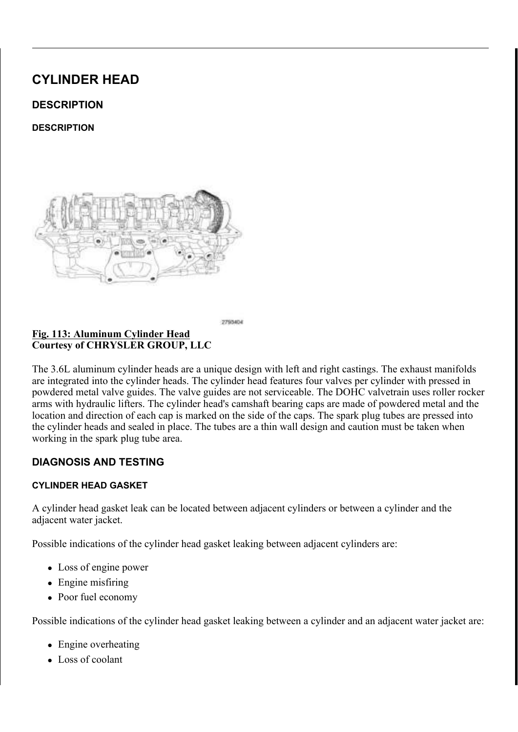& R X U W H V \ R | & + 5 < 6 / (5 \* 5 2 8 3 / / &

I WKH YDOYH VSULQJV DUH EOHHLOWIK**UHP**XLVOHMGRWHKO  $127($ RULJLQDO ORFDWLRQV 1XPEHU V**SVOLLOQUGWKUREICKD** LOOXVWUDWLRQ DOO RWKHU YDOYHV VLPLODU

OVWDOO WKH YDOYH VSDILQOHU DQG YDOYH VSULQJUHW.

 $L$  L J 6KRS \$LU 6XSSO\ 9DOYH 6SULQJ &RPSUHVVRU &RXUWHV\RI &+5<6/(5 \*5283 //&

1 X PEHU F\OLQ GHU LQ WDNH YDQO VKARVZSQULQU FR P  $127($ LOOXVWUDWLRQ DOO RWKHU YDOYHV VLPLODU

8 V L Q J 9 D O Y H 6 S U L Q J & R P S URHOV V R U \$ G G B S W M H U V S B H O K D O G S W 6 SULQ J & R P SUHVVRU V SH F L D O RWIR POD O O Y H 6 SUSLO& JR P SUHF VRWI VSULORIQO\ HOWREXJHQVWDOO WKH YDOYH UHWDLQLQJ ORFNV 5 HOLHYH WKH DLU SUHVVXJUDHGDIG OG HUUHPRYH WKH VSDUN SO , QVWDOO WKH VSDUN SOXJIWDQ**GEWL6KSWEHHOBU**&WARR  $1$  P  $, 167\$ //\$7,21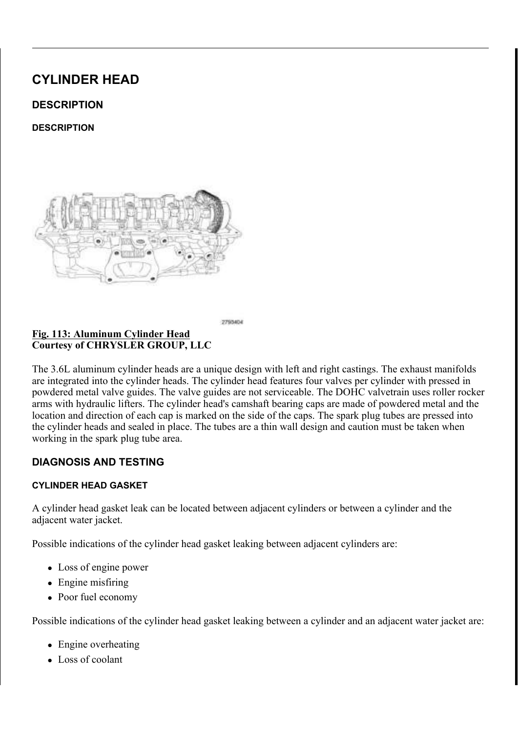<u>) L J /RFDW L Q J</u> 5 R F N H U \$ U P V<br>& R X U W H V \ R I & + 5 < 6 / (5 \* 5 2 8 3 / / &  $LJ$ 

 $127($ 7 KH / + F \ O L Q G H U K H D G U R F N HOU O D W W D W H RVO K R W O F\OLQGHU KHDG URFNHU DUPV DDUHPWLDU@DEUHLQJ UHXVHG UHDVVHPEOH WKHP LQWR WKHLU RULJL

, Q V W D O O W K H U R F NEH2L& D D D B 500 9 \$ / 95 (H I H1L6 7W R / \$ 7, 21

, Q V W D O O W K H F D P V K D I W R W H US K VD VDHOUGY X SYSCHLUQ G GEW DKNHHD OP DFO  $8$06+$)7$   $(1^*,1($ , 167\$//\$7, 21

) L J 7 U D Q V P L V V L R Q ) O X L G V H I P H @ \, Q G L F D W R U 7 X E H \$ V<br>& R X U W H V \ R I & + 5 < 6 / (5 \* 5 2 8 3 / / &

IUHPRYHG LQVWDOO WLKQHGWFUDDWQRYUPLWXSE\$74Q)I,0%SEB61%AQHWRIC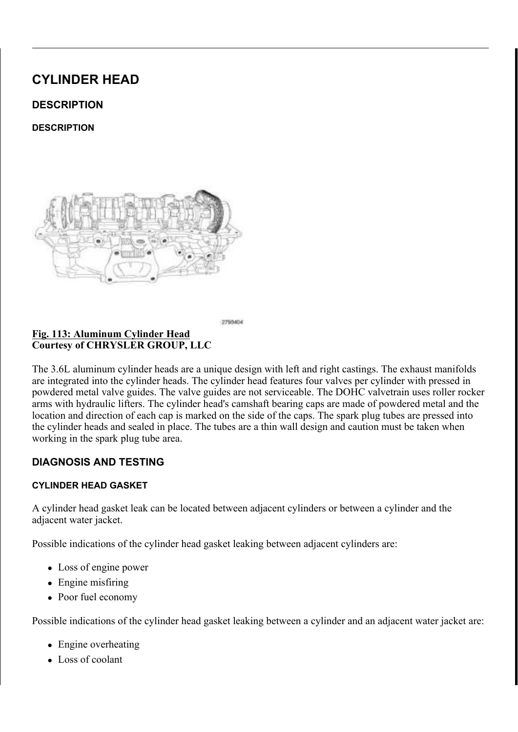## <u>,167\$//\$7,216(\$/ 287387 6+\$)7 ,167\$/</u>/\$PO<u>CCC\$1</u>8(<br>&219(57(5 +8% ,167\$//\$7,21  $8219(57(5 + 8\%)$

### <u>) L</u> J +HDWHU &RUH 5HWXUQ 7XEH 1XW %ROW &RXUWHV\RI &+5<6/(5 \*5283 //&

3RZHU VWHHULQJ SXPS QRW VKRZQ LQ LOOXVWU  $127($ 

I UHPRYHG LQVWDOO WKKHIHVQXSSURUWDEQUGDERIOHUV RIWWRKWH K 7LJKWHQ WKH IDVWHQHUV WR 1 PLQ OEV

\$ & 6XFWLRQ /LTXLG /LQH \$VVHPEO\  $\perp$  L J &RXUWHV\RI &+5<6/(5 \*5283 //&

,IUHPRYHG LQVWDOO WLKQHH\$D&YWHXFFEWOL\RQ(D\$QH6&H6OLB7WXR2G1O  $167\frac{1}{9}/\frac{21}{9}$ 

, QVWDOO WKH FRZO H[WKRQVL(RWQHVLLGRNUQGF, H(U & 55HIKSLR ZWOR(IW , Q V W D O O D W L R Q

& RQQHFW WKH QHJDWLYH EMDRWW HIUP\FDEQHODEOAG WLJKW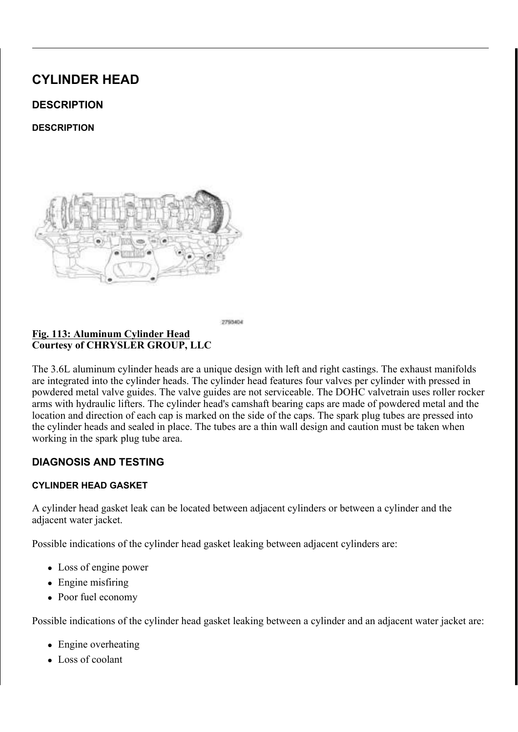### 6SULQJ 6HDW 9DOYH LXQLGH 6HDO \*DUWHU 6SU &RXUWHV\RI &+5<6/(5 \*5283 //&

### .I UHPRYHG LQVWDO**OSW9K6HY.DTOSY.HSM' (5.HSHSO**7WR167\$//\$7.2

- 5 HD V V H P E O H W K H Y D O Y H V L Q R W C V W K I H W W H & O D J Q H 127( YDOYH VHDWV KDYH EHHQ UHILDOVKHHGWHYPHUVLLUS WA ZLWKLQ VSHFLILFDWLRQ6SSHIFHLULFWDRWLDREIOLNOH FIOL HIKDXVW YDOYH VKRZQ LQ LOOHXWWUDMOLDRQ  $DOO$
- ,IUHPRYHG LQVWDOO WKJHXLVOSHULVOHDON-HDWRYHUDOWOK(H\$DYODYOHY  $6$  9\$/9(  $*8$ , ( , 167\$//\$7, 21
- $127($ (QVXUH WKDW WKH JDUWHURX/OSGUL) WOLKUH WRSI ROLWWIDKI JXLGH VHDO 1XPEHU F\OLQGHHUHDINODVKK/RWZQID LOOXVWUDWLRQ DOO RWKHU YDOYHV VLPLODU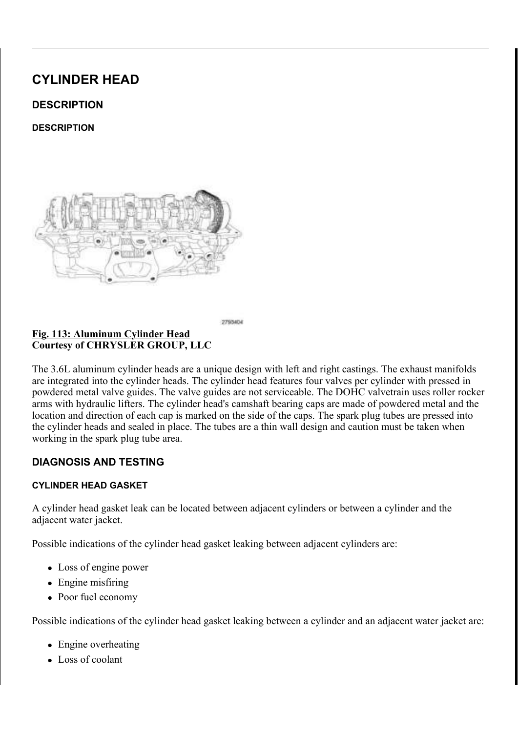& R X U W H V \ R I & + 5 < 6 / (5 \* 5 2 8 3 / / &

I WKH YDOYH VSULQJV DUH EOHHLOWK**UHPXLVOHMGRUM-KO**  $127($ RULJLQDO ORFDWLRQV 1XPEHU VSVOLLOOJGVHKUREICKD LOOXVWUDWLRQ DOO RWKHU YDOYHV VLPLODU

OVWDOO WKH YDOYH VSDILQHU DQG YDOYH VSULQJUHW.

## <u>) LJ & RPSUHVVLQJ 9DOYH 6SHWOLQ LEBED WENNY 9DOYH 5</u> &RXUWHV\RI &+5<6/(5 \*5283 //&

1XPEHU F\OLQGHULQWDNHYDQOVKRNZSQULQJFRP 127( LOOXVWUDWLRQ DOO RWKHU YDOYHV VLPLODU

& R P S U H V V Y D O Y H V S U L Q J V& R P SZU M VKV W K H G D O W HH L S V S Q F L I 9 DO YH 6 SULQ JERXOWHG HOUWRKUH VISHOFYLHDO SWIRORIO & RIPS 9 D O Y H 6 S U L Q J Q V W D D O O GWUKHHO UHD W D LV Q K B JY D Q R N V V S U L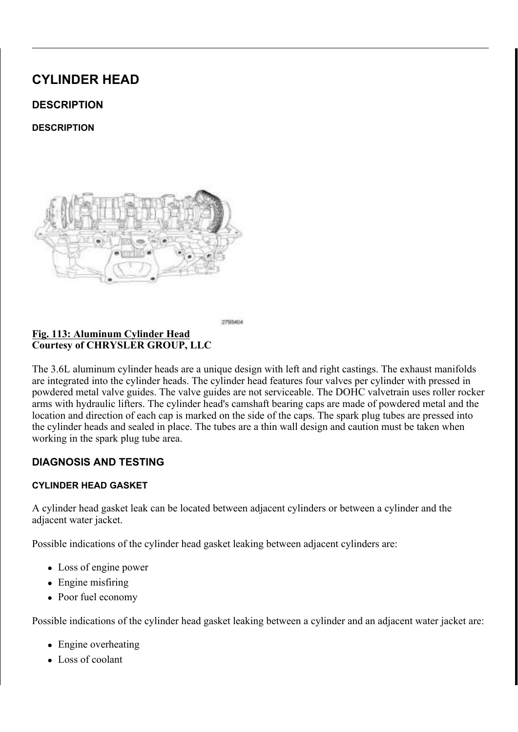& R X U W H V \ R | & + 5 < 6 / (5 \* 5 2 8 3 / / &

I WKH YDOYHV RU YDOYH FJKIBFANV WADHIL OE YHNIQOLOHIGO KLW. UKU HA WKH LQVWDOOHG YDOYH YOSULQJPKPHLJKWLQ LVLQNWHDWOHOUD VHDW LOWKH KHDG FRXQIQWOHYUHERVUSHULXQQJGVHHUDWWKH RAMDHENELLON ZLWKLQ VSHFLILFDWLRQ ODDNINHNOX**LU-RFWKN-KFHNDRYSXURHPM-BOLM**U VXUIDFH RI VSULQJ UHWDLQHU

, Q V W D O O W K H F \ O L & Q H1U ( K H + D & V, 1 657H\$ V H \$17, W 2 R

78% (63\$5. 3/8\*

 $5(029$ \$/

 $5(029$  \$/

#### ) L J ODJQHWLF 7LPLQJ :KHHOV &RXUWHV\RI &+5<6/(5 \*5283 //&

& \$87,21 7KH PDJQHWLF WLPLQJ ZKHHOFVRQWEDXFWWVZQLFAWAP SLFNXS WRROV WUD\V HWF RHUWDQ\IRHWOKGHU7KLW GHVWUR\WKH WLPLQJ ZKHHOV DEDLPOVLAWDIW PSRERUWL WKH FDPVKDIW SRVLWLRQ VHQVRU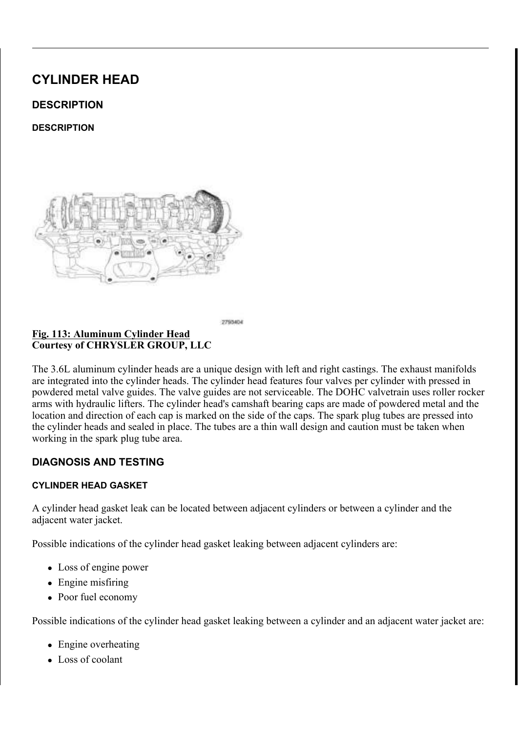) LJ 6SDUN 30XJ 7XEH , QVWDOOHU 6SDUN 30XJ 7XE<br>& RXUWHV\ RI & +5<6/(5 \*5283 //&

'LVFRQQHFW DQG LVRODWH WKH QHJDWLYH EDWWHU\ FDE 5HPRYH WKH LJQLW&2R/Q FRLTQ 21 55H(IOH2LO \$WR 8 V L Q J F R P S U H V V H G D L U ELOORDZWRHXW I UDROR O L UR W Q RGU WFKRHQ WW DRI 5 HPRYH WKH F\OLQGHU&Y2HDDSG FR \&H<br />U, 1V (5 5 HH SHU5 WOR2 9 \$ , QVWDOO WKH WRS KDOIRVISGHSFOLUDNO 3/00 RXEOYXEH, Q, YQW DVODOOHU LOWR WKH VSDUN SOXJ WXEH WR EH UHPRYHG

/RFNLQJ 3OLHUV 6SDUN 3OXJ 7XEH  $R$ RXUWHV\RI & +5 < 6 / (5 \* 5 2 8 3 / / &

8 V L Q J V X L W D E O H O R F N L QU NS G O B U W X E HU H P RUYRHP WWK KHH VFS DO WKH WXEH

& OHDQ WKH DUHD DURXQGJWZKLHW KYSOJRUSNO USŠO XSLOW WXYE H& OPIRQ PA

 $.167$$ //\$7.21

 $, 167$   $\frac{5}{18}$  7, 21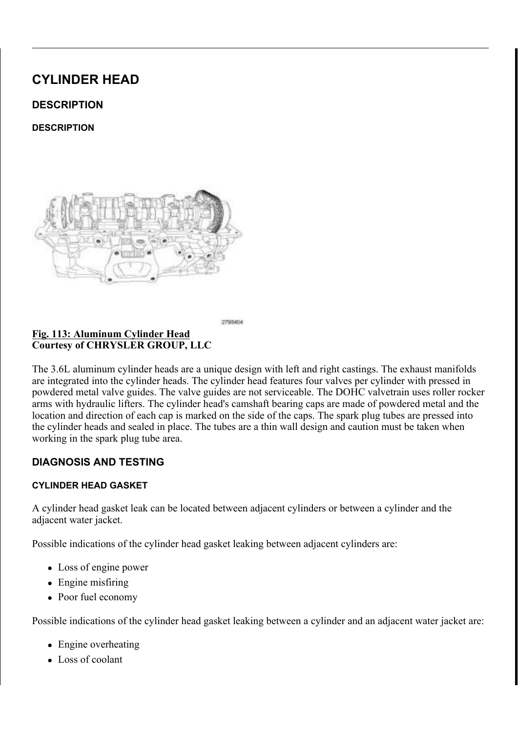& R X U W H V \ R | & + 5 < 6 / (5 \* 5 2 8 3 / / &

& \$87,21 7KH PDJQHWLF WLPLQJ ZKHHOFVRQWEDXFWWVZQLFAWAP SLFNXS WRROV WUD\V HWF RHWDQ\IRHWOKGHU7KLW GHVWUR\WKH WLPLQJ ZKHHOV DEDLPOVLAWDIWRSKERLUW WKH FDPVKDIW SRVLWLRQ VHQVRU

ILJ 6SDUN 30XJ 7XEH , QVWDOOHU & R X U W H V \ R | & + 5 < 6 / (5 \* 5 2 8 3 / / &

5 H P R Y H W K H V S D 6 3 5 0 3 / 18 \* 5 15 1 6 21 \$ 19 K / R

.QVWDOO WKH ORZHU KD@URNS8BDUDO30WXR0XEH, QVQWDVODO LQWR WKH F\OLQGHU KHDGIWQ©EWLJKWHQ WR  $1 P$ 

\$SSO\LQJ 6WXG %HDULNQJBORXXQWE%HDG 7R 6SDU &RXUWHV\RI &+5<6/(5 \*5283 //&

\$SSO\ 0RSDUŠ 6WXG DQG %HDNULSQ0LX 0RWXXQEWH WDBSWUKRHILQEHZUHV IURP WKH HQG RI WKH WXEH ELHODO PP L Q ZLG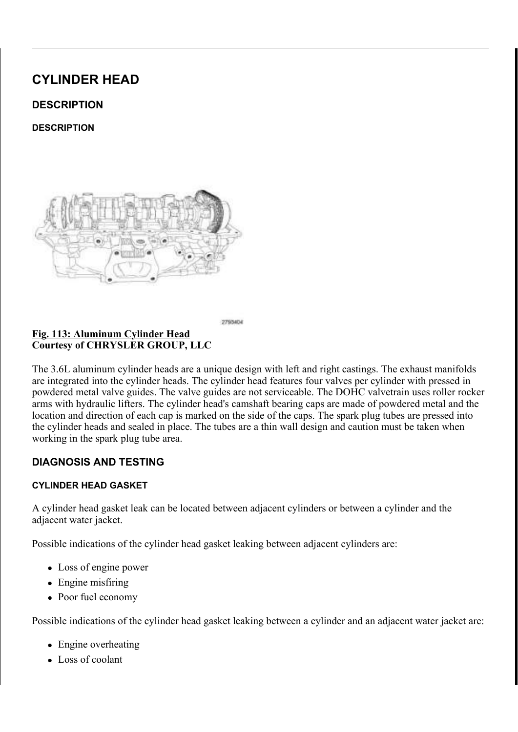<u>6SDUN 3OXJ7XEH 7KUXXJWXEDHVKOHVUW</u>DONSDHUUN 3%ORON <u>) L J</u>  $R$ RXUWHV\RI & +5 < 6/(5 \* 5283 //&

3RVLWLRQ WKH VSDUN SQRXJ6SNDXLENH3OXRIQ7XNEKHH, WYRWSDKODOOHU , QVWDOOHU 6SDUN 3OXJ 7 RIDHRQ WDXQHGFDOALVOHOPHELOHK HWDKOH WI WKUXVW ZDVKHUV LQVWDOOHG

& \$87,21 'R QRW RYHUWLJKWHQ WQSHQEJRFODWQ GDP2DYJHUW FIOLQGHU KHDG VSDUN SOXJ WKUHDGV

7 L J K W H Q W K H E R O W WLRQ QUURD SZRWK WY LVRSOD U. NK HSOD XWK WY XWERHS WKH ERWWRP KDOIRIWKH WRRO WKH WXEH LV LQVWDOO

&\OLQGHU +HDG &RYHU EBNWHDWOV 6SDUN 30XJ 7X ) L J & R X U W H V \ R | & + 5 < 6 / (5 \* 5 2 8 3 / / &

 $127($ /+ F\OLQGHU KHDG FRYHU VKSRZFQQLQQGGHOXKVHWDUGDF VLPLODU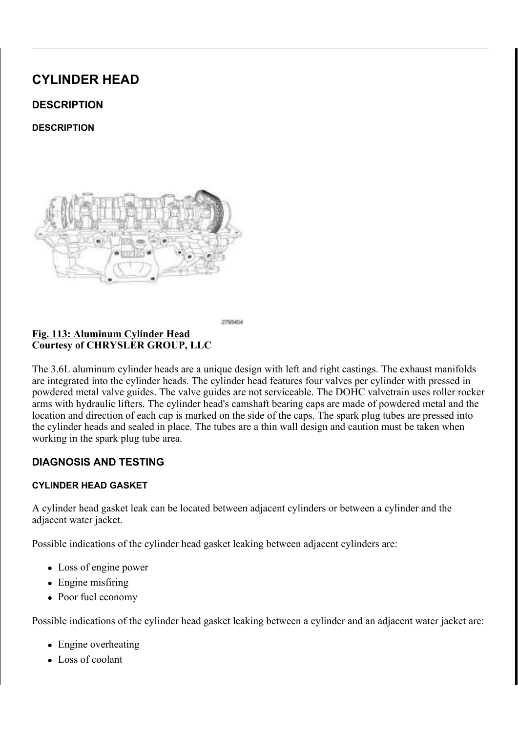& \$87,21 6 SDUN SOXJ WRUTXH LV F[UFLHMHIGF DUOKHD QIGHFFXLV YDOXH 2YHUWLJKWHQLQJVWUHWTRKHHGYXWIKGHJVI KHDW WUDQVIHU FDSDELOLW\WHWW.KROSWKILQEJHLQQU IDLOXUH

,QVWDOO WKH VSDUN SOXJIVOQ**GEWL6133WEHHGBU%WR**R  $1$  P  $, 167$  \$ / / \$ 7, 21

.I UHTXLUHG LQVWDOO D QH-ZIHUZGEDWERNS SO&X-J, W'XEEH (VSHDO  $.167$$ //\$7.21

.QVWDOO WKH F\OLQGB&D9KHDSG RRY, <u>HU(5V+(\$FHIHIU67N\$R</u>/\$7,21

& RQQHFW WKH QHJDWLYH EWDRWW HUP\FDEQHODECNG WLJKWHQ

 $9\frac{1}{9}\left(9\right)\left(6\right)$ , 17\$. (\$1'); +\$867

 $' (685.37.21$ 

 $' (685, 37, 21)$ 

7 KH LQWDNH YDOYH LV POD OK HHD WR UP HD / LR KOV HD SOLV HF PHD IURDAMOHY ROHV LV LV D WZR SLHFH FRQVWUX**EWLRQDZGLWKODGHRGUW-RGWEXWWMBTQWW**M KDYH D QLWULGHG VXUIDFGIJWHJFFENSWFHDQWWWKRHSWLHSYP**DQWGHVØFSXFINJ** F\OLQGHU DUH DFWXDWHG SELYURRWO @RQUVWRDFWNLHRUQDUP YODWZKWKLLHDHGM EHDG ORFN NHHSHUV WSRU**RRWDHQYDSUYLHQUR**WDWDLQRGQWR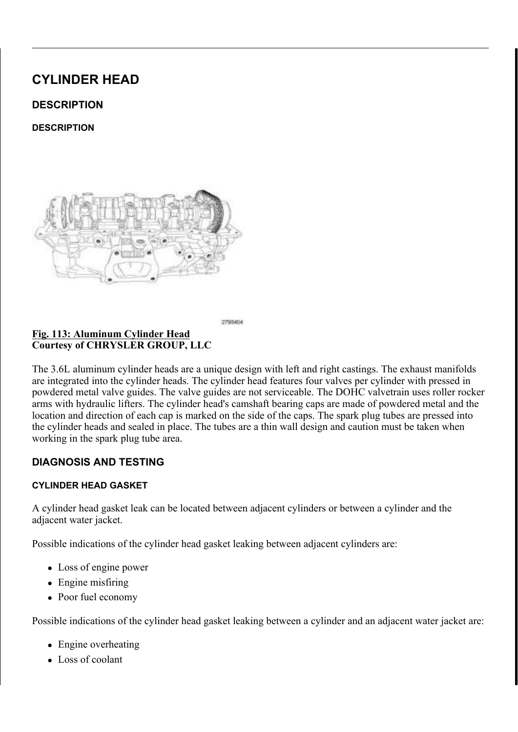### ) LJ 9DOYH ) DFH 6HDW<br>& RXUWHV\RI & +5<6/(5 \*5283 //&

| $6($ \$7 | $^7$ :, $^7$ +               |
|----------|------------------------------|
| 1\$&(    | $$1*/($                      |
| $6($ \$7 | $$1^{\ast}/$                 |
|          | $6 ($7 \& 217 $& 7 \& 5 ($)$ |

# 7 KH LQWDNH DQG H[KDXVW YJDUOHYHHMD KB YDHQDOH "7 KHGMD"OYH<br>GHJUHH IDFH DQJOH

 $9 $/9 (6)$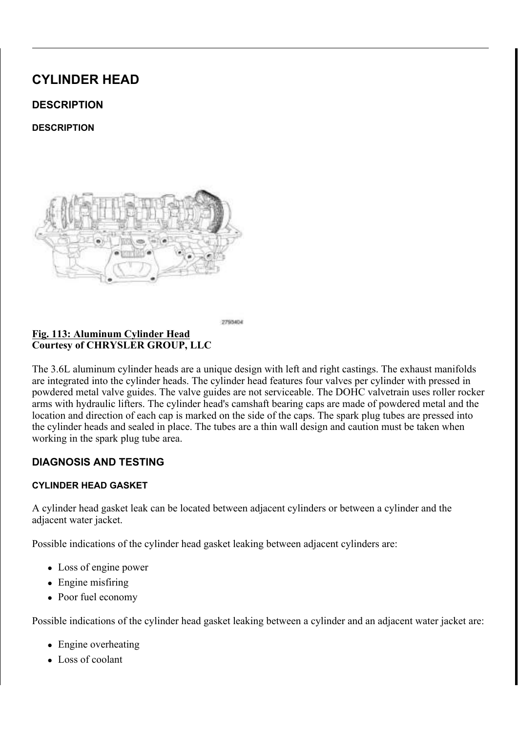,QVSHFW WKH UHPDLQLQJ PUDHU**UHQDFH@QVSLHQQSHSWKMHRLYFDOWYLHRVQD**7

9\$/9(6(\$76

9DOYH ) DFH 6HDW ) L J &RXUWHV\RI &+5<6/(5 \*5283 //&

| $6($ \$7<br>' 7 ⊥<br>۰.<br>$\mathfrak{P}$ (<br>$\cdot$ , |  |
|----------------------------------------------------------|--|
| $$1*/($<br>1\$&(                                         |  |
| $6($ \$7 \$1*/(                                          |  |
| & 217\$&7<br>55(<br>$6($ \$7                             |  |

:KHQ UHIDFLQJ WKH YDOYH WHKDDWWW KWH ERLLUPHSTRWU WD  $127($ JXLGH SLORW EH XVHG IRU WKHHUDHQ/GHDFWRPLOOPH/WWHRQYAYI PXVW EH REWDLQHG

OHDVXUH WKH FRQFHQWULDFLGWLDQBILKQIKGHLFYDDVORYUH VTRDAVDIOXWLXO LQFK WRWDO LQGLFDWRU UHDGLQJ P<sub>P</sub> .QVSHFW WKH YDO YH VHDOWN WHUZALWOWH3ZUXAHWUHLDWOKHEO YOHO WHR F WKLV FRDW WK. M+YD-OZYLHW WH3DUWX VVLDQ EOXH WKMWOD WHWW KWHK ZLWK OLJKW SUHVVXUH WWWHKFHEOOWXHHULRYIWW.KDHOOYBHAWNEOURVH , I WKH EOXH LV WUDQVIH**DONG WORFHVKMHKWHQSOFRGHHURWHKWHKHI** VWRQH .IWKH EOXH LV WHUDRQWIKHUM-DGOWHRINDIK**H** EVRKWHDWQRUPDI GHJUHH VWRQH

9 DO YH VHD WV ZKLFK DUH ZRUZOR URNUHEGXUSQUHRGY LFOEHQO 127( WKH FRUUHFW DQJOH DQG VHDW EZULGAWAHDWAKHPENG KHDG PXVW EH UHSODFHG

:KHQ WKH VHDW LV SURSHWOK\HSLRQ/WLWNNRQMHGDWWKWHKEXLGOBKEHN **PP** L Q DQG WKH HIKDXVW VHDWV VKRXOGLQH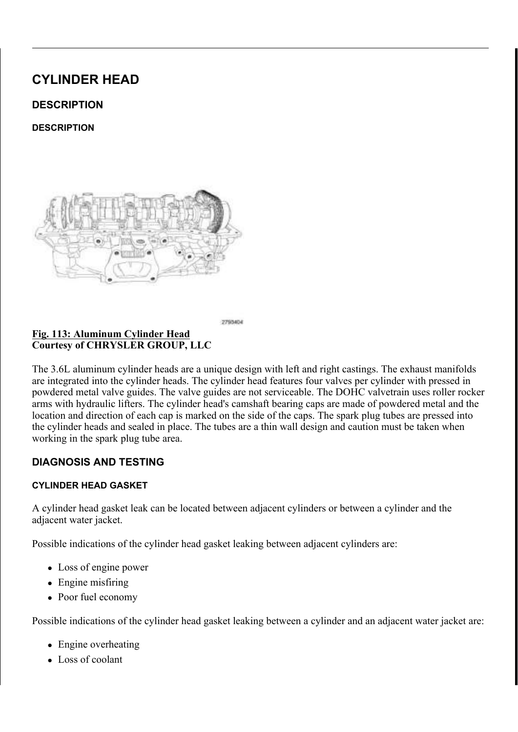& KHFNLQJ 9DOYH 6SULQJ, QVWDOOHG + HLJKW <u>) L J</u> & R X U W H V \ R | & + 5 < 6 / (5 \* 5 2 8 3 / / &

& R D W W K H Y D O Y H V W H P V G L Q N W N OF OO HAD KOHOLYOHHV RLLODW DROI

I WKH YDOYHV DUH EHLQJ UHKQWG WUKHDLVUV IR PUEO  $127($ ORFDWLRQV

, I WKH YDOYHV RU YDOYH FFKIBFANV WKIDNIHY LEGINHQ WLISLKGHULLUKKRWO HIFHHGV WKH VSHFLILFXDOWWLLROQLWULLQGZLWWKKHOYODWOSCHOFFILWLLFSI 6 SHFLILFD DWN RQ AXUH WKH PHD V X UHP HQ WK HLD GW DX WHIO HURP WKH YDOYH VWHP

6SULQJ 6HDW 9DOYH LACLUGH 6HDO \*DUWHU 6SU &RXUWHV\RI &+5<6/(5 \*5283 //&

,IUHPRYHG LQVWDOO WKJHXLVGSHULVOHJDOVHDWRYHUDOWOK(H\$DYODYOHY  $6$   $9\frac{1}{3}/9$  (  $*8$ , '( , 167\\$\end{s} //\\$7, 21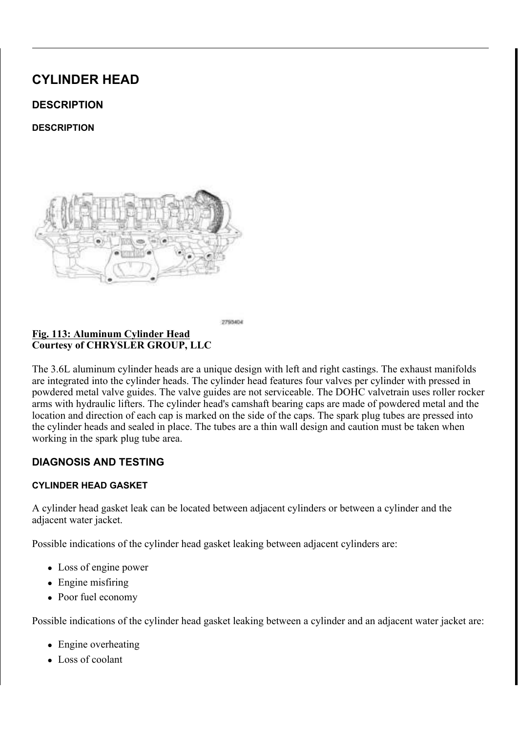(QVXUH WKDW WKH JDUWHURX/CSGULWOKJH WRSI RQWWDKI  $127($ JXLGH VHDO 1XPEHU F\OLQGHHUHDIQDVXKVRVZQID LOOXVWUDWLRQ DOO RWKHU YDOYHV VLPLODU

#### 9DOYH 6SULQJ 9DOYH 6SULQJ 5HWDLQHU  $LJ$ & R X U W H V \ R | & + 5 < 6 / (5 \* 5 2 8 3 / / &

 $127($ , I WKH YDOYH VSULQJV DUH EOHHLOWJKUHPRXLVOHWGR WHKD RULJLQDO ORFDWLRQV 1XPEHU VSVOLLOOJGVHKURELOKD LOOXVWUDWLRQ DOO RWKHU YDOYHV VLPLODU

QVWDOO WKH YDOYH VSDLQHU DQG YDOYH VSULQJUHW,

#### & R P S U H V V L Q J 9 D O Y H 6 S H W Q L Q L Q B F D' W E Q V 9 D O Y H 5 &RXUWHV\RI &+5<6/(5 \*5283 //&

 $127($ 1 X PEHU F\OLQ GHU LQ WD NH YDOO VKAR VZSOULQU FR P LOOXVWUDWLRQ DOO RWKHU YDOYHV VLPLODU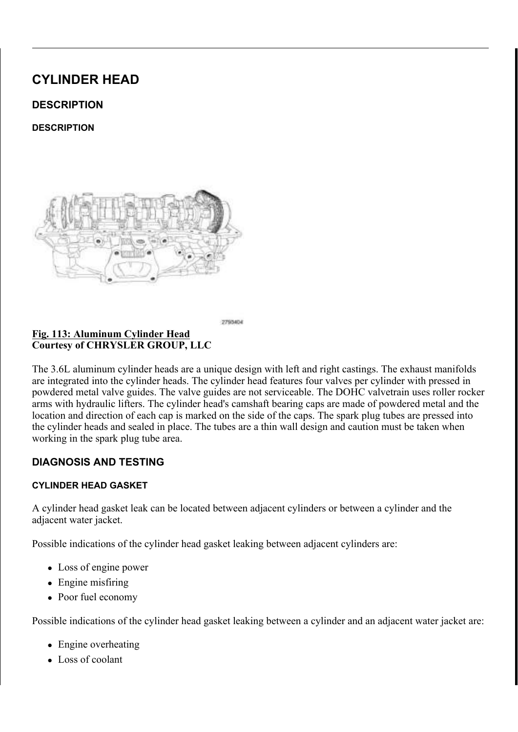& R P S U H V V Y D O Y H V S U L Q J V& R P SZ W M W V W K H G D O W HH L S V S Q F L I 9 DO Y H 6 SULQ J PRXQWHG HQWRKUH VISHOPYLHD OSWIRQRID & RPS 9DOYH 6SULQJ . Q V W D D OD G WUKHHO UH HD W D L V Q K Q J Y D Q F N V V S U L

# <u>) LJ & KHFNLQJ 9DOYH 6</u>SULQJ , QVWDOOHG +HLJKW<br>& RXUWHV\ RI & +5<6/(5 \*5283 //&

I WKH YDOYHV RU YDOYH FFAIDFWW WKIDNIHL OE YHWH QOLOHH GOKLHY, LKHA WKH LQVWDOOHG YDOYH WSQULQJPKPHLJKWLQ LVLQUMWDWOHOUD LQ WKH KHDG FRXQWHUERUH XWCGHELU MOKJHWYKOHO YYBUMSQUIL QCHIL VSHFLILFDWLRQ ODNH VXUHRWPKWHKPHNDRXSURHPVHSQUVLQUVWHDDNVH VXUIDEH RI VSULOJ UHWDLOHU

 $5(029$ \$/

 $5(029$  \$/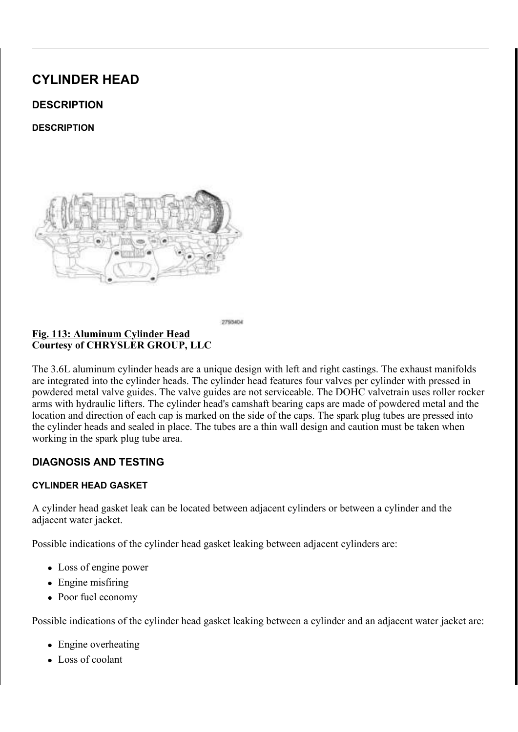5HPRYH WKH F\OLQG&HJ', KHDG-(\\$' 5HOB9U\$WR

127 (IWKH VSULQJV DUH WR EHJ **SEX YLHGRQGHARWWIKD** EH UHDVVHPEOHG LQWR WKHLU RULIDQQQGHOUR FIDK YDOYH VSULQJ VKRZQ LQ LOOXWWSUDQWLVRQIEDLOOODE

5HPRYH WKH YDOYH V6S3U5LQ\*J6V 9\$/95HL5H02W9R

<u>ILJ</u>, QVSHFWLQJ 9DOYH 0DUJLQ &RXUWHV\RI &+5<6/(5 \*5283 //&

> &\$87.21 %HIRUH UHPRYLQJ WKH YDONURVP WWHPRYYDHODYCH UHWDLQHU ORFN JURRYHV DONG GUNNPHDPJHWLWSR YDOYH JXLGHV

5 HPRYH WKH YDOYH V QVOXHUQHVLLQV WIDDIODYWORG LWORMHKH

6SULQJ 6HDW 9DOYH 1XQLGH 6HDO \*DUWHU 6SU & R X U W H V \ R | & + 5 < 6 / (5 \* 5 2 8 3 / / &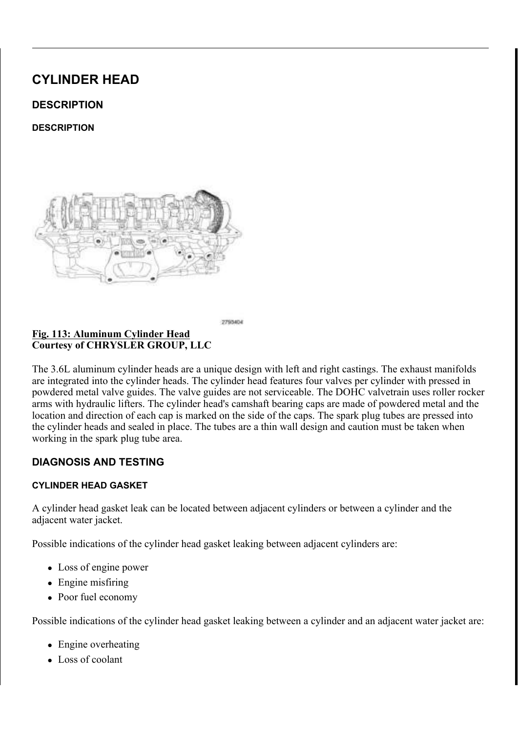I UHTXLUHG UHPRYH WKWHSVDQYHVHEMAG(H\$/V6H5DHOHSV9VDROSG)  $5(029$  \$/

 $.163(87.21)$ 

 $, 163(87, 21)$ 

 $9 $/9 (6)$ 

OVSHFWLQJ 9DOYH 0DUJLQ 8RXUWHV\RI & +5<6/(5 \*5283 //&

& OHDQ DQG LQVSHFW WKHEXNDQVHGV ZNDARSURGXJKQQG F5UHDSFONDHR , QVSHFW WKH UHWDLQHU DRFN JURRYHV IRU ZHDU RU GD .QVSHFW WKH YDOYH IDFH IRU ZHDU DQG SLWWLQJ OHDVXUH WKH YDOYH VWHPDVU 5 BIOGGULPOZOFRS HILFOLWER OZWH

 $9$/9($  \* 8, '(6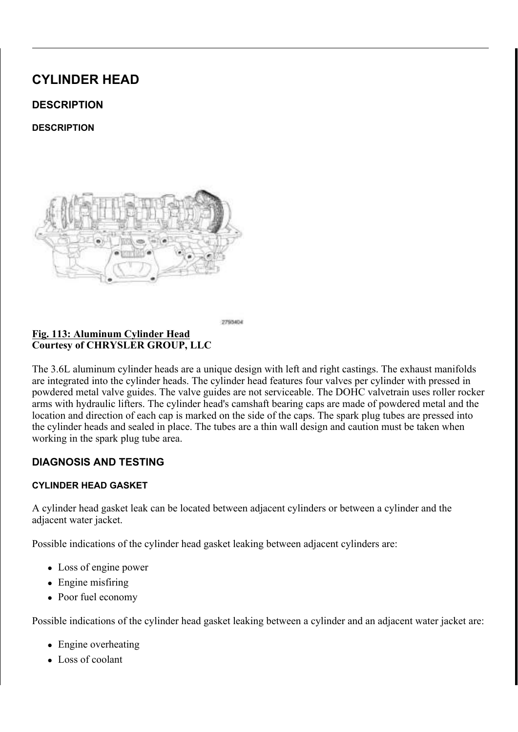#### )LJ0HDVXULQJ9DOYH\*XLGH:HDU  $\overline{\&$  RXUWHV\RI  $\&$  +5 < 6/(5 \* 5283 // &

5HPRYH FDUERQ DQG YDUQLW**KHGYISGRVHWXLIGRP ZDWKGDHUR**  0HDVXUHYDOYHVWHPWRJXLGHFOHDUDQFHDVIROORZV .QVWDOOWKH YDOYH KDOWWLRWWLKAH F\POPLQGHULKOHFDKGS\RRIME VPDOO SLHFH RI KRVH PD\ QHSXVHG WR KROG WKH YDOYH \$WWDFK WKH 'LDO, QGLFDW\$R L6H6WHW'LDOH, FQLODLOFDWARRNODO & GW VHW LW DW D ULJKW DQJOHXWRGWKH YDOYH VWHP EHLQJ 0RYH WKH YDOYH WR DQG IWNARP WWKHHDLGOLQUF WRWKHOR SRUSGSHFUL 6SHFLILFDWLRQV

127( .IVWHP WR JXLGH FOHDUDQRQQ VH [FRHXHOPXWWSHPTHLID MEXOU] YDOYH VWHP, IWKH YDOYH VWHRULVIZWWHKLYODOYSHFLU ORRVH LO WKH F\OLQGHU KHDGD@HSODFH WKH F\OL

,167\$//\$7,21

,167\$//\$7,21

### )LJ&KHFNLQJ9DOYH6SULQJ,QVWDOOHG+HLJKW &RXUWHV\RI&+5<6/(5\*5283//&

& R D W W K H Y D O Y H V W H P V G L Q I V WHO OF OO HANDAHO HOLDLO DHIV RILOD WIRCH

127( ,IWKH YDOYHV DUH EHLQJUHXQWHG WUKHDLVU/HRPLEO ORFDWLRQV

,IWKH YDOYHV RU YDOYH **FRIBFNV WKDHHY EE GIMEQ WHSLKGHLLWKKWO** H[FHHGVWKHVSHFLILFXDOWWLLROQLWULDQGZLWWKKHLOYDDWOSLYBOHFILWLLRSI 6 SHFLILF **DD WN ROWX UH** W KH PHDV X UHP **HOLWK HLDGWD XWHIOD FI BIR P** WKH YDOYH VWHP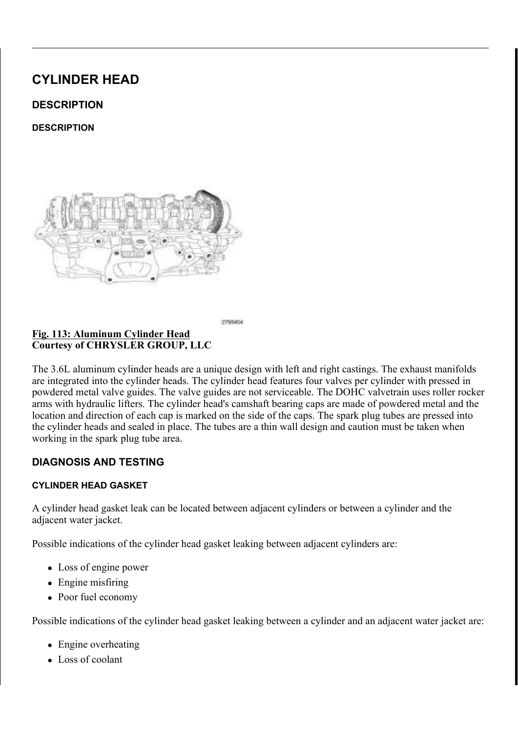6SULQJ 6HDW 9DOYH LXQLGH 6HDO \*DUWHU 6SU <u>) L J \_</u> &RXUWHV\RI &+5<6/(5 \*5283 //&

,IUHPRYHG LQVWDOO WKJHXLVOSHULVOHDON-HDWRYHUDOWOKKEYDYODYOHY  $6$  9\$/9(  $*8$ , '( , 167\$//\$7, 21

(QVXUH WKDW WKH JDUWHURXOSGULMOKUH WRSI ROLWODK  $127($ JXLGH VHDO 1XPEHU F\OLQGHHUHDINO DVKK/RWZQID LOOXVWUDWLRQ DOO RWKHU YDOYHV VLPLODU

<u>) L J 9DOYH 6SULQJ 9D</u>OYH 6SULQJ 5HWDLQHU<br>& R X U W H V \ R I & + 5 < 6 / (5 \* 5 2 8 3 / / &

,QVWDOO WKH YDOY16I3\%S1U\*L6QJ \\$\$/9(51H6I7H\$U/\$N7R,21

 $127($ 5HDVVHPEOH WKH YDOYHV VSDUQ QOJRVFDQWMURQWVKHL YDOYHV RU YDOYH VHDWV KDYHWEKHDHWQWUKHHLYQDLOXH LQVWDOOHG KHLJKW LV ZLWK<u>IQULSCHHBFSLHEEDLW</u>FDRWQ FIOLQGHU HIKDXVW YDOWWHUNDSWULFQQ VDKOR 1XPEHU